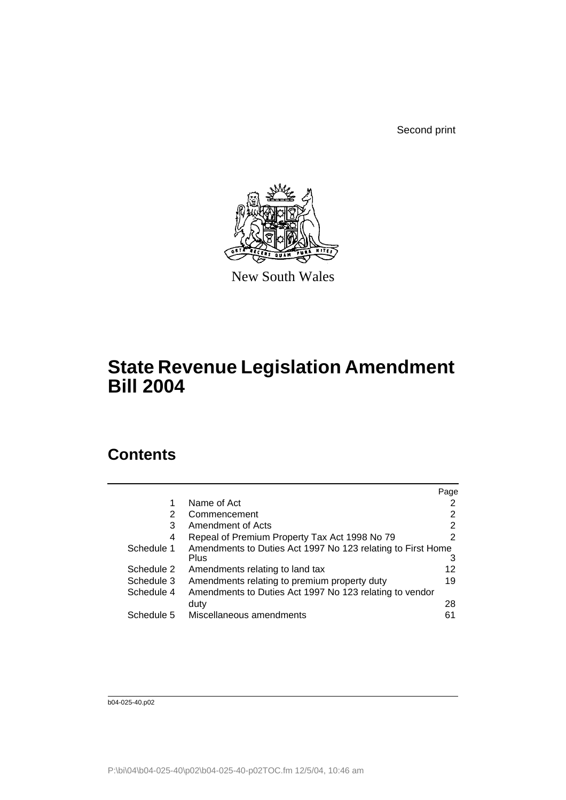Second print



New South Wales

# **State Revenue Legislation Amendment Bill 2004**

# **Contents**

|            |                                                             | Page |
|------------|-------------------------------------------------------------|------|
| 1          | Name of Act                                                 | 2    |
| 2          | Commencement                                                | 2    |
| 3          | Amendment of Acts                                           | 2    |
| 4          | Repeal of Premium Property Tax Act 1998 No 79               | 2    |
| Schedule 1 | Amendments to Duties Act 1997 No 123 relating to First Home |      |
|            | Plus                                                        | З    |
| Schedule 2 | Amendments relating to land tax                             | 12   |
| Schedule 3 | Amendments relating to premium property duty                | 19   |
| Schedule 4 | Amendments to Duties Act 1997 No 123 relating to vendor     |      |
|            | duty                                                        | 28   |
| Schedule 5 | Miscellaneous amendments                                    | 61   |

b04-025-40.p02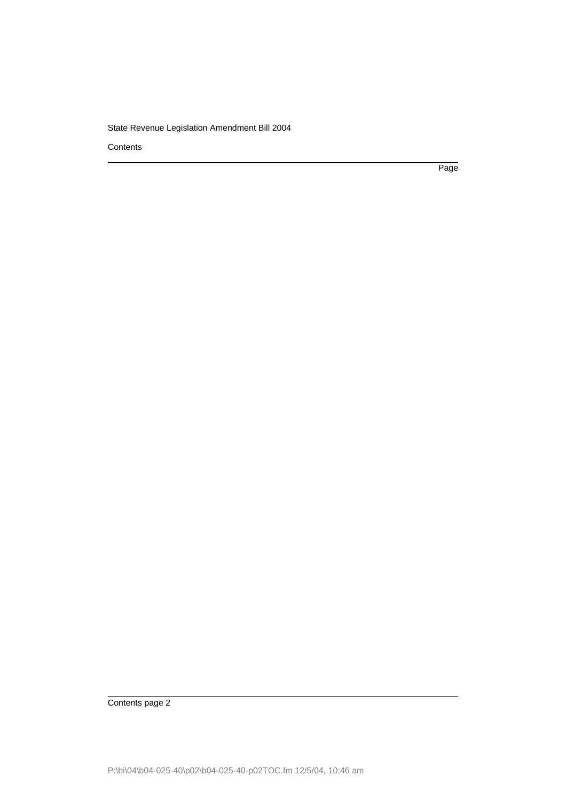**Contents** 

Page

Contents page 2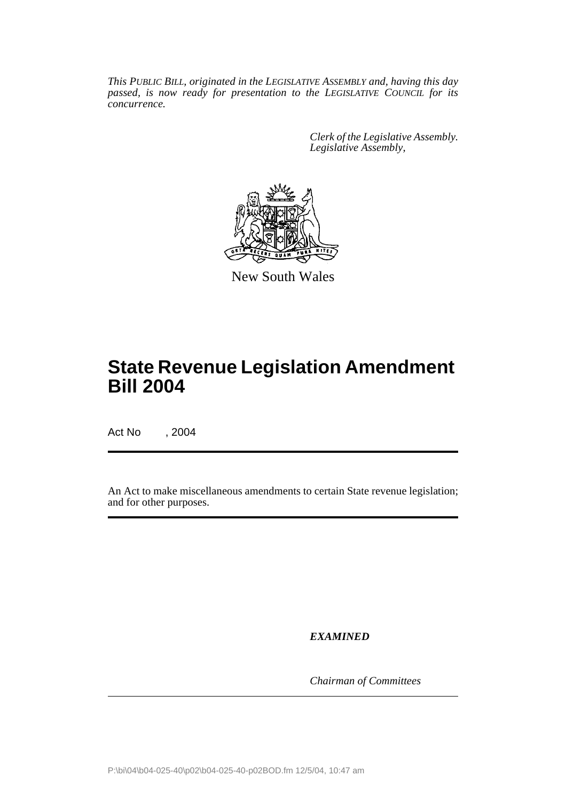*This PUBLIC BILL, originated in the LEGISLATIVE ASSEMBLY and, having this day passed, is now ready for presentation to the LEGISLATIVE COUNCIL for its concurrence.*

> *Clerk of the Legislative Assembly. Legislative Assembly,*



New South Wales

# **State Revenue Legislation Amendment Bill 2004**

Act No , 2004

An Act to make miscellaneous amendments to certain State revenue legislation; and for other purposes.

*EXAMINED*

*Chairman of Committees*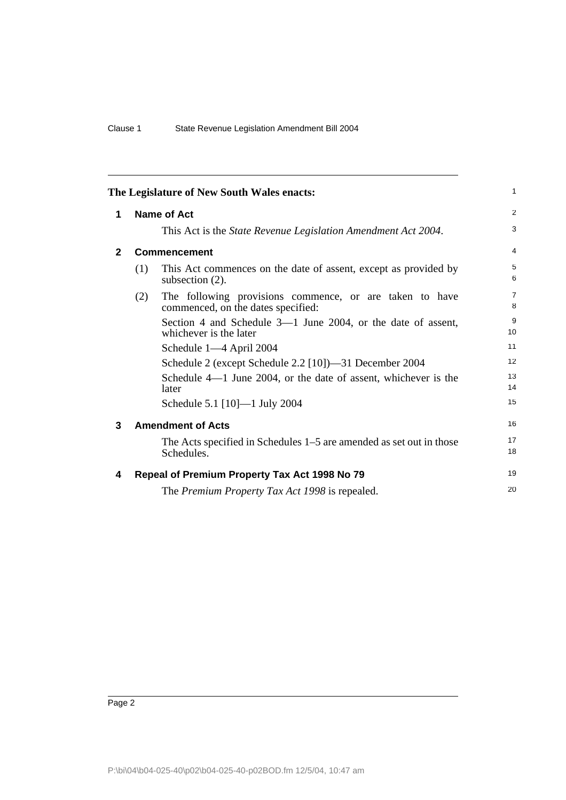<span id="page-3-3"></span><span id="page-3-2"></span><span id="page-3-1"></span><span id="page-3-0"></span>

|              |     | The Legislature of New South Wales enacts:                                                    | 1              |
|--------------|-----|-----------------------------------------------------------------------------------------------|----------------|
| 1            |     | <b>Name of Act</b>                                                                            | $\overline{2}$ |
|              |     | This Act is the State Revenue Legislation Amendment Act 2004.                                 | 3              |
| $\mathbf{2}$ |     | <b>Commencement</b>                                                                           | 4              |
|              | (1) | This Act commences on the date of assent, except as provided by<br>subsection $(2)$ .         | 5<br>6         |
|              | (2) | The following provisions commence, or are taken to have<br>commenced, on the dates specified: | 7<br>8         |
|              |     | Section 4 and Schedule 3-1 June 2004, or the date of assent,<br>whichever is the later        | 9<br>10        |
|              |     | Schedule 1-4 April 2004                                                                       | 11             |
|              |     | Schedule 2 (except Schedule 2.2 [10])—31 December 2004                                        | 12             |
|              |     | Schedule 4—1 June 2004, or the date of assent, whichever is the<br>later                      | 13<br>14       |
|              |     | Schedule 5.1 [10]—1 July 2004                                                                 | 15             |
| 3            |     | <b>Amendment of Acts</b>                                                                      | 16             |
|              |     | The Acts specified in Schedules 1–5 are amended as set out in those<br>Schedules.             | 17<br>18       |
| 4            |     | Repeal of Premium Property Tax Act 1998 No 79                                                 | 19             |
|              |     | The Premium Property Tax Act 1998 is repealed.                                                | 20             |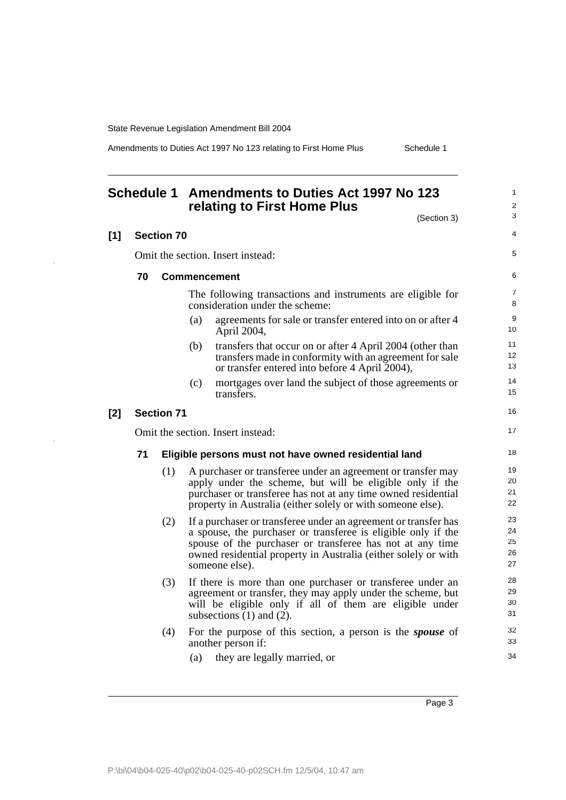Amendments to Duties Act 1997 No 123 relating to First Home Plus Schedule 1

<span id="page-4-0"></span>

| <b>Schedule 1</b> |    |                   | <b>Amendments to Duties Act 1997 No 123</b><br>relating to First Home Plus<br>(Section 3) | 1<br>2<br>3                                                                                                                                                                                                                                                                       |                            |
|-------------------|----|-------------------|-------------------------------------------------------------------------------------------|-----------------------------------------------------------------------------------------------------------------------------------------------------------------------------------------------------------------------------------------------------------------------------------|----------------------------|
| $[1]$             |    | <b>Section 70</b> |                                                                                           |                                                                                                                                                                                                                                                                                   | 4                          |
|                   |    |                   |                                                                                           | Omit the section. Insert instead:                                                                                                                                                                                                                                                 | 5                          |
|                   | 70 |                   |                                                                                           | <b>Commencement</b>                                                                                                                                                                                                                                                               | 6                          |
|                   |    |                   |                                                                                           | The following transactions and instruments are eligible for<br>consideration under the scheme:                                                                                                                                                                                    | 7<br>8                     |
|                   |    |                   | (a)                                                                                       | agreements for sale or transfer entered into on or after 4<br>April 2004,                                                                                                                                                                                                         | 9<br>10                    |
|                   |    |                   | (b)                                                                                       | transfers that occur on or after 4 April 2004 (other than<br>transfers made in conformity with an agreement for sale<br>or transfer entered into before 4 April 2004),                                                                                                            | 11<br>12<br>13             |
|                   |    |                   | (c)                                                                                       | mortgages over land the subject of those agreements or<br>transfers.                                                                                                                                                                                                              | 14<br>15                   |
| [2]               |    | <b>Section 71</b> |                                                                                           |                                                                                                                                                                                                                                                                                   | 16                         |
|                   |    |                   |                                                                                           | Omit the section. Insert instead:                                                                                                                                                                                                                                                 | 17                         |
|                   | 71 |                   |                                                                                           | Eligible persons must not have owned residential land                                                                                                                                                                                                                             | 18                         |
|                   |    | (1)               |                                                                                           | A purchaser or transferee under an agreement or transfer may<br>apply under the scheme, but will be eligible only if the<br>purchaser or transferee has not at any time owned residential<br>property in Australia (either solely or with someone else).                          | 19<br>20<br>21<br>22       |
|                   |    | (2)               |                                                                                           | If a purchaser or transferee under an agreement or transfer has<br>a spouse, the purchaser or transferee is eligible only if the<br>spouse of the purchaser or transferee has not at any time<br>owned residential property in Australia (either solely or with<br>someone else). | 23<br>24<br>25<br>26<br>27 |
|                   |    | (3)               |                                                                                           | If there is more than one purchaser or transferee under an<br>agreement or transfer, they may apply under the scheme, but<br>will be eligible only if all of them are eligible under<br>subsections $(1)$ and $(2)$ .                                                             | 28<br>29<br>30<br>31       |
|                   |    | (4)               | (a)                                                                                       | For the purpose of this section, a person is the <i>spouse</i> of<br>another person if:<br>they are legally married, or                                                                                                                                                           | 32<br>33<br>34             |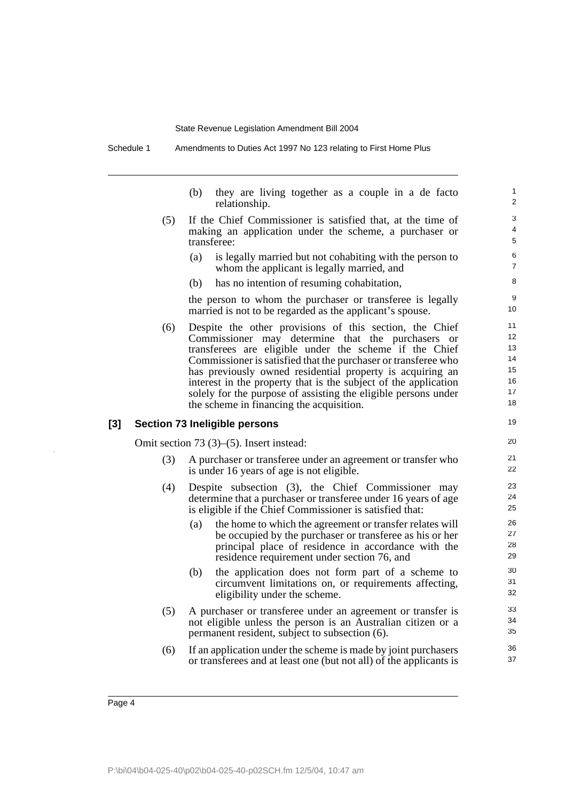Schedule 1 Amendments to Duties Act 1997 No 123 relating to First Home Plus

(b) they are living together as a couple in a de facto relationship. (5) If the Chief Commissioner is satisfied that, at the time of making an application under the scheme, a purchaser or transferee: (a) is legally married but not cohabiting with the person to whom the applicant is legally married, and (b) has no intention of resuming cohabitation, the person to whom the purchaser or transferee is legally married is not to be regarded as the applicant's spouse. 1  $\overline{2}$ 3 4 5 6 7 8 9 10

(6) Despite the other provisions of this section, the Chief Commissioner may determine that the purchasers or transferees are eligible under the scheme if the Chief Commissioner is satisfied that the purchaser or transferee who has previously owned residential property is acquiring an interest in the property that is the subject of the application solely for the purpose of assisting the eligible persons under the scheme in financing the acquisition.

#### **[3] Section 73 Ineligible persons**

Omit section 73 (3)–(5). Insert instead:

- (3) A purchaser or transferee under an agreement or transfer who is under 16 years of age is not eligible.
- (4) Despite subsection (3), the Chief Commissioner may determine that a purchaser or transferee under 16 years of age is eligible if the Chief Commissioner is satisfied that:
	- (a) the home to which the agreement or transfer relates will be occupied by the purchaser or transferee as his or her principal place of residence in accordance with the residence requirement under section 76, and
	- (b) the application does not form part of a scheme to circumvent limitations on, or requirements affecting, eligibility under the scheme.
- (5) A purchaser or transferee under an agreement or transfer is not eligible unless the person is an Australian citizen or a permanent resident, subject to subsection (6).
- (6) If an application under the scheme is made by joint purchasers or transferees and at least one (but not all) of the applicants is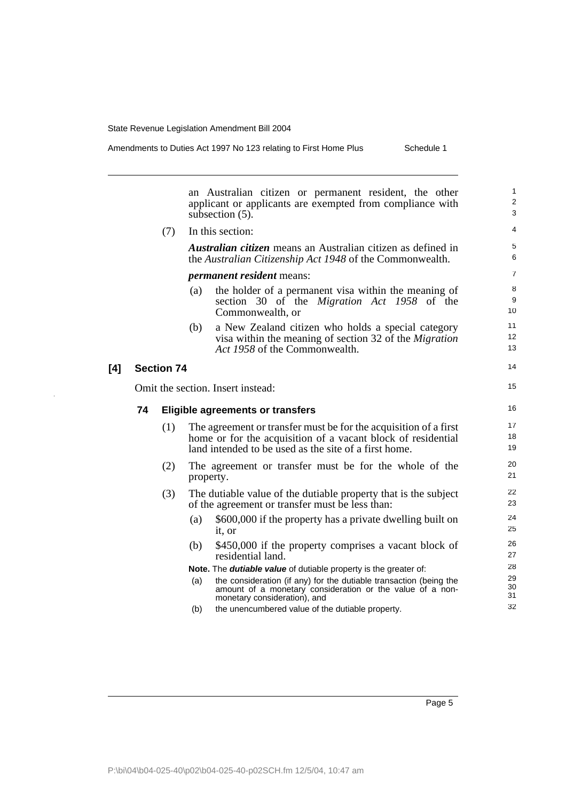| Amendments to Duties Act 1997 No 123 relating to First Home Plus | Schedule 1 |
|------------------------------------------------------------------|------------|
|------------------------------------------------------------------|------------|

an Australian citizen or permanent resident, the other applicant or applicants are exempted from compliance with subsection (5). (7) In this section: *Australian citizen* means an Australian citizen as defined in the *Australian Citizenship Act 1948* of the Commonwealth. *permanent resident* means: (a) the holder of a permanent visa within the meaning of section 30 of the *Migration Act 1958* of the Commonwealth, or (b) a New Zealand citizen who holds a special category visa within the meaning of section 32 of the *Migration Act 1958* of the Commonwealth. **[4] Section 74** Omit the section. Insert instead: **74 Eligible agreements or transfers**

- (1) The agreement or transfer must be for the acquisition of a first home or for the acquisition of a vacant block of residential land intended to be used as the site of a first home.
- (2) The agreement or transfer must be for the whole of the property.
- (3) The dutiable value of the dutiable property that is the subject of the agreement or transfer must be less than:
	- (a) \$600,000 if the property has a private dwelling built on it, or
	- (b) \$450,000 if the property comprises a vacant block of residential land.

**Note.** The *dutiable value* of dutiable property is the greater of:

- (a) the consideration (if any) for the dutiable transaction (being the amount of a monetary consideration or the value of a nonmonetary consideration), and
- (b) the unencumbered value of the dutiable property.

14

15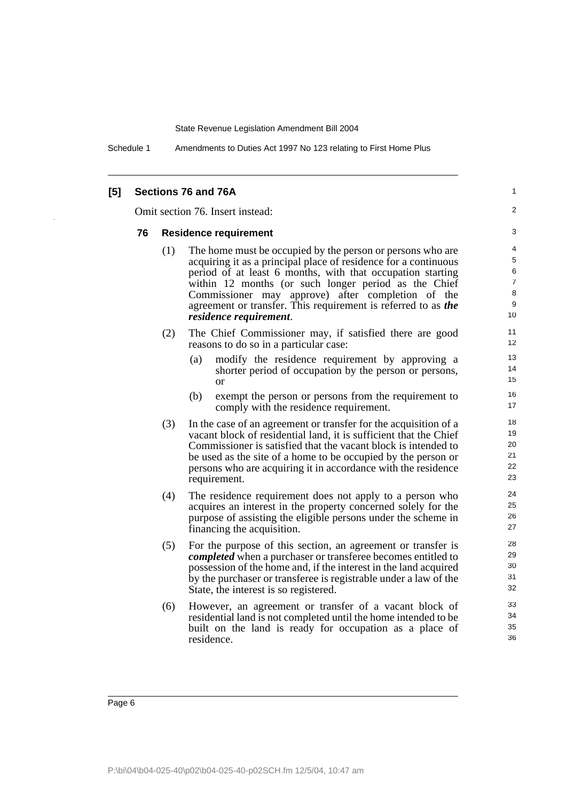Schedule 1 Amendments to Duties Act 1997 No 123 relating to First Home Plus

## **[5] Sections 76 and 76A** Omit section 76. Insert instead: **76 Residence requirement**

(1) The home must be occupied by the person or persons who are acquiring it as a principal place of residence for a continuous period of at least 6 months, with that occupation starting within 12 months (or such longer period as the Chief Commissioner may approve) after completion of the agreement or transfer. This requirement is referred to as *the residence requirement*.

1  $\mathfrak{p}$ 

- (2) The Chief Commissioner may, if satisfied there are good reasons to do so in a particular case:
	- (a) modify the residence requirement by approving a shorter period of occupation by the person or persons, or
	- (b) exempt the person or persons from the requirement to comply with the residence requirement.
- (3) In the case of an agreement or transfer for the acquisition of a vacant block of residential land, it is sufficient that the Chief Commissioner is satisfied that the vacant block is intended to be used as the site of a home to be occupied by the person or persons who are acquiring it in accordance with the residence requirement.
- (4) The residence requirement does not apply to a person who acquires an interest in the property concerned solely for the purpose of assisting the eligible persons under the scheme in financing the acquisition.
- (5) For the purpose of this section, an agreement or transfer is *completed* when a purchaser or transferee becomes entitled to possession of the home and, if the interest in the land acquired by the purchaser or transferee is registrable under a law of the State, the interest is so registered.
- (6) However, an agreement or transfer of a vacant block of residential land is not completed until the home intended to be built on the land is ready for occupation as a place of residence.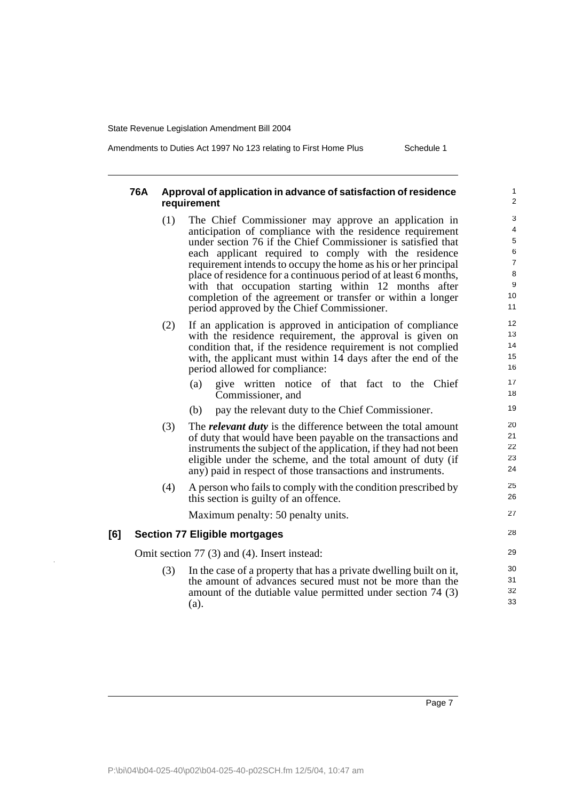Amendments to Duties Act 1997 No 123 relating to First Home Plus Schedule 1

#### **76A Approval of application in advance of satisfaction of residence requirement**

- (1) The Chief Commissioner may approve an application in anticipation of compliance with the residence requirement under section 76 if the Chief Commissioner is satisfied that each applicant required to comply with the residence requirement intends to occupy the home as his or her principal place of residence for a continuous period of at least 6 months, with that occupation starting within 12 months after completion of the agreement or transfer or within a longer period approved by the Chief Commissioner.
- (2) If an application is approved in anticipation of compliance with the residence requirement, the approval is given on condition that, if the residence requirement is not complied with, the applicant must within 14 days after the end of the period allowed for compliance:
	- (a) give written notice of that fact to the Chief Commissioner, and
	- (b) pay the relevant duty to the Chief Commissioner.
- (3) The *relevant duty* is the difference between the total amount of duty that would have been payable on the transactions and instruments the subject of the application, if they had not been eligible under the scheme, and the total amount of duty (if any) paid in respect of those transactions and instruments.
- (4) A person who fails to comply with the condition prescribed by this section is guilty of an offence.

Maximum penalty: 50 penalty units.

#### **[6] Section 77 Eligible mortgages**

Omit section 77 (3) and (4). Insert instead:

(3) In the case of a property that has a private dwelling built on it, the amount of advances secured must not be more than the amount of the dutiable value permitted under section 74 (3) (a).

Page 7

28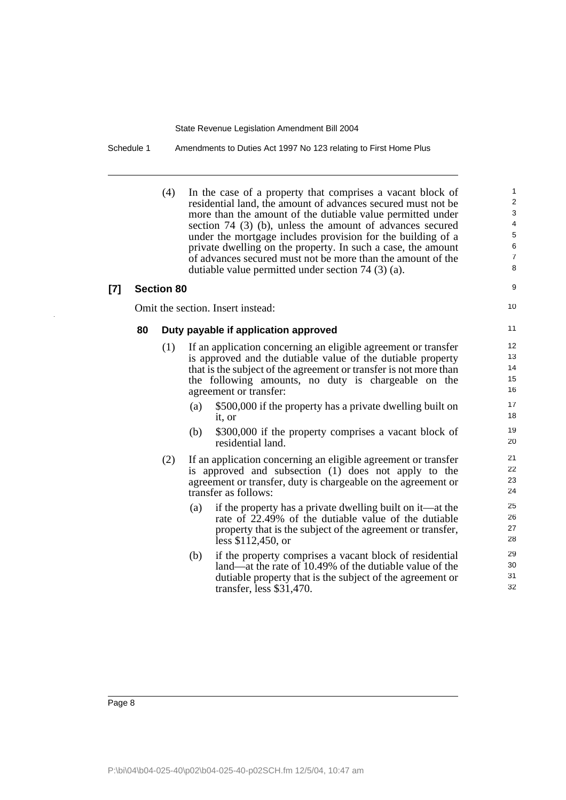Schedule 1 Amendments to Duties Act 1997 No 123 relating to First Home Plus

(4) In the case of a property that comprises a vacant block of residential land, the amount of advances secured must not be more than the amount of the dutiable value permitted under section 74 (3) (b), unless the amount of advances secured under the mortgage includes provision for the building of a private dwelling on the property. In such a case, the amount of advances secured must not be more than the amount of the dutiable value permitted under section 74 (3) (a).

10

#### **[7] Section 80**

Omit the section. Insert instead:

#### **80 Duty payable if application approved**

- (1) If an application concerning an eligible agreement or transfer is approved and the dutiable value of the dutiable property that is the subject of the agreement or transfer is not more than the following amounts, no duty is chargeable on the agreement or transfer:
	- (a) \$500,000 if the property has a private dwelling built on it, or
	- (b) \$300,000 if the property comprises a vacant block of residential land.
- (2) If an application concerning an eligible agreement or transfer is approved and subsection (1) does not apply to the agreement or transfer, duty is chargeable on the agreement or transfer as follows:
	- (a) if the property has a private dwelling built on it—at the rate of 22.49% of the dutiable value of the dutiable property that is the subject of the agreement or transfer, less \$112,450, or
	- (b) if the property comprises a vacant block of residential land—at the rate of 10.49% of the dutiable value of the dutiable property that is the subject of the agreement or transfer, less \$31,470.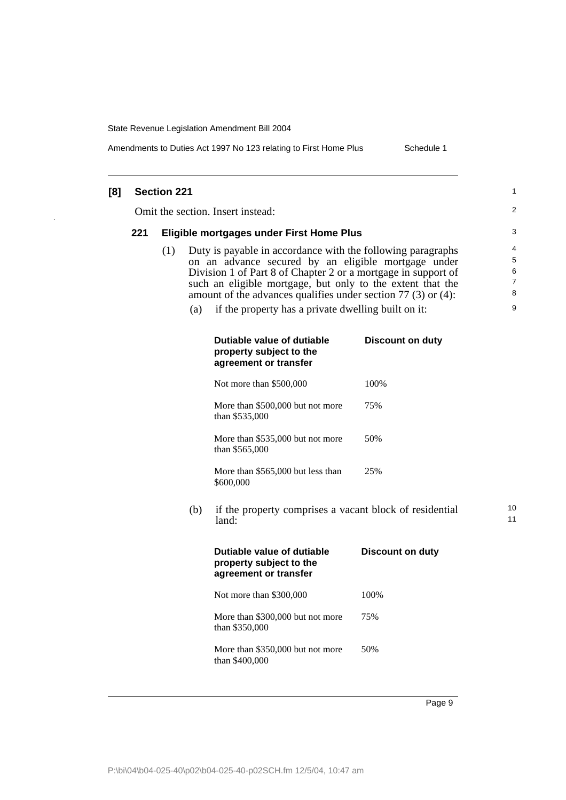Amendments to Duties Act 1997 No 123 relating to First Home Plus Schedule 1

| [8] |     | <b>Section 221</b> |                                                                                                                                                                                                                                                                                                                         |                       |
|-----|-----|--------------------|-------------------------------------------------------------------------------------------------------------------------------------------------------------------------------------------------------------------------------------------------------------------------------------------------------------------------|-----------------------|
|     |     |                    | Omit the section. Insert instead:                                                                                                                                                                                                                                                                                       | $\overline{2}$        |
|     | 221 |                    | Eligible mortgages under First Home Plus                                                                                                                                                                                                                                                                                | 3                     |
|     |     | (1)                | Duty is payable in accordance with the following paragraphs<br>on an advance secured by an eligible mortgage under<br>Division 1 of Part 8 of Chapter 2 or a mortgage in support of<br>such an eligible mortgage, but only to the extent that the<br>amount of the advances qualifies under section 77 $(3)$ or $(4)$ : | 4<br>5<br>6<br>7<br>8 |
|     |     |                    | if the property has a private dwelling built on it.                                                                                                                                                                                                                                                                     | 9                     |

(a) if the property has a private dwelling built on it:

|     | Dutiable value of dutiable<br>property subject to the<br>agreement or transfer | <b>Discount on duty</b> |                       |
|-----|--------------------------------------------------------------------------------|-------------------------|-----------------------|
|     | Not more than \$500,000                                                        | 100%                    |                       |
|     | More than \$500,000 but not more<br>than \$535,000                             | 75%                     |                       |
|     | More than \$535,000 but not more<br>than \$565,000                             | 50%                     |                       |
|     | More than \$565,000 but less than<br>\$600,000                                 | 25%                     |                       |
| (b) | if the property comprises a vacant block of residential<br>land:               |                         | 10 <sup>1</sup><br>11 |
|     | Dutiable value of dutiable<br>property subject to the<br>agreement or transfer | <b>Discount on duty</b> |                       |
|     | Not more than \$300,000                                                        | 100%                    |                       |
|     | More than \$300,000 but not more<br>than \$350,000                             | 75%                     |                       |
|     | More than \$350,000 but not more<br>than \$400,000                             | 50%                     |                       |
|     |                                                                                |                         |                       |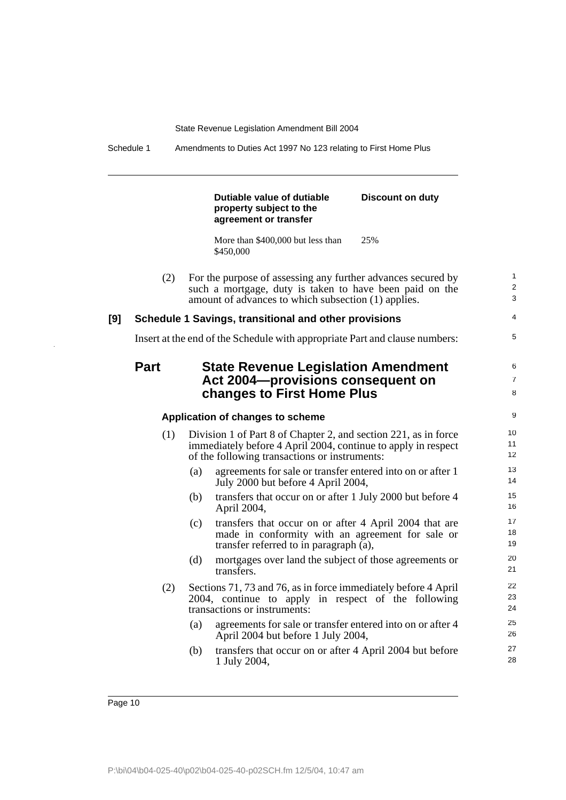|     |             | Dutiable value of dutiable<br><b>Discount on duty</b><br>property subject to the<br>agreement or transfer                                                                         |                        |
|-----|-------------|-----------------------------------------------------------------------------------------------------------------------------------------------------------------------------------|------------------------|
|     |             | 25%<br>More than \$400,000 but less than<br>\$450,000                                                                                                                             |                        |
|     | (2)         | For the purpose of assessing any further advances secured by<br>such a mortgage, duty is taken to have been paid on the<br>amount of advances to which subsection (1) applies.    | $\mathbf{1}$<br>2<br>3 |
| [9] |             | Schedule 1 Savings, transitional and other provisions                                                                                                                             | 4                      |
|     |             | Insert at the end of the Schedule with appropriate Part and clause numbers:                                                                                                       | 5                      |
|     | <b>Part</b> | <b>State Revenue Legislation Amendment</b>                                                                                                                                        | 6                      |
|     |             | Act 2004---provisions consequent on<br>changes to First Home Plus                                                                                                                 | $\overline{7}$<br>8    |
|     |             | Application of changes to scheme                                                                                                                                                  | 9                      |
|     | (1)         | Division 1 of Part 8 of Chapter 2, and section 221, as in force<br>immediately before 4 April 2004, continue to apply in respect<br>of the following transactions or instruments: | 10<br>11<br>12         |
|     |             | agreements for sale or transfer entered into on or after 1<br>(a)<br>July 2000 but before 4 April 2004,                                                                           | 13<br>14               |
|     |             | (b)<br>transfers that occur on or after 1 July 2000 but before 4<br>April 2004,                                                                                                   | 15<br>16               |
|     |             | transfers that occur on or after 4 April 2004 that are<br>(c)<br>made in conformity with an agreement for sale or<br>transfer referred to in paragraph (a),                       | 17<br>18<br>19         |
|     |             | (d)<br>mortgages over land the subject of those agreements or<br>transfers.                                                                                                       | 20<br>21               |
|     | (2)         | Sections 71, 73 and 76, as in force immediately before 4 April<br>2004, continue to apply in respect of the following<br>transactions or instruments:                             | 22<br>23<br>24         |
|     |             | agreements for sale or transfer entered into on or after 4<br>(a)<br>April 2004 but before 1 July 2004,                                                                           | 25<br>26               |
|     |             | (b)<br>transfers that occur on or after 4 April 2004 but before<br>1 July 2004,                                                                                                   | 27<br>28               |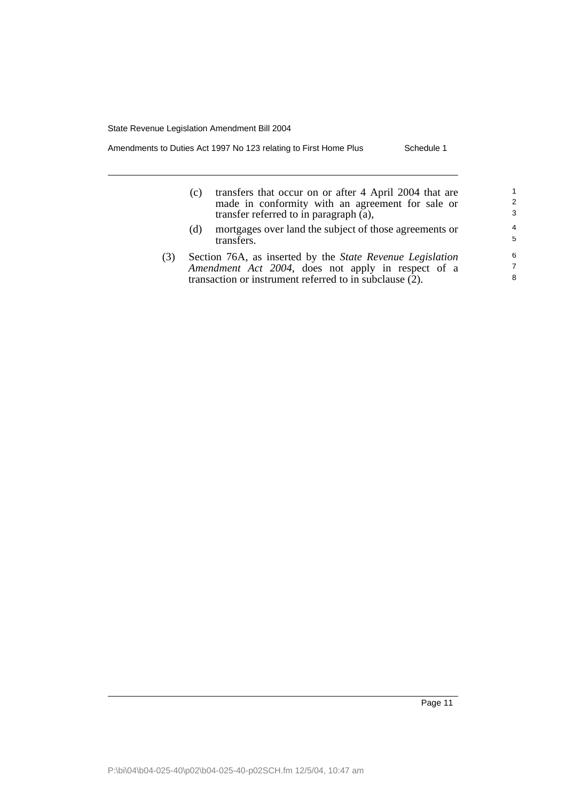| Amendments to Duties Act 1997 No 123 relating to First Home Plus | Schedule 1 |
|------------------------------------------------------------------|------------|
|------------------------------------------------------------------|------------|

|     | (c) | transfers that occur on or after 4 April 2004 that are<br>made in conformity with an agreement for sale or<br>transfer referred to in paragraph (a), | $\mathbf{1}$<br>$\mathcal{P}$<br>3 |
|-----|-----|------------------------------------------------------------------------------------------------------------------------------------------------------|------------------------------------|
|     | (d) | mortgages over land the subject of those agreements or<br>transfers.                                                                                 | 4<br>5                             |
| (3) |     | Section 76A, as inserted by the <i>State Revenue Legislation</i>                                                                                     | 6                                  |
|     |     | Amendment Act 2004, does not apply in respect of a                                                                                                   | $\overline{7}$                     |
|     |     | transaction or instrument referred to in subclause $(2)$                                                                                             | 8                                  |

transaction or instrument referred to in subclause (2).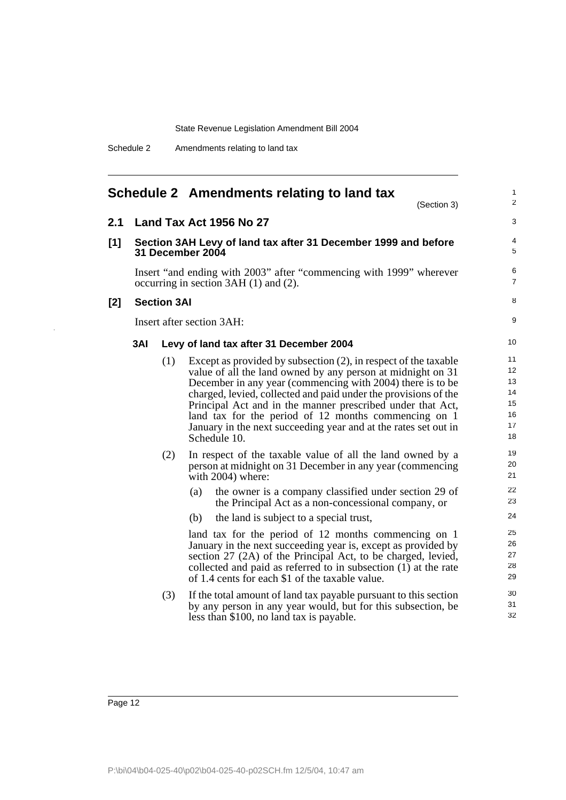<span id="page-13-0"></span>

|       |     |                    | Schedule 2 Amendments relating to land tax<br>(Section 3)                                                                                                                                                                                                                                                                                                                                                                                                                                                                                                                          | 1<br>2                                                         |
|-------|-----|--------------------|------------------------------------------------------------------------------------------------------------------------------------------------------------------------------------------------------------------------------------------------------------------------------------------------------------------------------------------------------------------------------------------------------------------------------------------------------------------------------------------------------------------------------------------------------------------------------------|----------------------------------------------------------------|
| 2.1   |     |                    | Land Tax Act 1956 No 27                                                                                                                                                                                                                                                                                                                                                                                                                                                                                                                                                            | 3                                                              |
| $[1]$ |     |                    | Section 3AH Levy of land tax after 31 December 1999 and before<br>31 December 2004                                                                                                                                                                                                                                                                                                                                                                                                                                                                                                 | 4<br>5                                                         |
|       |     |                    | Insert "and ending with 2003" after "commencing with 1999" wherever<br>occurring in section 3AH (1) and (2).                                                                                                                                                                                                                                                                                                                                                                                                                                                                       | 6<br>7                                                         |
| [2]   |     | <b>Section 3AI</b> |                                                                                                                                                                                                                                                                                                                                                                                                                                                                                                                                                                                    | 8                                                              |
|       |     |                    | Insert after section 3AH:                                                                                                                                                                                                                                                                                                                                                                                                                                                                                                                                                          | 9                                                              |
|       | 3AI |                    | Levy of land tax after 31 December 2004                                                                                                                                                                                                                                                                                                                                                                                                                                                                                                                                            | 10                                                             |
|       |     | (1)                | Except as provided by subsection $(2)$ , in respect of the taxable<br>value of all the land owned by any person at midnight on 31<br>December in any year (commencing with 2004) there is to be<br>charged, levied, collected and paid under the provisions of the<br>Principal Act and in the manner prescribed under that Act,<br>land tax for the period of 12 months commencing on 1<br>January in the next succeeding year and at the rates set out in<br>Schedule 10.                                                                                                        | 11<br>12<br>13<br>14<br>15<br>16<br>17<br>18                   |
|       |     | (2)                | In respect of the taxable value of all the land owned by a<br>person at midnight on 31 December in any year (commencing)<br>with 2004) where:<br>the owner is a company classified under section 29 of<br>(a)<br>the Principal Act as a non-concessional company, or<br>the land is subject to a special trust,<br>(b)<br>land tax for the period of 12 months commencing on 1<br>January in the next succeeding year is, except as provided by<br>section 27 (2A) of the Principal Act, to be charged, levied,<br>collected and paid as referred to in subsection (1) at the rate | 19<br>20<br>21<br>22<br>23<br>24<br>25<br>26<br>27<br>28<br>29 |
|       |     | (3)                | of 1.4 cents for each \$1 of the taxable value.<br>If the total amount of land tax payable pursuant to this section<br>by any person in any year would, but for this subsection, be<br>less than \$100, no land tax is payable.                                                                                                                                                                                                                                                                                                                                                    | 30<br>31<br>32                                                 |

 $\bar{z}$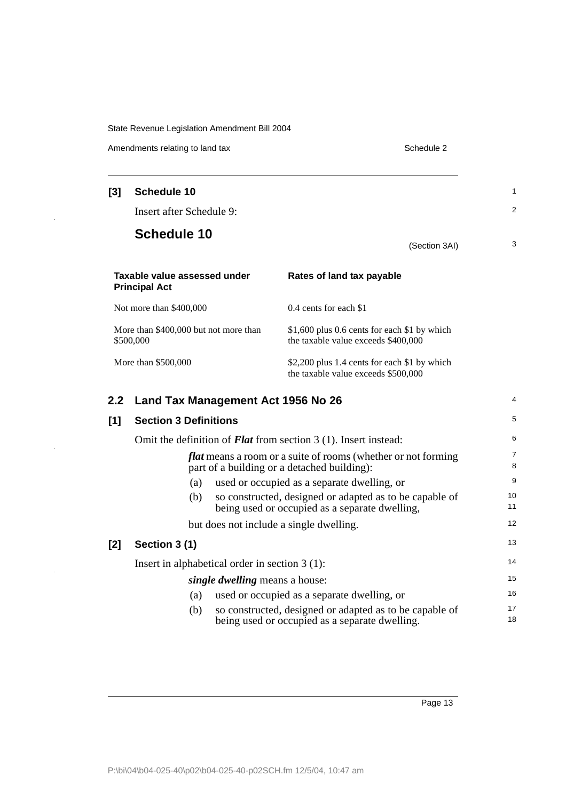Amendments relating to land tax Schedule 2

i.

l,

| $[3]$ | <b>Schedule 10</b>                                                       |                                                                                                                            |
|-------|--------------------------------------------------------------------------|----------------------------------------------------------------------------------------------------------------------------|
|       | Insert after Schedule 9:                                                 |                                                                                                                            |
|       | <b>Schedule 10</b>                                                       | (Section 3AI)                                                                                                              |
|       | Taxable value assessed under<br><b>Principal Act</b>                     | Rates of land tax payable                                                                                                  |
|       | Not more than \$400,000                                                  | 0.4 cents for each \$1                                                                                                     |
|       | More than \$400,000 but not more than<br>\$500,000                       | \$1,600 plus 0.6 cents for each \$1 by which<br>the taxable value exceeds \$400,000                                        |
|       | More than \$500,000                                                      | \$2,200 plus 1.4 cents for each \$1 by which<br>the taxable value exceeds \$500,000                                        |
| 2.2   | Land Tax Management Act 1956 No 26                                       |                                                                                                                            |
| [1]   | <b>Section 3 Definitions</b>                                             |                                                                                                                            |
|       | Omit the definition of <b>Flat</b> from section $3(1)$ . Insert instead: |                                                                                                                            |
|       |                                                                          | <b><i>flat</i></b> means a room or a suite of rooms (whether or not forming<br>part of a building or a detached building): |
|       | (a)                                                                      | used or occupied as a separate dwelling, or                                                                                |
|       | (b)                                                                      | so constructed, designed or adapted as to be capable of<br>being used or occupied as a separate dwelling,                  |
|       |                                                                          | but does not include a single dwelling.                                                                                    |
| [2]   | Section 3 (1)                                                            |                                                                                                                            |
|       | Insert in alphabetical order in section $3(1)$ :                         |                                                                                                                            |
|       | <i>single dwelling</i> means a house:                                    |                                                                                                                            |

| (a) | used or occupied as a separate dwelling, or             | 16 |
|-----|---------------------------------------------------------|----|
| (b) | so constructed, designed or adapted as to be capable of | 17 |
|     | heing used or occupied as a separate dwelling           | 18 |

being used or occupied as a separate dwelling.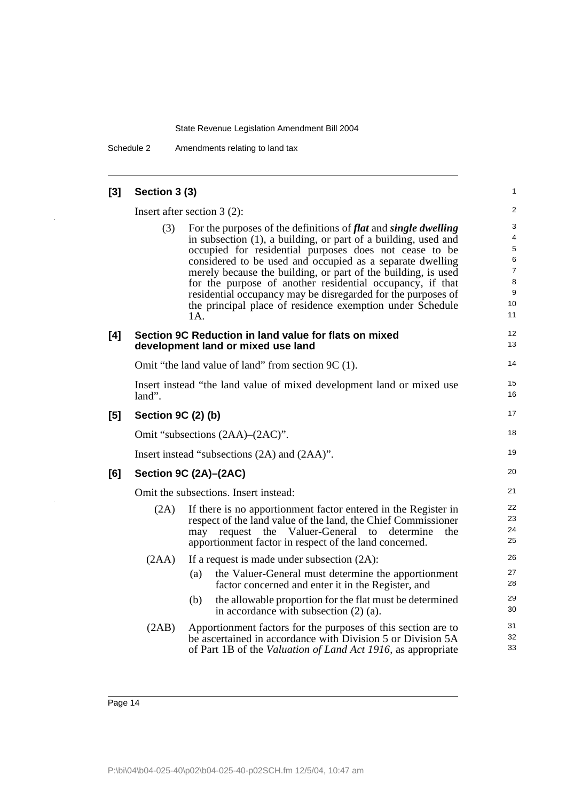Schedule 2 Amendments relating to land tax

| $[3]$ | Section 3 (3)      |                                                                                                                                                                                                                                                                                                                                                                                                                                                                                                                               |                                             |  |  |
|-------|--------------------|-------------------------------------------------------------------------------------------------------------------------------------------------------------------------------------------------------------------------------------------------------------------------------------------------------------------------------------------------------------------------------------------------------------------------------------------------------------------------------------------------------------------------------|---------------------------------------------|--|--|
|       |                    | Insert after section $3(2)$ :                                                                                                                                                                                                                                                                                                                                                                                                                                                                                                 | 2                                           |  |  |
|       | (3)                | For the purposes of the definitions of flat and single dwelling<br>in subsection $(1)$ , a building, or part of a building, used and<br>occupied for residential purposes does not cease to be<br>considered to be used and occupied as a separate dwelling<br>merely because the building, or part of the building, is used<br>for the purpose of another residential occupancy, if that<br>residential occupancy may be disregarded for the purposes of<br>the principal place of residence exemption under Schedule<br>1A. | 3<br>4<br>5<br>6<br>7<br>8<br>9<br>10<br>11 |  |  |
| [4]   |                    | Section 9C Reduction in land value for flats on mixed<br>development land or mixed use land                                                                                                                                                                                                                                                                                                                                                                                                                                   | 12<br>13                                    |  |  |
|       |                    | Omit "the land value of land" from section 9C (1).                                                                                                                                                                                                                                                                                                                                                                                                                                                                            | 14                                          |  |  |
|       | land".             | Insert instead "the land value of mixed development land or mixed use                                                                                                                                                                                                                                                                                                                                                                                                                                                         | 15<br>16                                    |  |  |
| [5]   | Section 9C (2) (b) |                                                                                                                                                                                                                                                                                                                                                                                                                                                                                                                               | 17                                          |  |  |
|       |                    | Omit "subsections (2AA)–(2AC)".                                                                                                                                                                                                                                                                                                                                                                                                                                                                                               | 18                                          |  |  |
|       |                    | Insert instead "subsections (2A) and (2AA)".                                                                                                                                                                                                                                                                                                                                                                                                                                                                                  | 19                                          |  |  |
| [6]   |                    | Section 9C (2A)-(2AC)                                                                                                                                                                                                                                                                                                                                                                                                                                                                                                         | 20                                          |  |  |
|       |                    | Omit the subsections. Insert instead:                                                                                                                                                                                                                                                                                                                                                                                                                                                                                         | 21                                          |  |  |
|       | (2A)               | If there is no apportionment factor entered in the Register in<br>respect of the land value of the land, the Chief Commissioner<br>may request the Valuer-General to determine<br>the<br>apportionment factor in respect of the land concerned.                                                                                                                                                                                                                                                                               | 22<br>23<br>24<br>25                        |  |  |
|       | (2AA)              | If a request is made under subsection $(2A)$ :                                                                                                                                                                                                                                                                                                                                                                                                                                                                                | 26                                          |  |  |
|       |                    | the Valuer-General must determine the apportionment<br>(a)<br>factor concerned and enter it in the Register, and                                                                                                                                                                                                                                                                                                                                                                                                              | 27<br>28                                    |  |  |
|       |                    | (b)<br>the allowable proportion for the flat must be determined<br>in accordance with subsection $(2)$ (a).                                                                                                                                                                                                                                                                                                                                                                                                                   | 29<br>30                                    |  |  |
|       | (2AB)              | Apportionment factors for the purposes of this section are to<br>be ascertained in accordance with Division 5 or Division 5A<br>of Part 1B of the Valuation of Land Act 1916, as appropriate                                                                                                                                                                                                                                                                                                                                  | 31<br>32<br>33                              |  |  |

Page 14

l,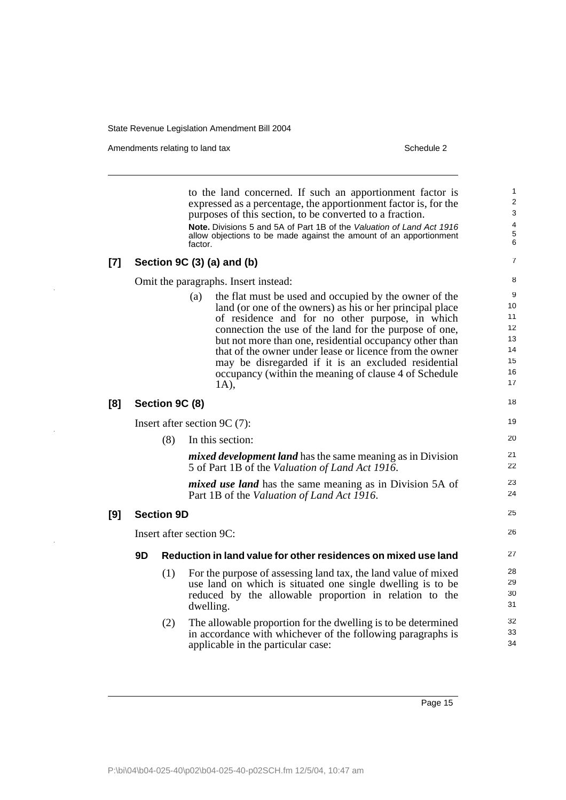Amendments relating to land tax Schedule 2

to the land concerned. If such an apportionment factor is expressed as a percentage, the apportionment factor is, for the purposes of this section, to be converted to a fraction. **Note.** Divisions 5 and 5A of Part 1B of the *Valuation of Land Act 1916* allow objections to be made against the amount of an apportionment factor. **[7] Section 9C (3) (a) and (b)** Omit the paragraphs. Insert instead: (a) the flat must be used and occupied by the owner of the land (or one of the owners) as his or her principal place of residence and for no other purpose, in which connection the use of the land for the purpose of one, but not more than one, residential occupancy other than that of the owner under lease or licence from the owner may be disregarded if it is an excluded residential occupancy (within the meaning of clause 4 of Schedule 1A), **[8] Section 9C (8)** Insert after section 9C (7): (8) In this section: *mixed development land* has the same meaning as in Division 5 of Part 1B of the *Valuation of Land Act 1916*. *mixed use land* has the same meaning as in Division 5A of Part 1B of the *Valuation of Land Act 1916*. **[9] Section 9D** Insert after section 9C: **9D Reduction in land value for other residences on mixed use land** (1) For the purpose of assessing land tax, the land value of mixed use land on which is situated one single dwelling is to be reduced by the allowable proportion in relation to the dwelling. (2) The allowable proportion for the dwelling is to be determined in accordance with whichever of the following paragraphs is applicable in the particular case: 1  $\overline{2}$ 3 4 5 6 7 8 9 10 11 12 13 14 15 16 17 18 19 20 21 22 23 24 25 26 27 28 29 30 31 32 33 34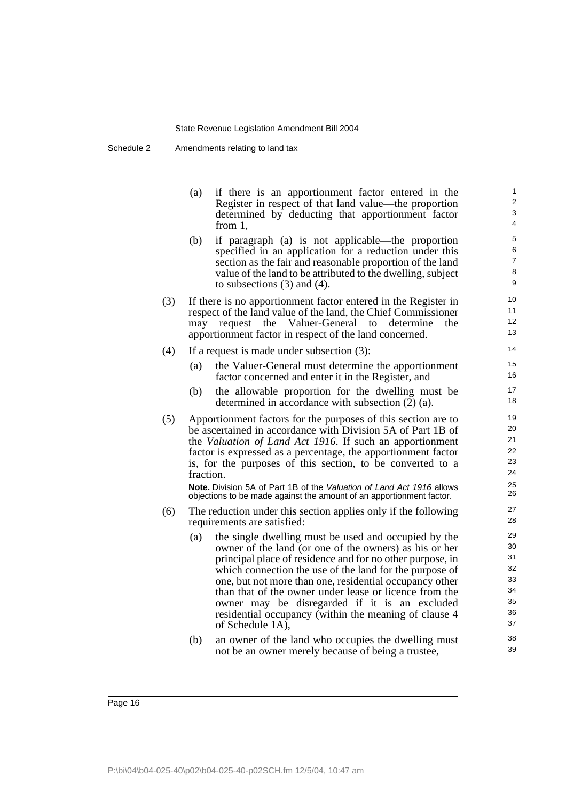Schedule 2 Amendments relating to land tax

| (a) | if there is an apportionment factor entered in the<br>Register in respect of that land value—the proportion<br>determined by deducting that apportionment factor                                                                                                                                                                                                                                                                                                                          | 1<br>2<br>3<br>4                                                                                                                                                                                                                                                                                                                                                                                                                                                                                                                                                                                                                                                                                                                                                                                                                                          |
|-----|-------------------------------------------------------------------------------------------------------------------------------------------------------------------------------------------------------------------------------------------------------------------------------------------------------------------------------------------------------------------------------------------------------------------------------------------------------------------------------------------|-----------------------------------------------------------------------------------------------------------------------------------------------------------------------------------------------------------------------------------------------------------------------------------------------------------------------------------------------------------------------------------------------------------------------------------------------------------------------------------------------------------------------------------------------------------------------------------------------------------------------------------------------------------------------------------------------------------------------------------------------------------------------------------------------------------------------------------------------------------|
| (b) | if paragraph (a) is not applicable—the proportion<br>specified in an application for a reduction under this<br>section as the fair and reasonable proportion of the land<br>value of the land to be attributed to the dwelling, subject<br>to subsections $(3)$ and $(4)$ .                                                                                                                                                                                                               | 5<br>6<br>$\overline{7}$<br>8<br>9                                                                                                                                                                                                                                                                                                                                                                                                                                                                                                                                                                                                                                                                                                                                                                                                                        |
|     | the Valuer-General<br>to<br>determine<br>the<br>request                                                                                                                                                                                                                                                                                                                                                                                                                                   | 10<br>11<br>12<br>13                                                                                                                                                                                                                                                                                                                                                                                                                                                                                                                                                                                                                                                                                                                                                                                                                                      |
|     |                                                                                                                                                                                                                                                                                                                                                                                                                                                                                           | 14                                                                                                                                                                                                                                                                                                                                                                                                                                                                                                                                                                                                                                                                                                                                                                                                                                                        |
| (a) | the Valuer-General must determine the apportionment<br>factor concerned and enter it in the Register, and                                                                                                                                                                                                                                                                                                                                                                                 | 15<br>16                                                                                                                                                                                                                                                                                                                                                                                                                                                                                                                                                                                                                                                                                                                                                                                                                                                  |
| (b) | the allowable proportion for the dwelling must be<br>determined in accordance with subsection (2) (a).                                                                                                                                                                                                                                                                                                                                                                                    | 17<br>18                                                                                                                                                                                                                                                                                                                                                                                                                                                                                                                                                                                                                                                                                                                                                                                                                                                  |
|     |                                                                                                                                                                                                                                                                                                                                                                                                                                                                                           | 19<br>20<br>21<br>22<br>23<br>24                                                                                                                                                                                                                                                                                                                                                                                                                                                                                                                                                                                                                                                                                                                                                                                                                          |
|     |                                                                                                                                                                                                                                                                                                                                                                                                                                                                                           | 25<br>26                                                                                                                                                                                                                                                                                                                                                                                                                                                                                                                                                                                                                                                                                                                                                                                                                                                  |
|     |                                                                                                                                                                                                                                                                                                                                                                                                                                                                                           | 27<br>28                                                                                                                                                                                                                                                                                                                                                                                                                                                                                                                                                                                                                                                                                                                                                                                                                                                  |
| (a) | the single dwelling must be used and occupied by the<br>owner of the land (or one of the owners) as his or her<br>principal place of residence and for no other purpose, in<br>which connection the use of the land for the purpose of<br>one, but not more than one, residential occupancy other<br>than that of the owner under lease or licence from the<br>owner may be disregarded if it is an excluded<br>residential occupancy (within the meaning of clause 4<br>of Schedule 1A), | 29<br>30<br>31<br>32<br>33<br>34<br>35<br>36<br>37                                                                                                                                                                                                                                                                                                                                                                                                                                                                                                                                                                                                                                                                                                                                                                                                        |
| (b) | an owner of the land who occupies the dwelling must<br>not be an owner merely because of being a trustee,                                                                                                                                                                                                                                                                                                                                                                                 | 38<br>39                                                                                                                                                                                                                                                                                                                                                                                                                                                                                                                                                                                                                                                                                                                                                                                                                                                  |
|     |                                                                                                                                                                                                                                                                                                                                                                                                                                                                                           | from $1$ ,<br>If there is no apportionment factor entered in the Register in<br>respect of the land value of the land, the Chief Commissioner<br>may<br>apportionment factor in respect of the land concerned.<br>If a request is made under subsection $(3)$ :<br>Apportionment factors for the purposes of this section are to<br>be ascertained in accordance with Division 5A of Part 1B of<br>the Valuation of Land Act 1916. If such an apportionment<br>factor is expressed as a percentage, the apportionment factor<br>is, for the purposes of this section, to be converted to a<br>fraction.<br>Note. Division 5A of Part 1B of the Valuation of Land Act 1916 allows<br>objections to be made against the amount of an apportionment factor.<br>The reduction under this section applies only if the following<br>requirements are satisfied: |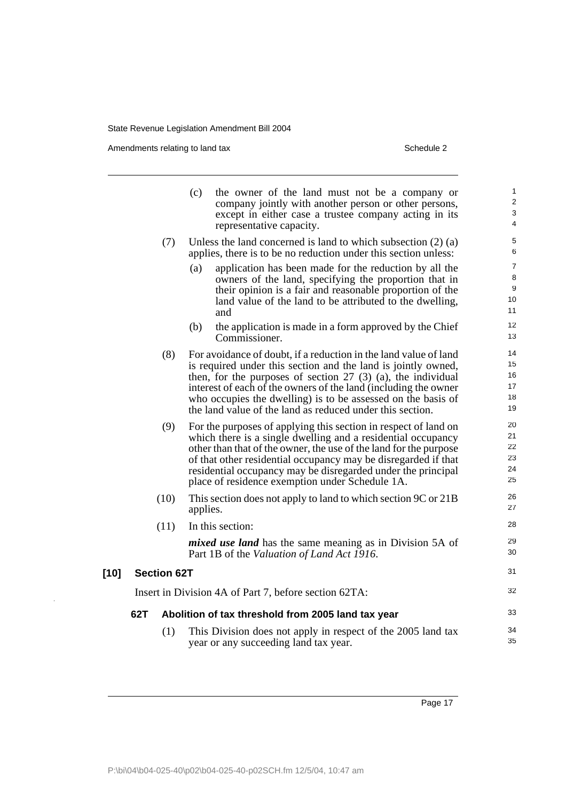Amendments relating to land tax Schedule 2

 $\frac{1}{2}$ 

|        |                                                       |                    | (c)<br>the owner of the land must not be a company or<br>company jointly with another person or other persons,<br>except in either case a trustee company acting in its<br>representative capacity.                                                                                                                                                                                                 | 1<br>$\overline{2}$<br>3<br>4        |
|--------|-------------------------------------------------------|--------------------|-----------------------------------------------------------------------------------------------------------------------------------------------------------------------------------------------------------------------------------------------------------------------------------------------------------------------------------------------------------------------------------------------------|--------------------------------------|
|        |                                                       | (7)                | Unless the land concerned is land to which subsection $(2)$ (a)<br>applies, there is to be no reduction under this section unless:                                                                                                                                                                                                                                                                  | 5<br>6                               |
|        |                                                       |                    | (a)<br>application has been made for the reduction by all the<br>owners of the land, specifying the proportion that in<br>their opinion is a fair and reasonable proportion of the<br>land value of the land to be attributed to the dwelling,<br>and                                                                                                                                               | $\overline{7}$<br>8<br>9<br>10<br>11 |
|        |                                                       |                    | (b)<br>the application is made in a form approved by the Chief<br>Commissioner.                                                                                                                                                                                                                                                                                                                     | 12<br>13                             |
|        | (8)                                                   |                    | For avoidance of doubt, if a reduction in the land value of land<br>is required under this section and the land is jointly owned,<br>then, for the purposes of section $27$ (3) (a), the individual<br>interest of each of the owners of the land (including the owner<br>who occupies the dwelling) is to be assessed on the basis of<br>the land value of the land as reduced under this section. | 14<br>15<br>16<br>17<br>18<br>19     |
|        |                                                       | (9)                | For the purposes of applying this section in respect of land on<br>which there is a single dwelling and a residential occupancy<br>other than that of the owner, the use of the land for the purpose<br>of that other residential occupancy may be disregarded if that<br>residential occupancy may be disregarded under the principal<br>place of residence exemption under Schedule 1A.           | 20<br>21<br>22<br>23<br>24<br>25     |
|        |                                                       | (10)               | This section does not apply to land to which section 9C or 21B<br>applies.                                                                                                                                                                                                                                                                                                                          | 26<br>27                             |
|        |                                                       | (11)               | In this section:                                                                                                                                                                                                                                                                                                                                                                                    | 28                                   |
|        |                                                       |                    | <i>mixed use land</i> has the same meaning as in Division 5A of<br>Part 1B of the Valuation of Land Act 1916.                                                                                                                                                                                                                                                                                       | 29<br>30                             |
| $[10]$ |                                                       | <b>Section 62T</b> |                                                                                                                                                                                                                                                                                                                                                                                                     | 31                                   |
|        | Insert in Division 4A of Part 7, before section 62TA: |                    |                                                                                                                                                                                                                                                                                                                                                                                                     |                                      |
|        | 62T                                                   |                    | Abolition of tax threshold from 2005 land tax year                                                                                                                                                                                                                                                                                                                                                  | 33                                   |
|        |                                                       | (1)                | This Division does not apply in respect of the 2005 land tax<br>year or any succeeding land tax year.                                                                                                                                                                                                                                                                                               | 34<br>35                             |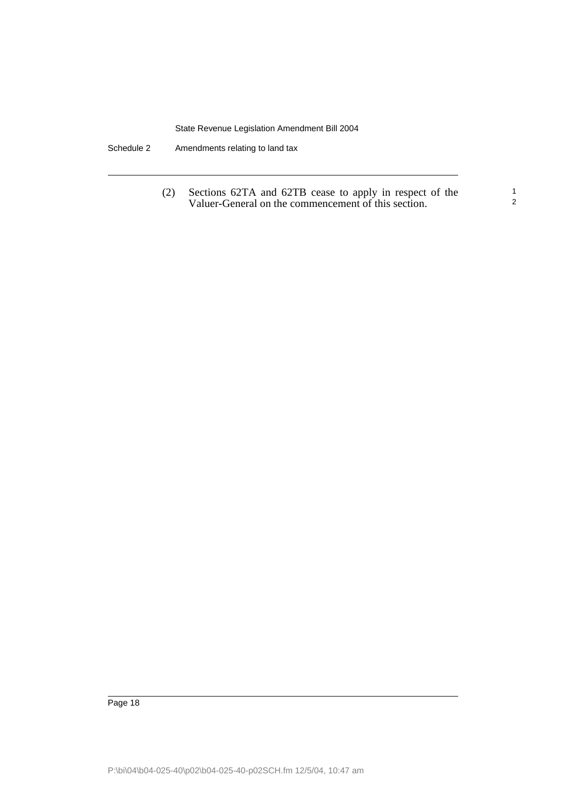- Schedule 2 Amendments relating to land tax
	- (2) Sections 62TA and 62TB cease to apply in respect of the Valuer-General on the commencement of this section.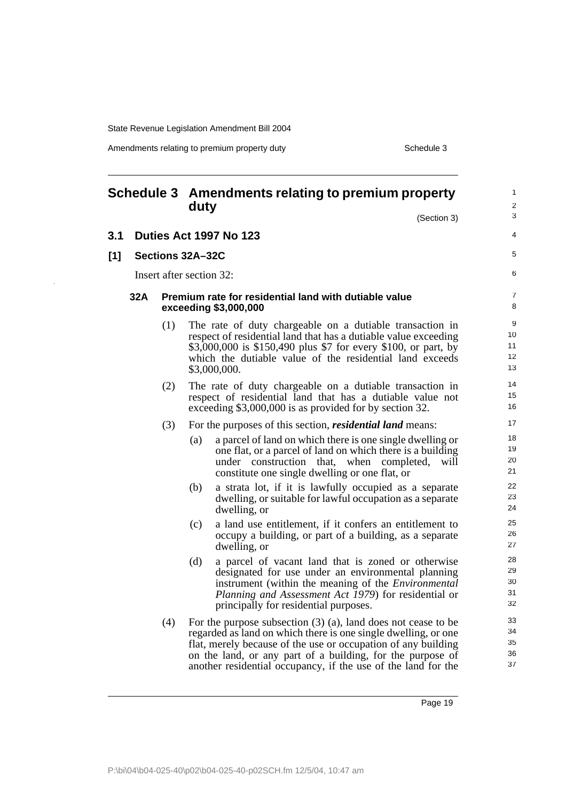Amendments relating to premium property duty example 3 Schedule 3

<span id="page-20-0"></span>

|     |     |                          | duty | Schedule 3 Amendments relating to premium property                                                                                                                                                                                                                                                                                   | $\mathbf{1}$<br>2          |
|-----|-----|--------------------------|------|--------------------------------------------------------------------------------------------------------------------------------------------------------------------------------------------------------------------------------------------------------------------------------------------------------------------------------------|----------------------------|
|     |     |                          |      | (Section 3)                                                                                                                                                                                                                                                                                                                          | 3                          |
| 3.1 |     |                          |      | Duties Act 1997 No 123                                                                                                                                                                                                                                                                                                               | 4                          |
| [1] |     | Sections 32A-32C         |      |                                                                                                                                                                                                                                                                                                                                      | 5                          |
|     |     | Insert after section 32: |      |                                                                                                                                                                                                                                                                                                                                      | 6                          |
|     | 32A |                          |      | Premium rate for residential land with dutiable value<br>exceeding \$3,000,000                                                                                                                                                                                                                                                       | 7<br>8                     |
|     |     | (1)                      |      | The rate of duty chargeable on a dutiable transaction in<br>respect of residential land that has a dutiable value exceeding<br>\$3,000,000 is \$150,490 plus \$7 for every \$100, or part, by<br>which the dutiable value of the residential land exceeds<br>\$3,000,000.                                                            | 9<br>10<br>11<br>12<br>13  |
|     |     | (2)                      |      | The rate of duty chargeable on a dutiable transaction in<br>respect of residential land that has a dutiable value not<br>exceeding \$3,000,000 is as provided for by section 32.                                                                                                                                                     | 14<br>15<br>16             |
|     |     | (3)                      |      | For the purposes of this section, <i>residential land</i> means:                                                                                                                                                                                                                                                                     | 17                         |
|     |     |                          | (a)  | a parcel of land on which there is one single dwelling or<br>one flat, or a parcel of land on which there is a building<br>under construction that, when completed,<br>will<br>constitute one single dwelling or one flat, or                                                                                                        | 18<br>19<br>20<br>21       |
|     |     |                          | (b)  | a strata lot, if it is lawfully occupied as a separate<br>dwelling, or suitable for lawful occupation as a separate<br>dwelling, or                                                                                                                                                                                                  | 22<br>23<br>24             |
|     |     |                          | (c)  | a land use entitlement, if it confers an entitlement to<br>occupy a building, or part of a building, as a separate<br>dwelling, or                                                                                                                                                                                                   | 25<br>26<br>27             |
|     |     |                          | (d)  | a parcel of vacant land that is zoned or otherwise<br>designated for use under an environmental planning<br>instrument (within the meaning of the <i>Environmental</i><br><i>Planning and Assessment Act 1979</i> ) for residential or<br>principally for residential purposes.                                                      | 28<br>29<br>30<br>31<br>32 |
|     |     | (4)                      |      | For the purpose subsection $(3)$ $(a)$ , land does not cease to be<br>regarded as land on which there is one single dwelling, or one<br>flat, merely because of the use or occupation of any building<br>on the land, or any part of a building, for the purpose of<br>another residential occupancy, if the use of the land for the | 33<br>34<br>35<br>36<br>37 |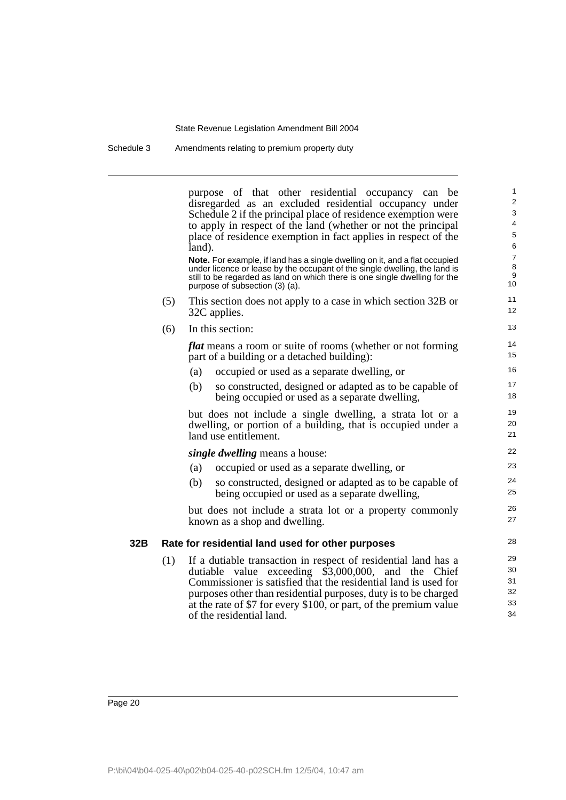Schedule 3 Amendments relating to premium property duty

purpose of that other residential occupancy can be disregarded as an excluded residential occupancy under Schedule 2 if the principal place of residence exemption were to apply in respect of the land (whether or not the principal place of residence exemption in fact applies in respect of the land).

**Note.** For example, if land has a single dwelling on it, and a flat occupied under licence or lease by the occupant of the single dwelling, the land is still to be regarded as land on which there is one single dwelling for the purpose of subsection (3) (a).

- (5) This section does not apply to a case in which section 32B or 32C applies.
- (6) In this section:

*flat* means a room or suite of rooms (whether or not forming part of a building or a detached building):

- (a) occupied or used as a separate dwelling, or
- (b) so constructed, designed or adapted as to be capable of being occupied or used as a separate dwelling,

but does not include a single dwelling, a strata lot or a dwelling, or portion of a building, that is occupied under a land use entitlement.

### *single dwelling* means a house:

- (a) occupied or used as a separate dwelling, or
- (b) so constructed, designed or adapted as to be capable of being occupied or used as a separate dwelling,

but does not include a strata lot or a property commonly known as a shop and dwelling.

#### **32B Rate for residential land used for other purposes**

(1) If a dutiable transaction in respect of residential land has a dutiable value exceeding \$3,000,000, and the Chief Commissioner is satisfied that the residential land is used for purposes other than residential purposes, duty is to be charged at the rate of \$7 for every \$100, or part, of the premium value of the residential land.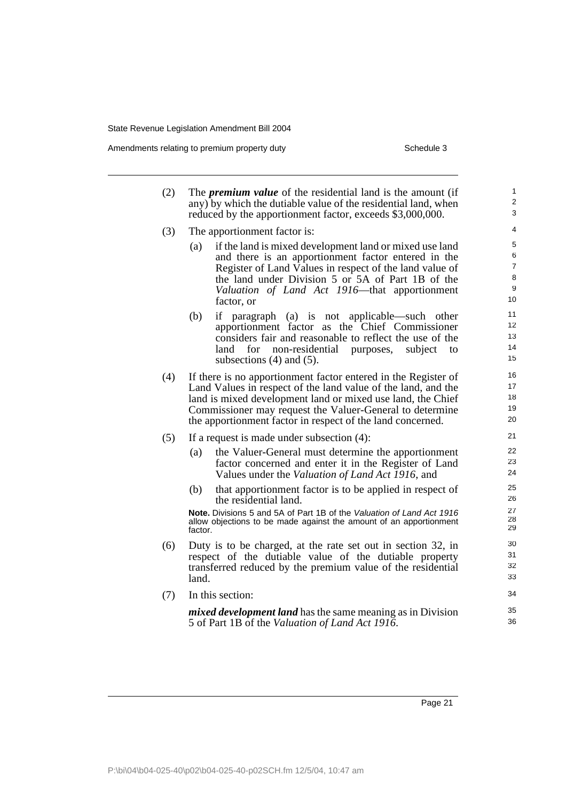Amendments relating to premium property duty example 3 Schedule 3

| (2) | The <i>premium value</i> of the residential land is the amount (if<br>any) by which the dutiable value of the residential land, when<br>reduced by the apportionment factor, exceeds \$3,000,000.                                                                                                                        | 1<br>$\overline{\mathbf{c}}$<br>3        |
|-----|--------------------------------------------------------------------------------------------------------------------------------------------------------------------------------------------------------------------------------------------------------------------------------------------------------------------------|------------------------------------------|
| (3) | The apportionment factor is:                                                                                                                                                                                                                                                                                             | 4                                        |
|     | if the land is mixed development land or mixed use land<br>(a)<br>and there is an apportionment factor entered in the<br>Register of Land Values in respect of the land value of<br>the land under Division 5 or 5A of Part 1B of the<br>Valuation of Land Act 1916-that apportionment<br>factor, or                     | 5<br>6<br>$\overline{7}$<br>8<br>9<br>10 |
|     | (b)<br>if paragraph (a) is not applicable—such other<br>apportionment factor as the Chief Commissioner<br>considers fair and reasonable to reflect the use of the<br>land<br>for<br>non-residential<br>subject<br>purposes,<br>to<br>subsections $(4)$ and $(5)$ .                                                       | 11<br>12<br>13<br>14<br>15               |
| (4) | If there is no apportionment factor entered in the Register of<br>Land Values in respect of the land value of the land, and the<br>land is mixed development land or mixed use land, the Chief<br>Commissioner may request the Valuer-General to determine<br>the apportionment factor in respect of the land concerned. | 16<br>17<br>18<br>19<br>20               |
| (5) | If a request is made under subsection $(4)$ :                                                                                                                                                                                                                                                                            | 21                                       |
|     | the Valuer-General must determine the apportionment<br>(a)<br>factor concerned and enter it in the Register of Land<br>Values under the Valuation of Land Act 1916, and                                                                                                                                                  | 22<br>23<br>24                           |
|     | that apportionment factor is to be applied in respect of<br>(b)<br>the residential land.                                                                                                                                                                                                                                 | 25<br>26                                 |
|     | Note. Divisions 5 and 5A of Part 1B of the Valuation of Land Act 1916<br>allow objections to be made against the amount of an apportionment<br>factor.                                                                                                                                                                   | 27<br>28<br>29                           |
| (6) | Duty is to be charged, at the rate set out in section 32, in<br>respect of the dutiable value of the dutiable property<br>transferred reduced by the premium value of the residential<br>land.                                                                                                                           | 30<br>31<br>32<br>33                     |
| (7) | In this section:                                                                                                                                                                                                                                                                                                         | 34                                       |
|     | <i>mixed development land</i> has the same meaning as in Division<br>5 of Part 1B of the Valuation of Land Act 1916.                                                                                                                                                                                                     | 35<br>36                                 |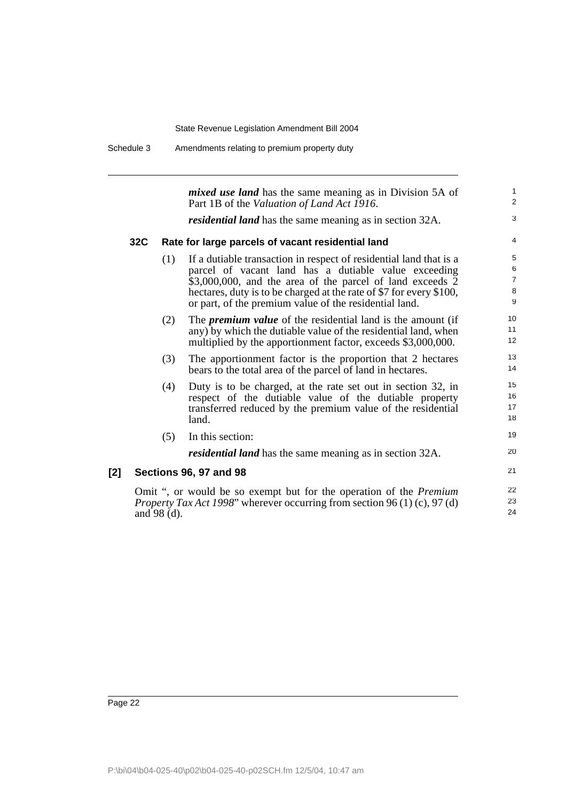Schedule 3 Amendments relating to premium property duty

*mixed use land* has the same meaning as in Division 5A of Part 1B of the *Valuation of Land Act 1916*. *residential land* has the same meaning as in section 32A. **32C Rate for large parcels of vacant residential land** (1) If a dutiable transaction in respect of residential land that is a parcel of vacant land has a dutiable value exceeding \$3,000,000, and the area of the parcel of land exceeds 2 hectares, duty is to be charged at the rate of \$7 for every \$100, or part, of the premium value of the residential land. (2) The *premium value* of the residential land is the amount (if any) by which the dutiable value of the residential land, when multiplied by the apportionment factor, exceeds \$3,000,000. (3) The apportionment factor is the proportion that 2 hectares bears to the total area of the parcel of land in hectares. (4) Duty is to be charged, at the rate set out in section 32, in respect of the dutiable value of the dutiable property transferred reduced by the premium value of the residential land. (5) In this section: *residential land* has the same meaning as in section 32A. **[2] Sections 96, 97 and 98** Omit ", or would be so exempt but for the operation of the *Premium Property Tax Act 1998*" wherever occurring from section 96 (1) (c), 97 (d) and 98 (d). 1  $\overline{2}$ 3 4 5 6 7 8 9 10 11 12 13 14 15 16 17 18 19 20 21 22 23 24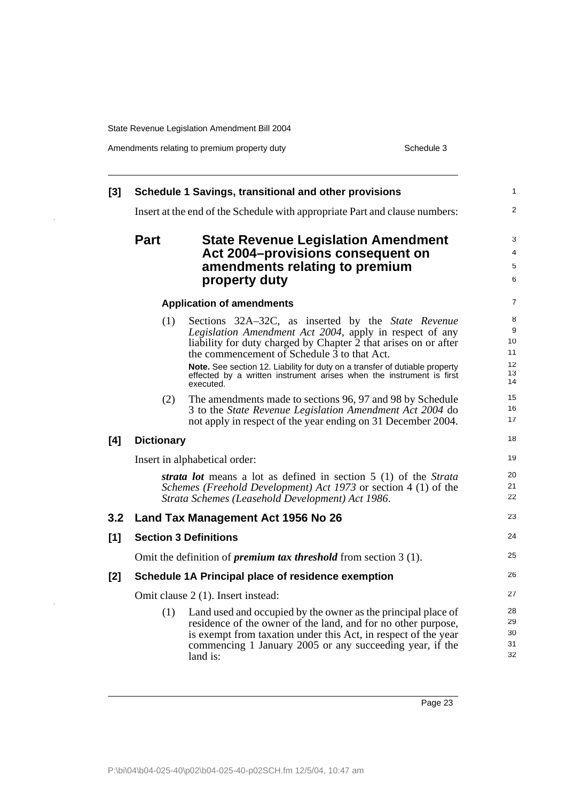Amendments relating to premium property duty

| Schedule 3 |  |  |
|------------|--|--|

| [3] |                                                                             | Schedule 1 Savings, transitional and other provisions                                                                                                                                                                                                                                                                                                                                               | 1                                    |
|-----|-----------------------------------------------------------------------------|-----------------------------------------------------------------------------------------------------------------------------------------------------------------------------------------------------------------------------------------------------------------------------------------------------------------------------------------------------------------------------------------------------|--------------------------------------|
|     | Insert at the end of the Schedule with appropriate Part and clause numbers: |                                                                                                                                                                                                                                                                                                                                                                                                     |                                      |
|     | <b>Part</b>                                                                 | <b>State Revenue Legislation Amendment</b>                                                                                                                                                                                                                                                                                                                                                          | 3                                    |
|     |                                                                             | Act 2004–provisions consequent on                                                                                                                                                                                                                                                                                                                                                                   | $\overline{4}$                       |
|     |                                                                             | amendments relating to premium<br>property duty                                                                                                                                                                                                                                                                                                                                                     | 5<br>6                               |
|     |                                                                             | <b>Application of amendments</b>                                                                                                                                                                                                                                                                                                                                                                    | $\overline{7}$                       |
|     | (1)                                                                         | Sections 32A-32C, as inserted by the State Revenue<br>Legislation Amendment Act 2004, apply in respect of any<br>liability for duty charged by Chapter 2 that arises on or after<br>the commencement of Schedule 3 to that Act.<br>Note. See section 12. Liability for duty on a transfer of dutiable property<br>effected by a written instrument arises when the instrument is first<br>executed. | 8<br>9<br>10<br>11<br>12<br>13<br>14 |
|     | (2)                                                                         | The amendments made to sections 96, 97 and 98 by Schedule<br>3 to the State Revenue Legislation Amendment Act 2004 do<br>not apply in respect of the year ending on 31 December 2004.                                                                                                                                                                                                               | 15<br>16<br>17                       |
| [4] | <b>Dictionary</b>                                                           |                                                                                                                                                                                                                                                                                                                                                                                                     | 18                                   |
|     |                                                                             | Insert in alphabetical order:                                                                                                                                                                                                                                                                                                                                                                       | 19                                   |
|     |                                                                             | strata lot means a lot as defined in section 5 (1) of the Strata<br>Schemes (Freehold Development) Act 1973 or section 4 (1) of the<br>Strata Schemes (Leasehold Development) Act 1986.                                                                                                                                                                                                             | 20<br>21<br>22                       |
| 3.2 |                                                                             | Land Tax Management Act 1956 No 26                                                                                                                                                                                                                                                                                                                                                                  | 23                                   |
| [1] |                                                                             | <b>Section 3 Definitions</b>                                                                                                                                                                                                                                                                                                                                                                        | 24                                   |
|     |                                                                             | Omit the definition of <i>premium tax threshold</i> from section $3(1)$ .                                                                                                                                                                                                                                                                                                                           | 25                                   |
| [2] |                                                                             | Schedule 1A Principal place of residence exemption                                                                                                                                                                                                                                                                                                                                                  | 26                                   |
|     |                                                                             | Omit clause 2 (1). Insert instead:                                                                                                                                                                                                                                                                                                                                                                  | 27                                   |
|     | (1)                                                                         | Land used and occupied by the owner as the principal place of<br>residence of the owner of the land, and for no other purpose,<br>is exempt from taxation under this Act, in respect of the year<br>commencing 1 January 2005 or any succeeding year, if the<br>land is:                                                                                                                            | 28<br>29<br>30<br>31<br>32           |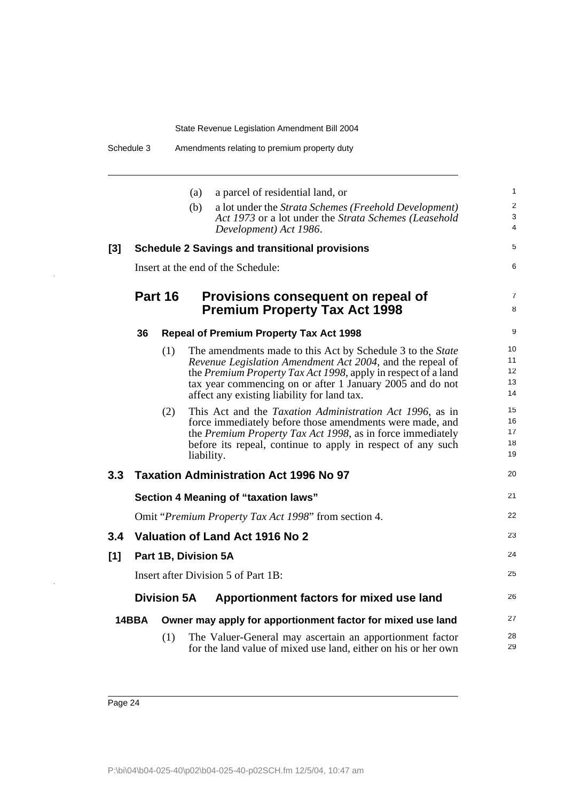|       |       |                    | (a)<br>(b) | a parcel of residential land, or<br>a lot under the Strata Schemes (Freehold Development)<br>Act 1973 or a lot under the Strata Schemes (Leasehold<br>Development) Act 1986.                                                                                                                                         | 1<br>$\overline{c}$<br>3<br>4 |
|-------|-------|--------------------|------------|----------------------------------------------------------------------------------------------------------------------------------------------------------------------------------------------------------------------------------------------------------------------------------------------------------------------|-------------------------------|
| [3]   |       |                    |            | <b>Schedule 2 Savings and transitional provisions</b>                                                                                                                                                                                                                                                                | 5                             |
|       |       |                    |            | Insert at the end of the Schedule:                                                                                                                                                                                                                                                                                   | 6                             |
|       |       | Part 16            |            | Provisions consequent on repeal of<br><b>Premium Property Tax Act 1998</b>                                                                                                                                                                                                                                           | 7<br>8                        |
|       | 36    |                    |            | <b>Repeal of Premium Property Tax Act 1998</b>                                                                                                                                                                                                                                                                       | 9                             |
|       |       | (1)                |            | The amendments made to this Act by Schedule 3 to the State<br><i>Revenue Legislation Amendment Act 2004</i> , and the repeal of<br>the <i>Premium Property Tax Act 1998</i> , apply in respect of a land<br>tax year commencing on or after 1 January 2005 and do not<br>affect any existing liability for land tax. | 10<br>11<br>12<br>13<br>14    |
|       |       | (2)                | liability. | This Act and the Taxation Administration Act 1996, as in<br>force immediately before those amendments were made, and<br>the <i>Premium Property Tax Act 1998</i> , as in force immediately<br>before its repeal, continue to apply in respect of any such                                                            | 15<br>16<br>17<br>18<br>19    |
| 3.3   |       |                    |            | <b>Taxation Administration Act 1996 No 97</b>                                                                                                                                                                                                                                                                        | 20                            |
|       |       |                    |            | <b>Section 4 Meaning of "taxation laws"</b>                                                                                                                                                                                                                                                                          | 21                            |
|       |       |                    |            | Omit "Premium Property Tax Act 1998" from section 4.                                                                                                                                                                                                                                                                 | 22                            |
| 3.4   |       |                    |            | Valuation of Land Act 1916 No 2                                                                                                                                                                                                                                                                                      | 23                            |
| $[1]$ |       |                    |            | Part 1B, Division 5A                                                                                                                                                                                                                                                                                                 | 24                            |
|       |       |                    |            | Insert after Division 5 of Part 1B:                                                                                                                                                                                                                                                                                  | 25                            |
|       |       | <b>Division 5A</b> |            | Apportionment factors for mixed use land                                                                                                                                                                                                                                                                             | 26                            |
|       | 14BBA |                    |            | Owner may apply for apportionment factor for mixed use land                                                                                                                                                                                                                                                          | 27                            |
|       |       | (1)                |            | The Valuer-General may ascertain an apportionment factor<br>for the land value of mixed use land, either on his or her own                                                                                                                                                                                           | 28<br>29                      |

 $\hat{\boldsymbol{\beta}}$ 

 $\bar{z}$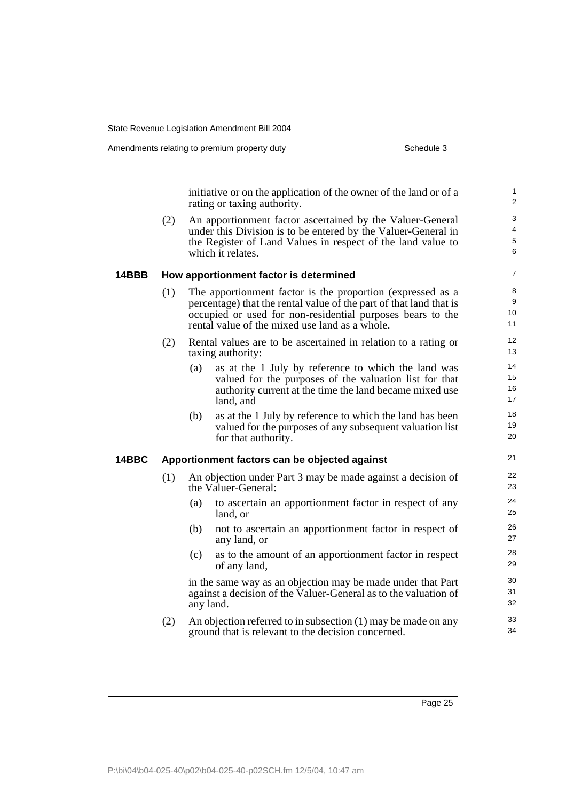Amendments relating to premium property duty Theorem 2003 Schedule 3

initiative or on the application of the owner of the land or of a rating or taxing authority. (2) An apportionment factor ascertained by the Valuer-General under this Division is to be entered by the Valuer-General in the Register of Land Values in respect of the land value to which it relates. **14BBB How apportionment factor is determined** (1) The apportionment factor is the proportion (expressed as a percentage) that the rental value of the part of that land that is occupied or used for non-residential purposes bears to the rental value of the mixed use land as a whole. (2) Rental values are to be ascertained in relation to a rating or taxing authority: (a) as at the 1 July by reference to which the land was valued for the purposes of the valuation list for that authority current at the time the land became mixed use land, and (b) as at the 1 July by reference to which the land has been valued for the purposes of any subsequent valuation list for that authority. **14BBC Apportionment factors can be objected against** (1) An objection under Part 3 may be made against a decision of the Valuer-General: (a) to ascertain an apportionment factor in respect of any land, or (b) not to ascertain an apportionment factor in respect of any land, or (c) as to the amount of an apportionment factor in respect of any land, in the same way as an objection may be made under that Part against a decision of the Valuer-General as to the valuation of any land. (2) An objection referred to in subsection (1) may be made on any 1  $\overline{2}$ 3 4 5 6 7 8 9 10 11 12 13 14 15 16 17 18 19 20 21 22 23 24 25 26 27 28 29 30 31 32 33 34

ground that is relevant to the decision concerned.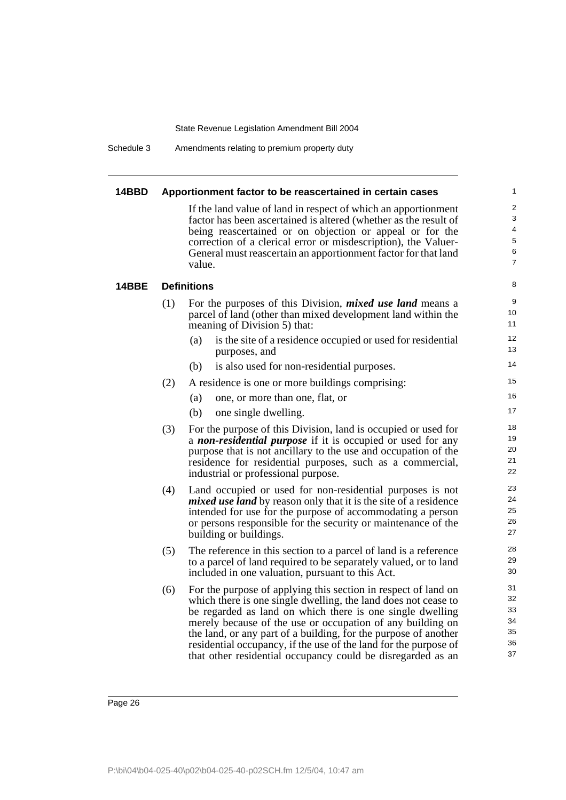Schedule 3 Amendments relating to premium property duty

If the land value of land in respect of which an apportionment factor has been ascertained is altered (whether as the result of being reascertained or on objection or appeal or for the correction of a clerical error or misdescription), the Valuer-General must reascertain an apportionment factor for that land value.

#### **14BBE Definitions**

- (1) For the purposes of this Division, *mixed use land* means a parcel of land (other than mixed development land within the meaning of Division 5) that:
	- (a) is the site of a residence occupied or used for residential purposes, and

#### (b) is also used for non-residential purposes.

#### (2) A residence is one or more buildings comprising:

- (a) one, or more than one, flat, or
- (b) one single dwelling.
- (3) For the purpose of this Division, land is occupied or used for a *non-residential purpose* if it is occupied or used for any purpose that is not ancillary to the use and occupation of the residence for residential purposes, such as a commercial, industrial or professional purpose.
- (4) Land occupied or used for non-residential purposes is not *mixed use land* by reason only that it is the site of a residence intended for use for the purpose of accommodating a person or persons responsible for the security or maintenance of the building or buildings.
- (5) The reference in this section to a parcel of land is a reference to a parcel of land required to be separately valued, or to land included in one valuation, pursuant to this Act.
- (6) For the purpose of applying this section in respect of land on which there is one single dwelling, the land does not cease to be regarded as land on which there is one single dwelling merely because of the use or occupation of any building on the land, or any part of a building, for the purpose of another residential occupancy, if the use of the land for the purpose of that other residential occupancy could be disregarded as an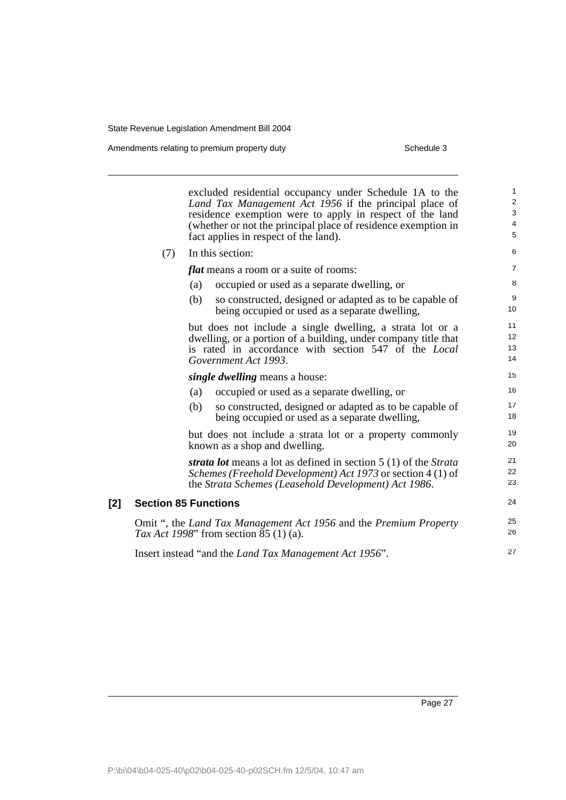Amendments relating to premium property duty Theorem 2003 Schedule 3

excluded residential occupancy under Schedule 1A to the *Land Tax Management Act 1956* if the principal place of residence exemption were to apply in respect of the land (whether or not the principal place of residence exemption in fact applies in respect of the land). (7) In this section: *flat* means a room or a suite of rooms: (a) occupied or used as a separate dwelling, or (b) so constructed, designed or adapted as to be capable of being occupied or used as a separate dwelling, but does not include a single dwelling, a strata lot or a dwelling, or a portion of a building, under company title that is rated in accordance with section 547 of the *Local Government Act 1993*. *single dwelling* means a house: (a) occupied or used as a separate dwelling, or (b) so constructed, designed or adapted as to be capable of being occupied or used as a separate dwelling, but does not include a strata lot or a property commonly known as a shop and dwelling. *strata lot* means a lot as defined in section 5 (1) of the *Strata Schemes (Freehold Development) Act 1973* or section 4 (1) of the *Strata Schemes (Leasehold Development) Act 1986*. **[2] Section 85 Functions** Omit ", the *Land Tax Management Act 1956* and the *Premium Property Tax Act 1998*" from section 85 (1) (a). Insert instead "and the *Land Tax Management Act 1956*". 1 2 3 4 5 6 7 8 9 10 11 12 13 14 15 16 17 18 19 20  $21$ 22 23 24 25 26 27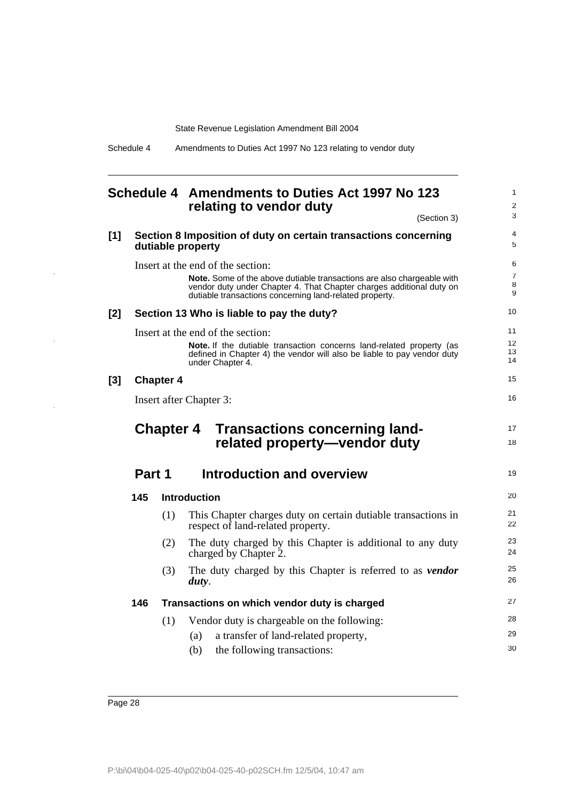Schedule 4 Amendments to Duties Act 1997 No 123 relating to vendor duty

#### <span id="page-29-0"></span>**Schedule 4 Amendments to Duties Act 1997 No 123 relating to vendor duty** (Section 3)

### **[1] Section 8 Imposition of duty on certain transactions concerning dutiable property**

Insert at the end of the section:

**Note.** Some of the above dutiable transactions are also chargeable with vendor duty under Chapter 4. That Chapter charges additional duty on dutiable transactions concerning land-related property.

16

17 18

19

### **[2] Section 13 Who is liable to pay the duty?**

Insert at the end of the section:

**Note.** If the dutiable transaction concerns land-related property (as defined in Chapter 4) the vendor will also be liable to pay vendor duty under Chapter 4.

#### **[3] Chapter 4**

Insert after Chapter 3:

## **Chapter 4 Transactions concerning landrelated property—vendor duty**

### **Part 1** Introduction and overview

| 145 | <b>Introduction</b> |                                                                                                    |          |  |  |
|-----|---------------------|----------------------------------------------------------------------------------------------------|----------|--|--|
|     | (1)                 | This Chapter charges duty on certain dutiable transactions in<br>respect of land-related property. | 21<br>22 |  |  |
|     | (2)                 | The duty charged by this Chapter is additional to any duty<br>charged by Chapter 2.                | 23<br>24 |  |  |
|     | (3)                 | The duty charged by this Chapter is referred to as <i>vendor</i><br>duty.                          | 25<br>26 |  |  |
| 146 |                     | Transactions on which vendor duty is charged                                                       | 27       |  |  |
|     | (1)                 | Vendor duty is chargeable on the following:                                                        | 28       |  |  |
|     |                     | a transfer of land-related property,<br>(a)                                                        | 29       |  |  |
|     |                     | the following transactions:<br>(b)                                                                 | 30       |  |  |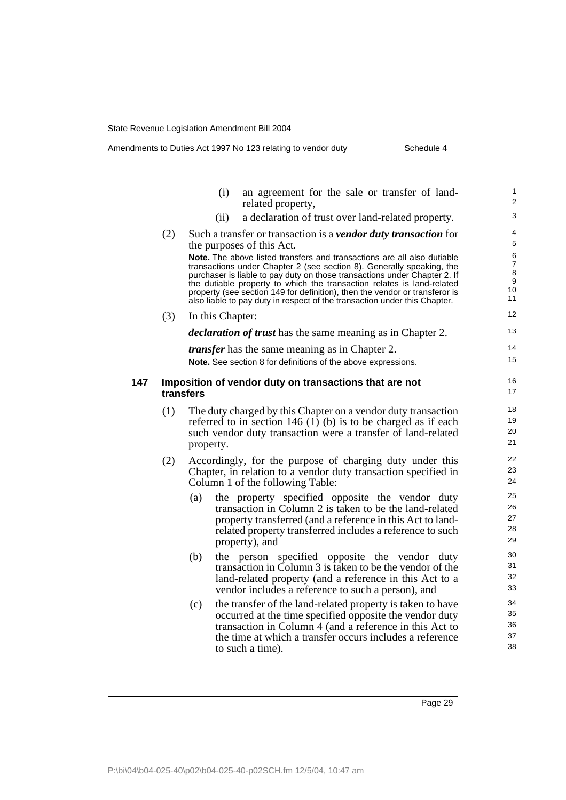Amendments to Duties Act 1997 No 123 relating to vendor duty

| Schedule 4 |  |
|------------|--|
|            |  |

|     |     | (i)<br>an agreement for the sale or transfer of land-                                                                                                                                                                                                                                                                                                                                                                                                                      | 1<br>2                                    |
|-----|-----|----------------------------------------------------------------------------------------------------------------------------------------------------------------------------------------------------------------------------------------------------------------------------------------------------------------------------------------------------------------------------------------------------------------------------------------------------------------------------|-------------------------------------------|
|     |     | related property,<br>a declaration of trust over land-related property.<br>(ii)                                                                                                                                                                                                                                                                                                                                                                                            | 3                                         |
|     | (2) | Such a transfer or transaction is a vendor duty transaction for<br>the purposes of this Act.                                                                                                                                                                                                                                                                                                                                                                               | 4<br>5                                    |
|     |     | <b>Note.</b> The above listed transfers and transactions are all also dutiable<br>transactions under Chapter 2 (see section 8). Generally speaking, the<br>purchaser is liable to pay duty on those transactions under Chapter 2. If<br>the dutiable property to which the transaction relates is land-related<br>property (see section 149 for definition), then the vendor or transferor is<br>also liable to pay duty in respect of the transaction under this Chapter. | 6<br>$\overline{7}$<br>8<br>9<br>10<br>11 |
|     | (3) | In this Chapter:                                                                                                                                                                                                                                                                                                                                                                                                                                                           | 12                                        |
|     |     | <i>declaration of trust</i> has the same meaning as in Chapter 2.                                                                                                                                                                                                                                                                                                                                                                                                          | 13                                        |
|     |     | <i>transfer</i> has the same meaning as in Chapter 2.                                                                                                                                                                                                                                                                                                                                                                                                                      | 14                                        |
|     |     | Note. See section 8 for definitions of the above expressions.                                                                                                                                                                                                                                                                                                                                                                                                              | 15                                        |
| 147 |     | Imposition of vendor duty on transactions that are not<br>transfers                                                                                                                                                                                                                                                                                                                                                                                                        | 16<br>17                                  |
|     | (1) | The duty charged by this Chapter on a vendor duty transaction<br>referred to in section 146 $(1)$ (b) is to be charged as if each<br>such vendor duty transaction were a transfer of land-related<br>property.                                                                                                                                                                                                                                                             | 18<br>19<br>20<br>21                      |
|     | (2) | Accordingly, for the purpose of charging duty under this<br>Chapter, in relation to a vendor duty transaction specified in<br>Column 1 of the following Table:                                                                                                                                                                                                                                                                                                             | 22<br>23<br>24                            |
|     |     | the property specified opposite the vendor duty<br>(a)<br>transaction in Column 2 is taken to be the land-related<br>property transferred (and a reference in this Act to land-<br>related property transferred includes a reference to such<br>property), and                                                                                                                                                                                                             | 25<br>26<br>27<br>28<br>29                |
|     |     | (b)<br>the person specified opposite the vendor duty<br>transaction in Column 3 is taken to be the vendor of the<br>land-related property (and a reference in this Act to a<br>vendor includes a reference to such a person), and                                                                                                                                                                                                                                          | 30<br>31<br>32<br>33                      |
|     |     | the transfer of the land-related property is taken to have<br>(c)<br>occurred at the time specified opposite the vendor duty<br>transaction in Column 4 (and a reference in this Act to<br>the time at which a transfer occurs includes a reference<br>to such a time).                                                                                                                                                                                                    | 34<br>35<br>36<br>37<br>38                |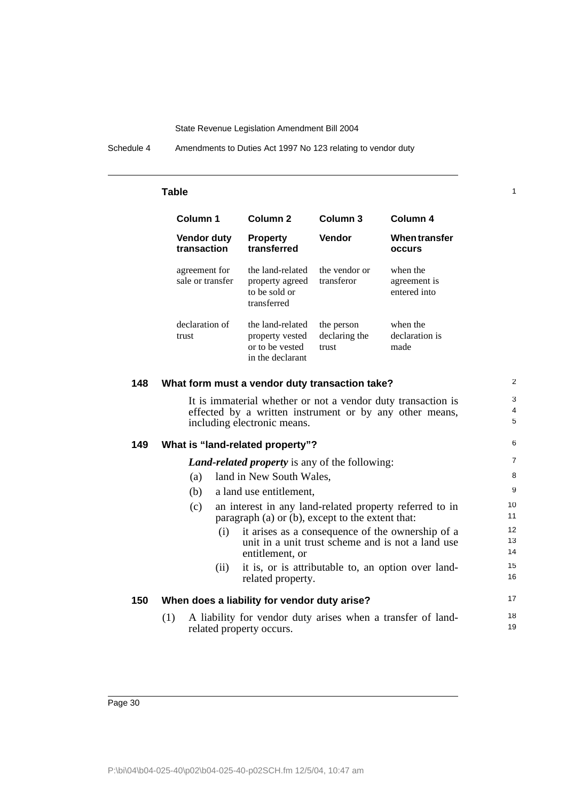Schedule 4 Amendments to Duties Act 1997 No 123 relating to vendor duty

#### **Table**

| Column 1                          | Column <sub>2</sub>                                                        | Column 3                             | Column 4                                 |
|-----------------------------------|----------------------------------------------------------------------------|--------------------------------------|------------------------------------------|
| <b>Vendor duty</b><br>transaction | <b>Property</b><br>transferred                                             | <b>Vendor</b>                        | <b>When transfer</b><br><b>OCCULS</b>    |
| agreement for<br>sale or transfer | the land-related<br>property agreed<br>to be sold or<br>transferred        | the vendor or<br>transferor          | when the<br>agreement is<br>entered into |
| declaration of<br>trust           | the land-related<br>property vested<br>or to be vested<br>in the declarant | the person<br>declaring the<br>trust | when the<br>declaration is<br>made       |

1

19

#### **148 What form must a vendor duty transaction take?** It is immaterial whether or not a vendor duty transaction is effected by a written instrument or by any other means, including electronic means. **149 What is "land-related property"?** *Land-related property* is any of the following: (a) land in New South Wales, (b) a land use entitlement, (c) an interest in any land-related property referred to in paragraph (a) or (b), except to the extent that: (i) it arises as a consequence of the ownership of a unit in a unit trust scheme and is not a land use entitlement, or (ii) it is, or is attributable to, an option over landrelated property. **150 When does a liability for vendor duty arise?** 2  $\overline{a}$ 4 5 6 7 8 9 10 11 12 13 14 15 16 17 18

(1) A liability for vendor duty arises when a transfer of landrelated property occurs.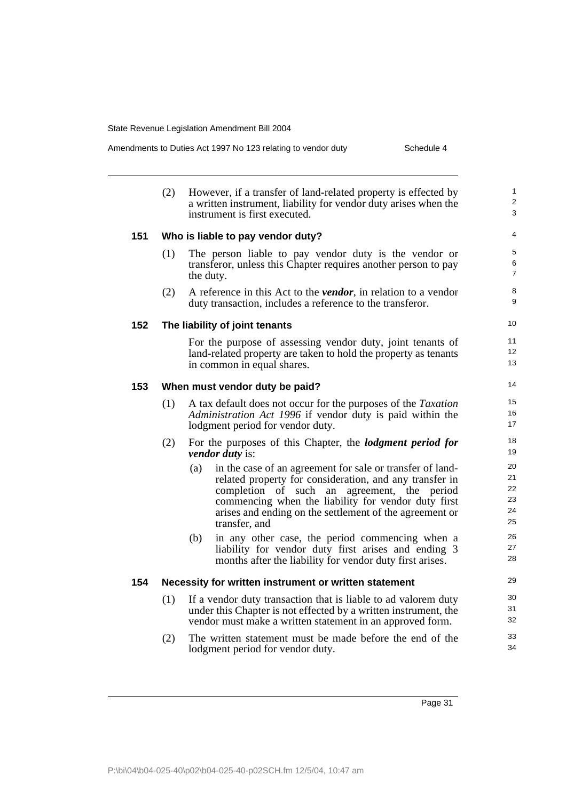Amendments to Duties Act 1997 No 123 relating to vendor duty

|  | Schedule 4 |  |  |
|--|------------|--|--|
|  |            |  |  |

|     | (2) | However, if a transfer of land-related property is effected by<br>a written instrument, liability for vendor duty arises when the<br>instrument is first executed.                                                                                                                                               | 1<br>2<br>3                      |
|-----|-----|------------------------------------------------------------------------------------------------------------------------------------------------------------------------------------------------------------------------------------------------------------------------------------------------------------------|----------------------------------|
| 151 |     | Who is liable to pay vendor duty?                                                                                                                                                                                                                                                                                | 4                                |
|     | (1) | The person liable to pay vendor duty is the vendor or<br>transferor, unless this Chapter requires another person to pay<br>the duty.                                                                                                                                                                             | 5<br>6<br>$\overline{7}$         |
|     | (2) | A reference in this Act to the <i>vendor</i> , in relation to a vendor<br>duty transaction, includes a reference to the transferor.                                                                                                                                                                              | 8<br>9                           |
| 152 |     | The liability of joint tenants                                                                                                                                                                                                                                                                                   | 10                               |
|     |     | For the purpose of assessing vendor duty, joint tenants of<br>land-related property are taken to hold the property as tenants<br>in common in equal shares.                                                                                                                                                      | 11<br>12 <sup>2</sup><br>13      |
| 153 |     | When must vendor duty be paid?                                                                                                                                                                                                                                                                                   | 14                               |
|     | (1) | A tax default does not occur for the purposes of the <i>Taxation</i><br>Administration Act 1996 if vendor duty is paid within the<br>lodgment period for vendor duty.                                                                                                                                            | 15<br>16<br>17                   |
|     | (2) | For the purposes of this Chapter, the <i>lodgment period for</i><br>vendor duty is:                                                                                                                                                                                                                              | 18<br>19                         |
|     |     | in the case of an agreement for sale or transfer of land-<br>(a)<br>related property for consideration, and any transfer in<br>completion of such<br>an agreement, the period<br>commencing when the liability for vendor duty first<br>arises and ending on the settlement of the agreement or<br>transfer, and | 20<br>21<br>22<br>23<br>24<br>25 |
|     |     | (b)<br>in any other case, the period commencing when a<br>liability for vendor duty first arises and ending 3<br>months after the liability for vendor duty first arises.                                                                                                                                        | 26<br>27<br>28                   |
| 154 |     | Necessity for written instrument or written statement                                                                                                                                                                                                                                                            | 29                               |
|     | (1) | If a vendor duty transaction that is liable to ad valorem duty<br>under this Chapter is not effected by a written instrument, the<br>vendor must make a written statement in an approved form.                                                                                                                   | 30<br>31<br>32                   |
|     | (2) | The written statement must be made before the end of the<br>lodgment period for vendor duty.                                                                                                                                                                                                                     | 33<br>34                         |
|     |     |                                                                                                                                                                                                                                                                                                                  |                                  |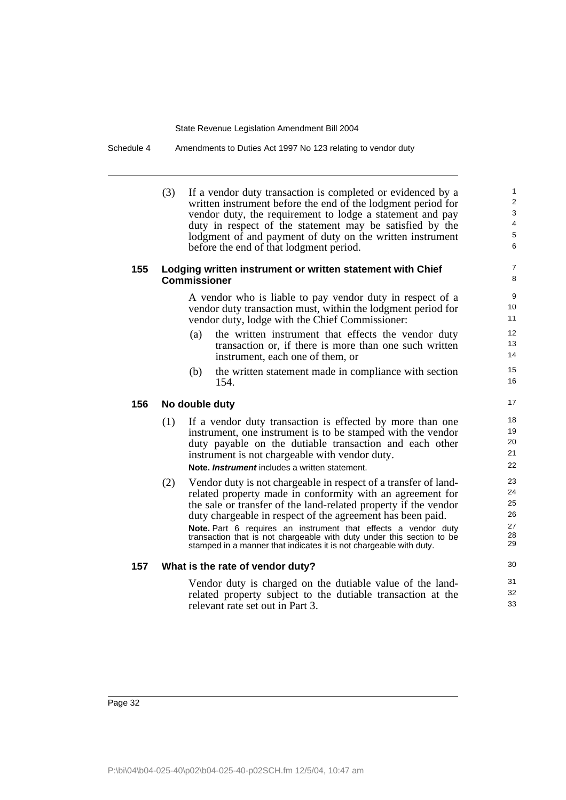Schedule 4 Amendments to Duties Act 1997 No 123 relating to vendor duty

(3) If a vendor duty transaction is completed or evidenced by a written instrument before the end of the lodgment period for vendor duty, the requirement to lodge a statement and pay duty in respect of the statement may be satisfied by the lodgment of and payment of duty on the written instrument before the end of that lodgment period.

#### **155 Lodging written instrument or written statement with Chief Commissioner**

A vendor who is liable to pay vendor duty in respect of a vendor duty transaction must, within the lodgment period for vendor duty, lodge with the Chief Commissioner:

- (a) the written instrument that effects the vendor duty transaction or, if there is more than one such written instrument, each one of them, or
- (b) the written statement made in compliance with section 154.

#### **156 No double duty**

(1) If a vendor duty transaction is effected by more than one instrument, one instrument is to be stamped with the vendor duty payable on the dutiable transaction and each other instrument is not chargeable with vendor duty.

**Note.** *Instrument* includes a written statement.

(2) Vendor duty is not chargeable in respect of a transfer of landrelated property made in conformity with an agreement for the sale or transfer of the land-related property if the vendor duty chargeable in respect of the agreement has been paid.

**Note.** Part 6 requires an instrument that effects a vendor duty transaction that is not chargeable with duty under this section to be stamped in a manner that indicates it is not chargeable with duty.

#### **157 What is the rate of vendor duty?**

Vendor duty is charged on the dutiable value of the landrelated property subject to the dutiable transaction at the relevant rate set out in Part 3.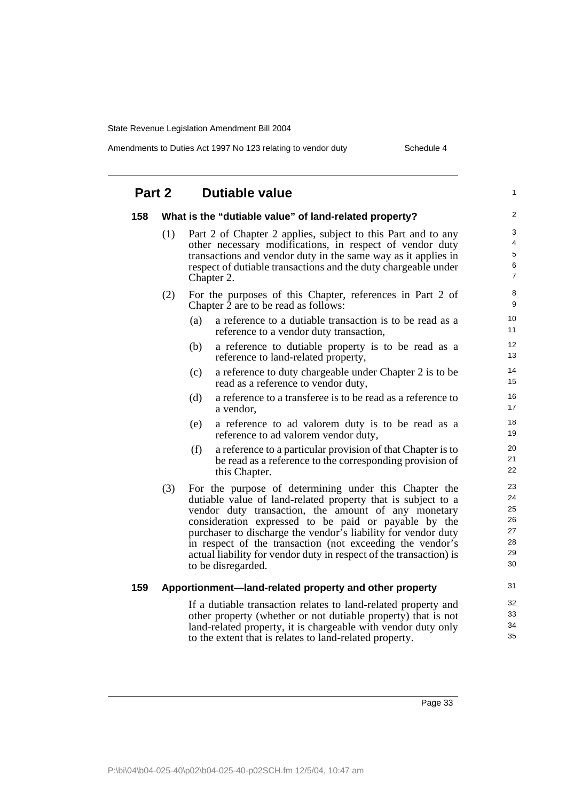Amendments to Duties Act 1997 No 123 relating to vendor duty Schedule 4

#### **Part 2 Dutiable value 158 What is the "dutiable value" of land-related property?** (1) Part 2 of Chapter 2 applies, subject to this Part and to any other necessary modifications, in respect of vendor duty transactions and vendor duty in the same way as it applies in respect of dutiable transactions and the duty chargeable under Chapter 2. (2) For the purposes of this Chapter, references in Part 2 of Chapter 2 are to be read as follows: (a) a reference to a dutiable transaction is to be read as a reference to a vendor duty transaction, (b) a reference to dutiable property is to be read as a reference to land-related property, (c) a reference to duty chargeable under Chapter 2 is to be read as a reference to vendor duty, (d) a reference to a transferee is to be read as a reference to a vendor, (e) a reference to ad valorem duty is to be read as a reference to ad valorem vendor duty, (f) a reference to a particular provision of that Chapter is to be read as a reference to the corresponding provision of this Chapter. (3) For the purpose of determining under this Chapter the dutiable value of land-related property that is subject to a vendor duty transaction, the amount of any monetary consideration expressed to be paid or payable by the purchaser to discharge the vendor's liability for vendor duty in respect of the transaction (not exceeding the vendor's actual liability for vendor duty in respect of the transaction) is to be disregarded. **159 Apportionment—land-related property and other property** If a dutiable transaction relates to land-related property and other property (whether or not dutiable property) that is not land-related property, it is chargeable with vendor duty only to the extent that is relates to land-related property. 1  $\mathfrak{p}$ 3 4 5 6 7 8 9 10 11 12 13 14 15 16 17 18 19 20 21 22 23 24 25 26 27 28 29 30 31 32 33 34 35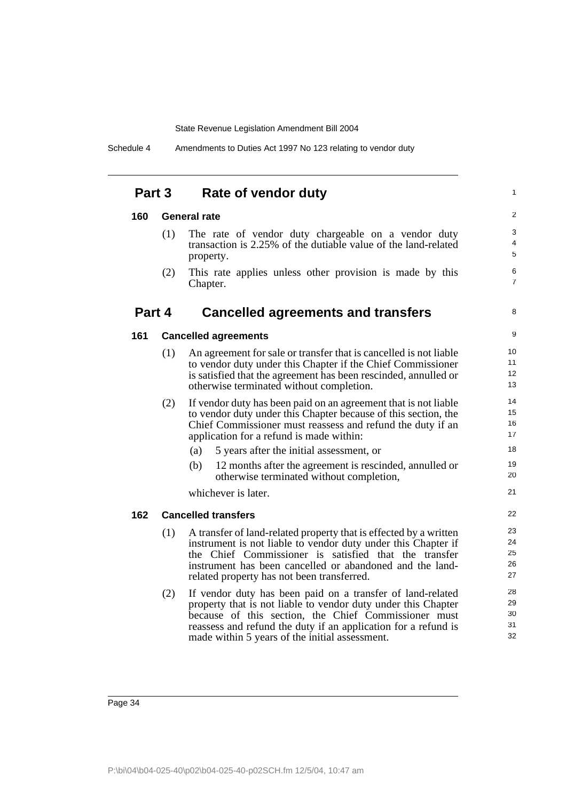#### **Part 3 Rate of vendor duty 160 General rate** (1) The rate of vendor duty chargeable on a vendor duty transaction is 2.25% of the dutiable value of the land-related property. (2) This rate applies unless other provision is made by this Chapter. **Part 4 Cancelled agreements and transfers 161 Cancelled agreements** (1) An agreement for sale or transfer that is cancelled is not liable to vendor duty under this Chapter if the Chief Commissioner is satisfied that the agreement has been rescinded, annulled or otherwise terminated without completion. (2) If vendor duty has been paid on an agreement that is not liable to vendor duty under this Chapter because of this section, the Chief Commissioner must reassess and refund the duty if an application for a refund is made within: (a) 5 years after the initial assessment, or (b) 12 months after the agreement is rescinded, annulled or otherwise terminated without completion, whichever is later. **162 Cancelled transfers** (1) A transfer of land-related property that is effected by a written instrument is not liable to vendor duty under this Chapter if the Chief Commissioner is satisfied that the transfer instrument has been cancelled or abandoned and the landrelated property has not been transferred. (2) If vendor duty has been paid on a transfer of land-related property that is not liable to vendor duty under this Chapter because of this section, the Chief Commissioner must reassess and refund the duty if an application for a refund is made within 5 years of the initial assessment. 1 2 3 4 5 6 7 8 9 10 11 12 13 14 15 16 17 18 19 20 21 22 23 24 25 26 27 28 29 30 31 32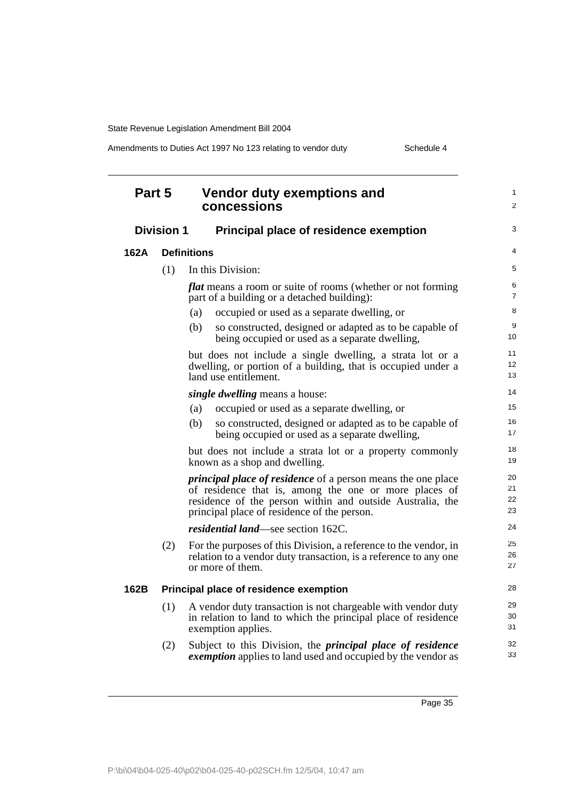Amendments to Duties Act 1997 No 123 relating to vendor duty Schedule 4

| Part 5 |                   | Vendor duty exemptions and<br>concessions                                                                                                                                                                                                | 1<br>2               |
|--------|-------------------|------------------------------------------------------------------------------------------------------------------------------------------------------------------------------------------------------------------------------------------|----------------------|
|        | <b>Division 1</b> | Principal place of residence exemption                                                                                                                                                                                                   | 3                    |
| 162A   |                   | <b>Definitions</b>                                                                                                                                                                                                                       | 4                    |
|        | (1)               | In this Division:                                                                                                                                                                                                                        | 5                    |
|        |                   | <b><i>flat</i></b> means a room or suite of rooms (whether or not forming<br>part of a building or a detached building):                                                                                                                 | 6<br>7               |
|        |                   | occupied or used as a separate dwelling, or<br>(a)                                                                                                                                                                                       | 8                    |
|        |                   | (b)<br>so constructed, designed or adapted as to be capable of<br>being occupied or used as a separate dwelling,                                                                                                                         | 9<br>10              |
|        |                   | but does not include a single dwelling, a strata lot or a<br>dwelling, or portion of a building, that is occupied under a<br>land use entitlement.                                                                                       | 11<br>12<br>13       |
|        |                   | <i>single dwelling</i> means a house:                                                                                                                                                                                                    | 14                   |
|        |                   | occupied or used as a separate dwelling, or<br>(a)                                                                                                                                                                                       | 15                   |
|        |                   | (b)<br>so constructed, designed or adapted as to be capable of<br>being occupied or used as a separate dwelling,                                                                                                                         | 16<br>17             |
|        |                   | but does not include a strata lot or a property commonly<br>known as a shop and dwelling.                                                                                                                                                | 18<br>19             |
|        |                   | <i>principal place of residence</i> of a person means the one place<br>of residence that is, among the one or more places of<br>residence of the person within and outside Australia, the<br>principal place of residence of the person. | 20<br>21<br>22<br>23 |
|        |                   | residential land—see section 162C.                                                                                                                                                                                                       | 24                   |
|        | (2)               | For the purposes of this Division, a reference to the vendor, in<br>relation to a vendor duty transaction, is a reference to any one<br>or more of them.                                                                                 | 25<br>26<br>27       |
| 162B   |                   | Principal place of residence exemption                                                                                                                                                                                                   | 28                   |
|        | (1)               | A vendor duty transaction is not chargeable with vendor duty<br>in relation to land to which the principal place of residence<br>exemption applies.                                                                                      | 29<br>30<br>31       |
|        | (2)               | Subject to this Division, the <i>principal place of residence</i><br><i>exemption</i> applies to land used and occupied by the vendor as                                                                                                 | 32<br>33             |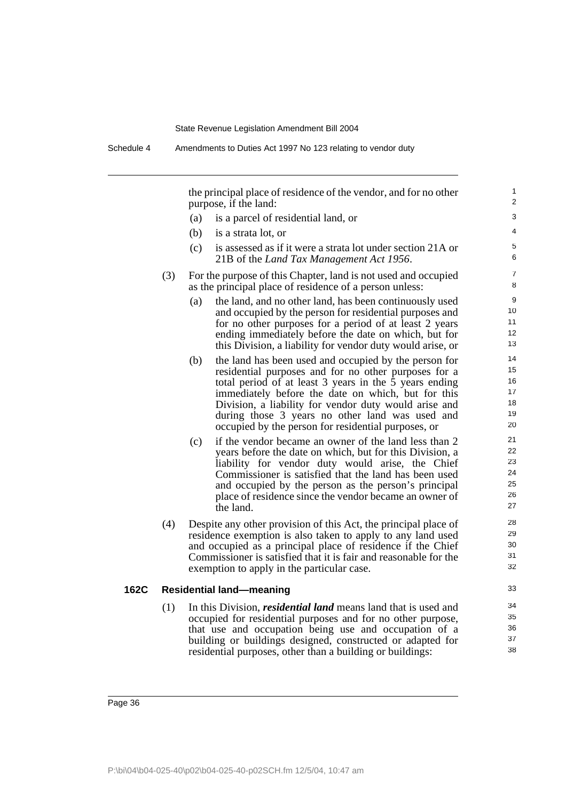the principal place of residence of the vendor, and for no other purpose, if the land:

- (a) is a parcel of residential land, or
- (b) is a strata lot, or
- (c) is assessed as if it were a strata lot under section 21A or 21B of the *Land Tax Management Act 1956*.
- (3) For the purpose of this Chapter, land is not used and occupied as the principal place of residence of a person unless:
	- (a) the land, and no other land, has been continuously used and occupied by the person for residential purposes and for no other purposes for a period of at least 2 years ending immediately before the date on which, but for this Division, a liability for vendor duty would arise, or
	- (b) the land has been used and occupied by the person for residential purposes and for no other purposes for a total period of at least 3 years in the  $\bar{5}$  years ending immediately before the date on which, but for this Division, a liability for vendor duty would arise and during those 3 years no other land was used and occupied by the person for residential purposes, or
	- (c) if the vendor became an owner of the land less than 2 years before the date on which, but for this Division, a liability for vendor duty would arise, the Chief Commissioner is satisfied that the land has been used and occupied by the person as the person's principal place of residence since the vendor became an owner of the land.
- (4) Despite any other provision of this Act, the principal place of residence exemption is also taken to apply to any land used and occupied as a principal place of residence if the Chief Commissioner is satisfied that it is fair and reasonable for the exemption to apply in the particular case.

#### **162C Residential land—meaning**

(1) In this Division, *residential land* means land that is used and occupied for residential purposes and for no other purpose, that use and occupation being use and occupation of a building or buildings designed, constructed or adapted for residential purposes, other than a building or buildings: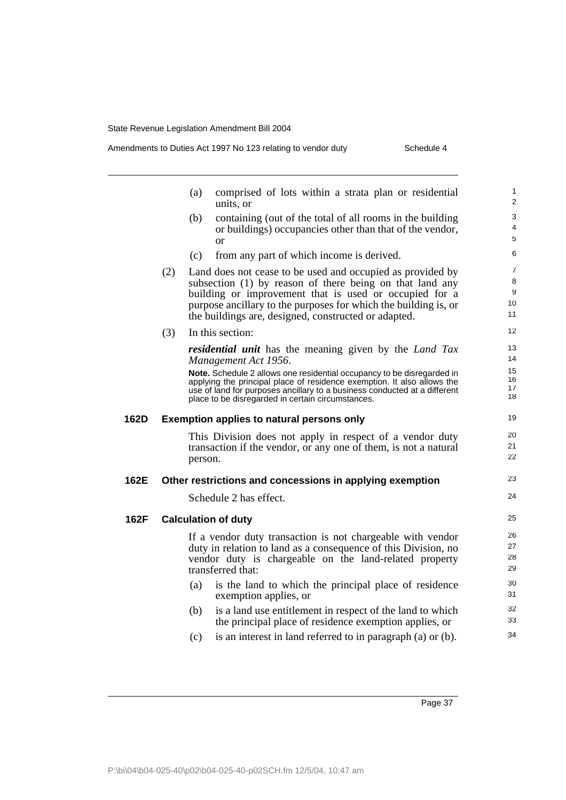|      |     | (a)     | comprised of lots within a strata plan or residential<br>units, or                                                                                                                                                                                                                                          | 1<br>$\overline{\mathbf{c}}$         |
|------|-----|---------|-------------------------------------------------------------------------------------------------------------------------------------------------------------------------------------------------------------------------------------------------------------------------------------------------------------|--------------------------------------|
|      |     | (b)     | containing (out of the total of all rooms in the building<br>or buildings) occupancies other than that of the vendor,<br>or                                                                                                                                                                                 | 3<br>4<br>5                          |
|      |     | (c)     | from any part of which income is derived.                                                                                                                                                                                                                                                                   | 6                                    |
|      | (2) |         | Land does not cease to be used and occupied as provided by<br>subsection (1) by reason of there being on that land any<br>building or improvement that is used or occupied for a<br>purpose ancillary to the purposes for which the building is, or<br>the buildings are, designed, constructed or adapted. | $\overline{7}$<br>8<br>9<br>10<br>11 |
|      | (3) |         | In this section:                                                                                                                                                                                                                                                                                            | 12                                   |
|      |     |         | <i>residential unit</i> has the meaning given by the <i>Land Tax</i><br>Management Act 1956.                                                                                                                                                                                                                | 13<br>14                             |
|      |     |         | Note. Schedule 2 allows one residential occupancy to be disregarded in<br>applying the principal place of residence exemption. It also allows the<br>use of land for purposes ancillary to a business conducted at a different<br>place to be disregarded in certain circumstances.                         | 15<br>16<br>17<br>18                 |
| 162D |     |         | Exemption applies to natural persons only                                                                                                                                                                                                                                                                   | 19                                   |
|      |     | person. | This Division does not apply in respect of a vendor duty<br>transaction if the vendor, or any one of them, is not a natural                                                                                                                                                                                 | 20<br>21<br>22                       |
| 162E |     |         | Other restrictions and concessions in applying exemption                                                                                                                                                                                                                                                    | 23                                   |
|      |     |         | Schedule 2 has effect.                                                                                                                                                                                                                                                                                      | 24                                   |
| 162F |     |         | <b>Calculation of duty</b>                                                                                                                                                                                                                                                                                  | 25                                   |
|      |     |         | If a vendor duty transaction is not chargeable with vendor<br>duty in relation to land as a consequence of this Division, no<br>vendor duty is chargeable on the land-related property<br>transferred that:                                                                                                 | 26<br>27<br>28<br>29                 |
|      |     | (a)     | is the land to which the principal place of residence<br>exemption applies, or                                                                                                                                                                                                                              | 30<br>31                             |
|      |     | (b)     | is a land use entitlement in respect of the land to which<br>the principal place of residence exemption applies, or                                                                                                                                                                                         | 32<br>33                             |
|      |     | (c)     | is an interest in land referred to in paragraph (a) or (b).                                                                                                                                                                                                                                                 | 34                                   |

Amendments to Duties Act 1997 No 123 relating to vendor duty Schedule 4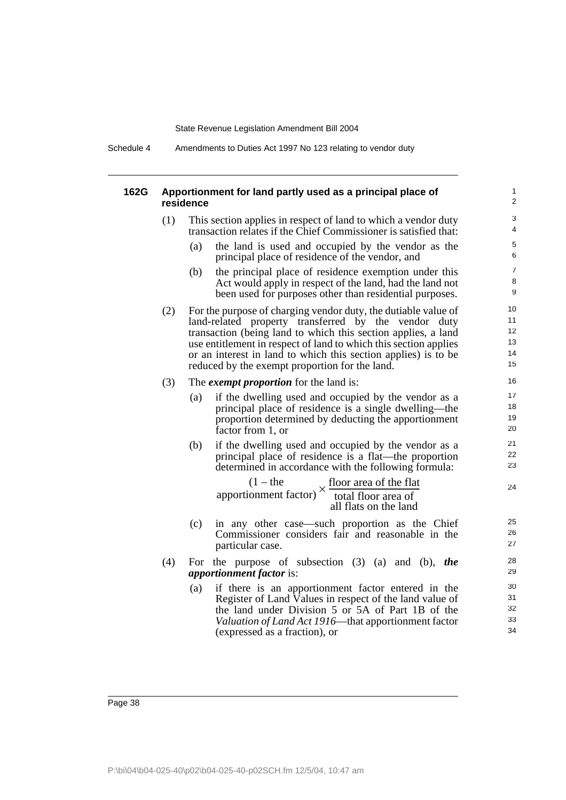Schedule 4 Amendments to Duties Act 1997 No 123 relating to vendor duty

#### **162G Apportionment for land partly used as a principal place of residence**

| (1) |     | This section applies in respect of land to which a vendor duty<br>transaction relates if the Chief Commissioner is satisfied that:                                                                                                                                                                                                                                              | 3<br>4                           |
|-----|-----|---------------------------------------------------------------------------------------------------------------------------------------------------------------------------------------------------------------------------------------------------------------------------------------------------------------------------------------------------------------------------------|----------------------------------|
|     | (a) | the land is used and occupied by the vendor as the<br>principal place of residence of the vendor, and                                                                                                                                                                                                                                                                           | 5<br>6                           |
|     | (b) | the principal place of residence exemption under this<br>Act would apply in respect of the land, had the land not<br>been used for purposes other than residential purposes.                                                                                                                                                                                                    | $\overline{7}$<br>8<br>9         |
| (2) |     | For the purpose of charging vendor duty, the dutiable value of<br>land-related property transferred by the vendor duty<br>transaction (being land to which this section applies, a land<br>use entitlement in respect of land to which this section applies<br>or an interest in land to which this section applies) is to be<br>reduced by the exempt proportion for the land. | 10<br>11<br>12<br>13<br>14<br>15 |
| (3) |     | The exempt proportion for the land is:                                                                                                                                                                                                                                                                                                                                          | 16                               |
|     | (a) | if the dwelling used and occupied by the vendor as a<br>principal place of residence is a single dwelling—the<br>proportion determined by deducting the apportionment<br>factor from 1, or                                                                                                                                                                                      | 17<br>18<br>19<br>20             |
|     | (b) | if the dwelling used and occupied by the vendor as a<br>principal place of residence is a flat—the proportion<br>determined in accordance with the following formula:                                                                                                                                                                                                           | 21<br>22<br>23                   |
|     |     | apportionment factor) $\times$ floor area of the flat                                                                                                                                                                                                                                                                                                                           | 24                               |
|     | (c) | in any other case—such proportion as the Chief<br>Commissioner considers fair and reasonable in the<br>particular case.                                                                                                                                                                                                                                                         | 25<br>26<br>27                   |
| (4) | For | the purpose of subsection $(3)$ $(a)$ and $(b)$ , the<br><i>apportionment factor</i> is:                                                                                                                                                                                                                                                                                        | 28<br>29                         |
|     | (a) | if there is an apportionment factor entered in the<br>Register of Land Values in respect of the land value of<br>the land under Division 5 or 5A of Part 1B of the<br>Valuation of Land Act 1916-that apportionment factor                                                                                                                                                      | 30<br>31<br>32<br>33             |

1 2

34

(expressed as a fraction), or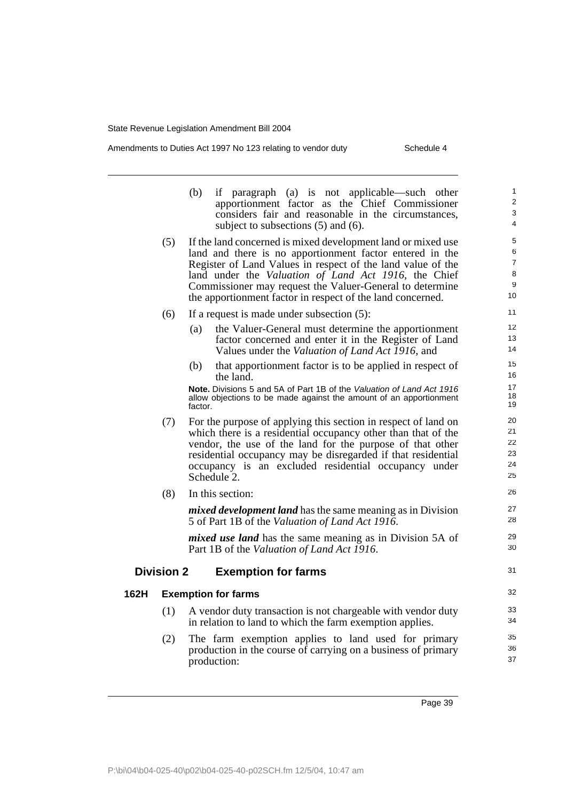| Amendments to Duties Act 1997 No 123 relating to vendor duty |  |  | Schedule 4 |
|--------------------------------------------------------------|--|--|------------|
|--------------------------------------------------------------|--|--|------------|

|      |                   | (b)<br>if paragraph (a) is not applicable—such other<br>apportionment factor as the Chief Commissioner<br>considers fair and reasonable in the circumstances,<br>subject to subsections $(5)$ and $(6)$ .                                                                                                                                                                 | 1<br>$\overline{2}$<br>3<br>4            |
|------|-------------------|---------------------------------------------------------------------------------------------------------------------------------------------------------------------------------------------------------------------------------------------------------------------------------------------------------------------------------------------------------------------------|------------------------------------------|
|      | (5)               | If the land concerned is mixed development land or mixed use<br>land and there is no apportionment factor entered in the<br>Register of Land Values in respect of the land value of the<br>land under the Valuation of Land Act 1916, the Chief<br>Commissioner may request the Valuer-General to determine<br>the apportionment factor in respect of the land concerned. | 5<br>6<br>$\overline{7}$<br>8<br>9<br>10 |
|      | (6)               | If a request is made under subsection $(5)$ :                                                                                                                                                                                                                                                                                                                             | 11                                       |
|      |                   | the Valuer-General must determine the apportionment<br>(a)<br>factor concerned and enter it in the Register of Land<br>Values under the Valuation of Land Act 1916, and                                                                                                                                                                                                   | 12<br>13<br>14                           |
|      |                   | that apportionment factor is to be applied in respect of<br>(b)<br>the land.                                                                                                                                                                                                                                                                                              | 15<br>16                                 |
|      |                   | Note. Divisions 5 and 5A of Part 1B of the Valuation of Land Act 1916<br>allow objections to be made against the amount of an apportionment<br>factor.                                                                                                                                                                                                                    | 17<br>18<br>19                           |
|      | (7)               | For the purpose of applying this section in respect of land on<br>which there is a residential occupancy other than that of the<br>vendor, the use of the land for the purpose of that other<br>residential occupancy may be disregarded if that residential<br>occupancy is an excluded residential occupancy under<br>Schedule 2.                                       | 20<br>21<br>22<br>23<br>24<br>25         |
|      | (8)               | In this section:                                                                                                                                                                                                                                                                                                                                                          | 26                                       |
|      |                   | <i>mixed development land</i> has the same meaning as in Division<br>5 of Part 1B of the Valuation of Land Act 1916.                                                                                                                                                                                                                                                      | 27<br>28                                 |
|      |                   | <i>mixed use land</i> has the same meaning as in Division 5A of<br>Part 1B of the Valuation of Land Act 1916.                                                                                                                                                                                                                                                             | 29<br>30                                 |
|      | <b>Division 2</b> | <b>Exemption for farms</b>                                                                                                                                                                                                                                                                                                                                                | 31                                       |
| 162H |                   | <b>Exemption for farms</b>                                                                                                                                                                                                                                                                                                                                                | 32                                       |
|      | (1)               | A vendor duty transaction is not chargeable with vendor duty<br>in relation to land to which the farm exemption applies.                                                                                                                                                                                                                                                  | 33<br>34                                 |
|      | (2)               | The farm exemption applies to land used for primary<br>production in the course of carrying on a business of primary<br>production:                                                                                                                                                                                                                                       | 35<br>36<br>37                           |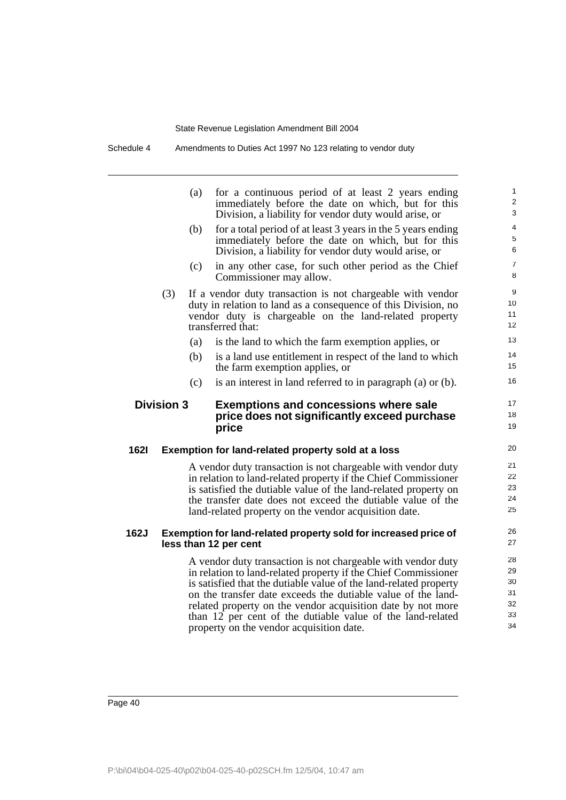| for a continuous period of at least 2 years ending<br>(a)<br>immediately before the date on which, but for this<br>Division, a liability for vendor duty would arise, or                                           |                                  |
|--------------------------------------------------------------------------------------------------------------------------------------------------------------------------------------------------------------------|----------------------------------|
|                                                                                                                                                                                                                    | $\mathbf{1}$<br>$\overline{2}$   |
|                                                                                                                                                                                                                    | 3                                |
| for a total period of at least 3 years in the 5 years ending<br>(b)<br>immediately before the date on which, but for this<br>Division, a liability for vendor duty would arise, or                                 | $\overline{4}$<br>5<br>6         |
| in any other case, for such other period as the Chief<br>(c)<br>Commissioner may allow.                                                                                                                            | $\overline{7}$<br>8              |
| (3)<br>If a vendor duty transaction is not chargeable with vendor<br>duty in relation to land as a consequence of this Division, no<br>vendor duty is chargeable on the land-related property<br>transferred that: | 9<br>10<br>11<br>12 <sup>2</sup> |
| (a)<br>is the land to which the farm exemption applies, or                                                                                                                                                         | 13                               |
| (b)<br>is a land use entitlement in respect of the land to which<br>the farm exemption applies, or                                                                                                                 | 14<br>15                         |
| is an interest in land referred to in paragraph (a) or (b).<br>(c)                                                                                                                                                 | 16                               |
| <b>Division 3</b><br><b>Exemptions and concessions where sale</b>                                                                                                                                                  | 17                               |
| price does not significantly exceed purchase                                                                                                                                                                       | 18                               |
| price                                                                                                                                                                                                              | 19                               |
| <b>1621</b><br>Exemption for land-related property sold at a loss                                                                                                                                                  | 20                               |
| A vendor duty transaction is not chargeable with vendor duty                                                                                                                                                       | 21                               |
| in relation to land-related property if the Chief Commissioner                                                                                                                                                     | 22                               |
| is satisfied the dutiable value of the land-related property on                                                                                                                                                    | 23                               |
| the transfer date does not exceed the dutiable value of the                                                                                                                                                        | 24                               |
| land-related property on the vendor acquisition date.                                                                                                                                                              | 25                               |
|                                                                                                                                                                                                                    | 26                               |
| 162J<br>Exemption for land-related property sold for increased price of                                                                                                                                            |                                  |
| less than 12 per cent                                                                                                                                                                                              | 27                               |
| A vendor duty transaction is not chargeable with vendor duty                                                                                                                                                       | 28                               |
| in relation to land-related property if the Chief Commissioner                                                                                                                                                     | 29                               |
| is satisfied that the dutiable value of the land-related property                                                                                                                                                  | 30                               |
| on the transfer date exceeds the dutiable value of the land-                                                                                                                                                       | 31                               |
| related property on the vendor acquisition date by not more<br>than 12 per cent of the dutiable value of the land-related                                                                                          | 32<br>33                         |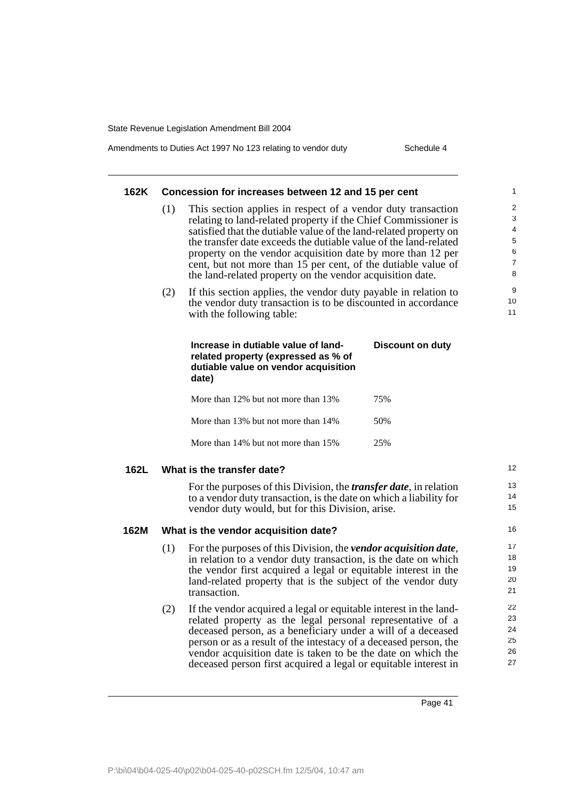Amendments to Duties Act 1997 No 123 relating to vendor duty Schedule 4

## **162K Concession for increases between 12 and 15 per cent**

- (1) This section applies in respect of a vendor duty transaction relating to land-related property if the Chief Commissioner is satisfied that the dutiable value of the land-related property on the transfer date exceeds the dutiable value of the land-related property on the vendor acquisition date by more than 12 per cent, but not more than 15 per cent, of the dutiable value of the land-related property on the vendor acquisition date.
- (2) If this section applies, the vendor duty payable in relation to the vendor duty transaction is to be discounted in accordance with the following table:

|      |     | Increase in dutiable value of land-<br>related property (expressed as % of<br>dutiable value on vendor acquisition<br>date)                                                                                 | Discount on duty |
|------|-----|-------------------------------------------------------------------------------------------------------------------------------------------------------------------------------------------------------------|------------------|
|      |     | More than 12% but not more than 13%                                                                                                                                                                         | 75%              |
|      |     | More than 13% but not more than 14%                                                                                                                                                                         | 50%              |
|      |     | More than 14% but not more than 15%                                                                                                                                                                         | 25%              |
| 162L |     | What is the transfer date?                                                                                                                                                                                  |                  |
|      |     | For the purposes of this Division, the <i>transfer date</i> , in relation<br>to a vendor duty transaction, is the date on which a liability for<br>vendor duty would, but for this Division, arise.         |                  |
| 162M |     | What is the vendor acquisition date?                                                                                                                                                                        |                  |
|      | (1) | For the purposes of this Division, the <i>vendor acquisition date</i> ,<br>in relation to a vendor duty transaction, is the date on which<br>the vendor first acquired a legal or equitable interest in the |                  |

- land-related property that is the subject of the vendor duty transaction. (2) If the vendor acquired a legal or equitable interest in the land-
- related property as the legal personal representative of a deceased person, as a beneficiary under a will of a deceased person or as a result of the intestacy of a deceased person, the vendor acquisition date is taken to be the date on which the deceased person first acquired a legal or equitable interest in

Page 41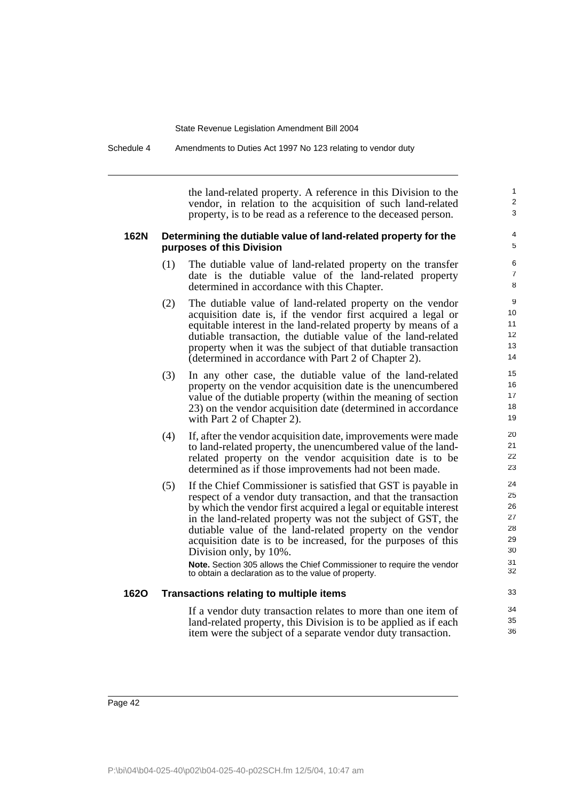Schedule 4 Amendments to Duties Act 1997 No 123 relating to vendor duty

the land-related property. A reference in this Division to the vendor, in relation to the acquisition of such land-related property, is to be read as a reference to the deceased person.

1  $\overline{2}$ 3

#### **162N Determining the dutiable value of land-related property for the purposes of this Division**

- (1) The dutiable value of land-related property on the transfer date is the dutiable value of the land-related property determined in accordance with this Chapter.
- (2) The dutiable value of land-related property on the vendor acquisition date is, if the vendor first acquired a legal or equitable interest in the land-related property by means of a dutiable transaction, the dutiable value of the land-related property when it was the subject of that dutiable transaction (determined in accordance with Part 2 of Chapter 2).
- (3) In any other case, the dutiable value of the land-related property on the vendor acquisition date is the unencumbered value of the dutiable property (within the meaning of section 23) on the vendor acquisition date (determined in accordance with Part 2 of Chapter 2).
- (4) If, after the vendor acquisition date, improvements were made to land-related property, the unencumbered value of the landrelated property on the vendor acquisition date is to be determined as if those improvements had not been made.
- (5) If the Chief Commissioner is satisfied that GST is payable in respect of a vendor duty transaction, and that the transaction by which the vendor first acquired a legal or equitable interest in the land-related property was not the subject of GST, the dutiable value of the land-related property on the vendor acquisition date is to be increased, for the purposes of this Division only, by 10%.

**Note.** Section 305 allows the Chief Commissioner to require the vendor to obtain a declaration as to the value of property.

#### **162O Transactions relating to multiple items**

If a vendor duty transaction relates to more than one item of land-related property, this Division is to be applied as if each item were the subject of a separate vendor duty transaction.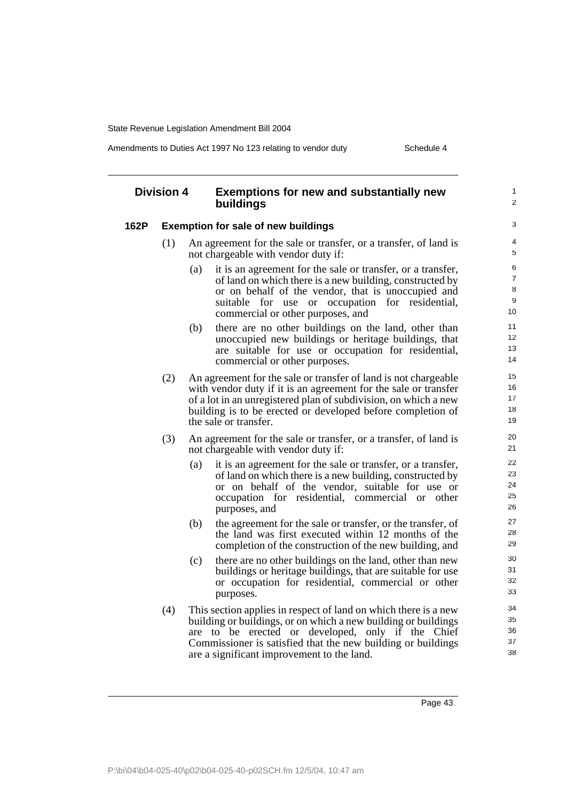Amendments to Duties Act 1997 No 123 relating to vendor duty Schedule 4

#### **Division 4 Exemptions for new and substantially new buildings 162P Exemption for sale of new buildings** (1) An agreement for the sale or transfer, or a transfer, of land is not chargeable with vendor duty if: (a) it is an agreement for the sale or transfer, or a transfer, of land on which there is a new building, constructed by or on behalf of the vendor, that is unoccupied and suitable for use or occupation for residential, commercial or other purposes, and (b) there are no other buildings on the land, other than unoccupied new buildings or heritage buildings, that are suitable for use or occupation for residential, commercial or other purposes. (2) An agreement for the sale or transfer of land is not chargeable with vendor duty if it is an agreement for the sale or transfer of a lot in an unregistered plan of subdivision, on which a new building is to be erected or developed before completion of the sale or transfer. (3) An agreement for the sale or transfer, or a transfer, of land is not chargeable with vendor duty if: (a) it is an agreement for the sale or transfer, or a transfer, of land on which there is a new building, constructed by or on behalf of the vendor, suitable for use or occupation for residential, commercial or other purposes, and (b) the agreement for the sale or transfer, or the transfer, of the land was first executed within 12 months of the completion of the construction of the new building, and (c) there are no other buildings on the land, other than new buildings or heritage buildings, that are suitable for use or occupation for residential, commercial or other purposes. (4) This section applies in respect of land on which there is a new building or buildings, or on which a new building or buildings are to be erected or developed, only if the Chief Commissioner is satisfied that the new building or buildings are a significant improvement to the land. 1  $\mathfrak{p}$ 3 4 5 6 7 8 **9** 10 11 12 13 14 15 16 17 18 19 20 21 22 23 24 25 26 27 28 29 30 31 32 33 34 35 36 37 38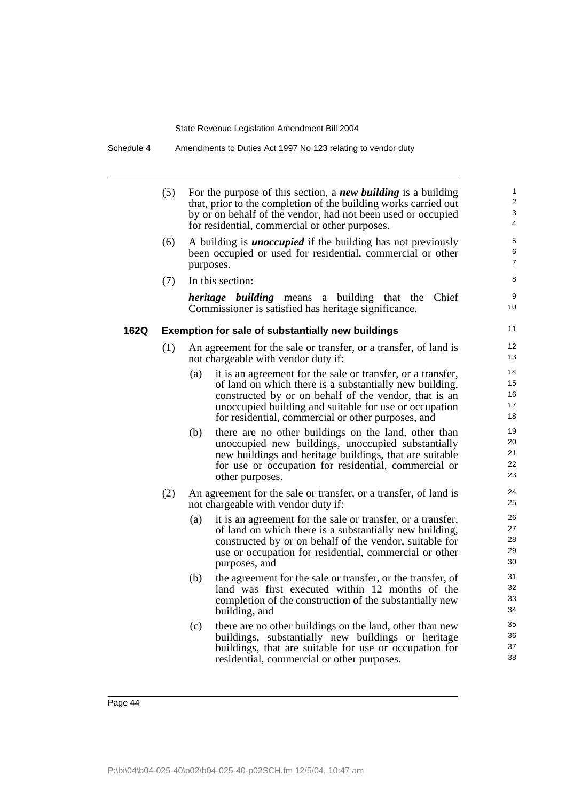|      | (5) | For the purpose of this section, a <b>new building</b> is a building<br>that, prior to the completion of the building works carried out<br>by or on behalf of the vendor, had not been used or occupied<br>for residential, commercial or other purposes.                                              | 1<br>2<br>3<br>4           |
|------|-----|--------------------------------------------------------------------------------------------------------------------------------------------------------------------------------------------------------------------------------------------------------------------------------------------------------|----------------------------|
|      | (6) | A building is <i>unoccupied</i> if the building has not previously<br>been occupied or used for residential, commercial or other<br>purposes.                                                                                                                                                          | 5<br>6<br>$\overline{7}$   |
|      | (7) | In this section:                                                                                                                                                                                                                                                                                       | 8                          |
|      |     | <i>heritage building</i> means a building that the<br>Chief<br>Commissioner is satisfied has heritage significance.                                                                                                                                                                                    | 9<br>10                    |
| 162Q |     | <b>Exemption for sale of substantially new buildings</b>                                                                                                                                                                                                                                               | 11                         |
|      | (1) | An agreement for the sale or transfer, or a transfer, of land is<br>not chargeable with vendor duty if:                                                                                                                                                                                                | 12<br>13                   |
|      |     | (a)<br>it is an agreement for the sale or transfer, or a transfer,<br>of land on which there is a substantially new building,<br>constructed by or on behalf of the vendor, that is an<br>unoccupied building and suitable for use or occupation<br>for residential, commercial or other purposes, and | 14<br>15<br>16<br>17<br>18 |
|      |     | (b)<br>there are no other buildings on the land, other than<br>unoccupied new buildings, unoccupied substantially<br>new buildings and heritage buildings, that are suitable<br>for use or occupation for residential, commercial or<br>other purposes.                                                | 19<br>20<br>21<br>22<br>23 |
|      | (2) | An agreement for the sale or transfer, or a transfer, of land is<br>not chargeable with vendor duty if:                                                                                                                                                                                                | 24<br>25                   |
|      |     | it is an agreement for the sale or transfer, or a transfer,<br>(a)<br>of land on which there is a substantially new building,<br>constructed by or on behalf of the vendor, suitable for<br>use or occupation for residential, commercial or other<br>purposes, and                                    | 26<br>27<br>28<br>29<br>30 |
|      |     | the agreement for the sale or transfer, or the transfer, of<br>(b)<br>land was first executed within 12 months of the<br>completion of the construction of the substantially new<br>building, and                                                                                                      | 31<br>32<br>33<br>34       |
|      |     | (c)<br>there are no other buildings on the land, other than new<br>buildings, substantially new buildings or heritage<br>buildings, that are suitable for use or occupation for<br>residential, commercial or other purposes.                                                                          | 35<br>36<br>37<br>38       |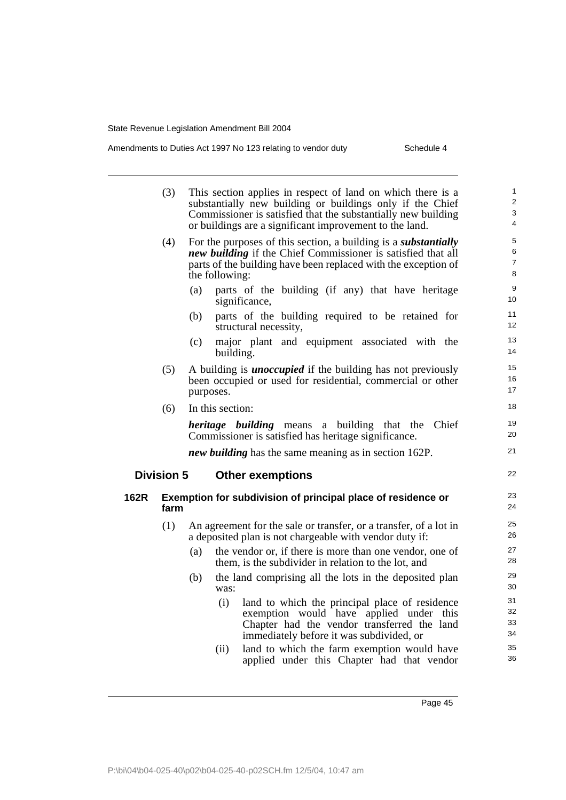### Amendments to Duties Act 1997 No 123 relating to vendor duty Schedule 4

|      | (3)               |                  | This section applies in respect of land on which there is a<br>substantially new building or buildings only if the Chief<br>Commissioner is satisfied that the substantially new building<br>or buildings are a significant improvement to the land. | 1<br>2<br>3<br>4              |
|------|-------------------|------------------|------------------------------------------------------------------------------------------------------------------------------------------------------------------------------------------------------------------------------------------------------|-------------------------------|
|      | (4)               | the following:   | For the purposes of this section, a building is a <i>substantially</i><br>new building if the Chief Commissioner is satisfied that all<br>parts of the building have been replaced with the exception of                                             | 5<br>6<br>$\overline{7}$<br>8 |
|      |                   | (a)              | parts of the building (if any) that have heritage<br>significance,                                                                                                                                                                                   | 9<br>10                       |
|      |                   | (b)              | parts of the building required to be retained for<br>structural necessity,                                                                                                                                                                           | 11<br>12                      |
|      |                   | (c)              | major plant and equipment associated with the<br>building.                                                                                                                                                                                           | 13<br>14                      |
|      | (5)               | purposes.        | A building is <i>unoccupied</i> if the building has not previously<br>been occupied or used for residential, commercial or other                                                                                                                     | 15<br>16<br>17                |
|      | (6)               | In this section: |                                                                                                                                                                                                                                                      | 18                            |
|      |                   |                  | <i>heritage building</i> means a building that the<br>Chief<br>Commissioner is satisfied has heritage significance.                                                                                                                                  | 19<br>20                      |
|      |                   |                  | <i>new building</i> has the same meaning as in section 162P.                                                                                                                                                                                         | 21                            |
|      | <b>Division 5</b> |                  | <b>Other exemptions</b>                                                                                                                                                                                                                              | 22                            |
| 162R | farm              |                  | Exemption for subdivision of principal place of residence or                                                                                                                                                                                         | 23<br>24                      |
|      | (1)               |                  | An agreement for the sale or transfer, or a transfer, of a lot in<br>a deposited plan is not chargeable with vendor duty if:                                                                                                                         | 25<br>26                      |
|      |                   | (a)              | the vendor or, if there is more than one vendor, one of<br>them, is the subdivider in relation to the lot, and                                                                                                                                       | 27<br>28                      |
|      |                   | (b)              | the land comprising all the lots in the deposited plan<br>was:                                                                                                                                                                                       | 29<br>30                      |
|      |                   |                  | land to which the principal place of residence<br>(i)<br>exemption would have applied under this<br>Chapter had the vendor transferred the land<br>immediately before it was subdivided, or                                                          | 31<br>32<br>33<br>34          |
|      |                   |                  | land to which the farm exemption would have<br>(ii)<br>applied under this Chapter had that vendor                                                                                                                                                    | 35<br>36                      |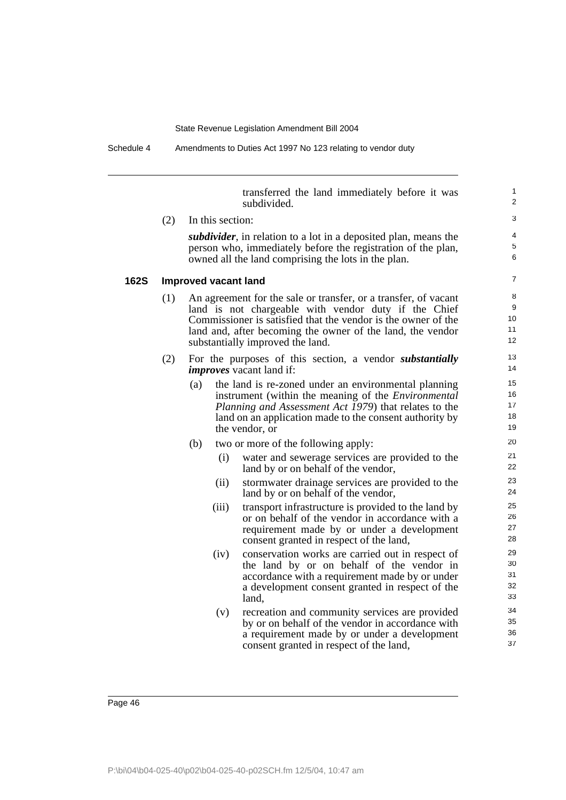Schedule 4 Amendments to Duties Act 1997 No 123 relating to vendor duty

transferred the land immediately before it was subdivided.

(2) In this section:

*subdivider*, in relation to a lot in a deposited plan, means the person who, immediately before the registration of the plan, owned all the land comprising the lots in the plan.

#### **162S Improved vacant land**

- (1) An agreement for the sale or transfer, or a transfer, of vacant land is not chargeable with vendor duty if the Chief Commissioner is satisfied that the vendor is the owner of the land and, after becoming the owner of the land, the vendor substantially improved the land.
- (2) For the purposes of this section, a vendor *substantially improves* vacant land if:
	- (a) the land is re-zoned under an environmental planning instrument (within the meaning of the *Environmental Planning and Assessment Act 1979*) that relates to the land on an application made to the consent authority by the vendor, or
	- (b) two or more of the following apply:
		- (i) water and sewerage services are provided to the land by or on behalf of the vendor,
		- (ii) stormwater drainage services are provided to the land by or on behalf of the vendor,
		- (iii) transport infrastructure is provided to the land by or on behalf of the vendor in accordance with a requirement made by or under a development consent granted in respect of the land,
		- (iv) conservation works are carried out in respect of the land by or on behalf of the vendor in accordance with a requirement made by or under a development consent granted in respect of the land,
		- (v) recreation and community services are provided by or on behalf of the vendor in accordance with a requirement made by or under a development consent granted in respect of the land,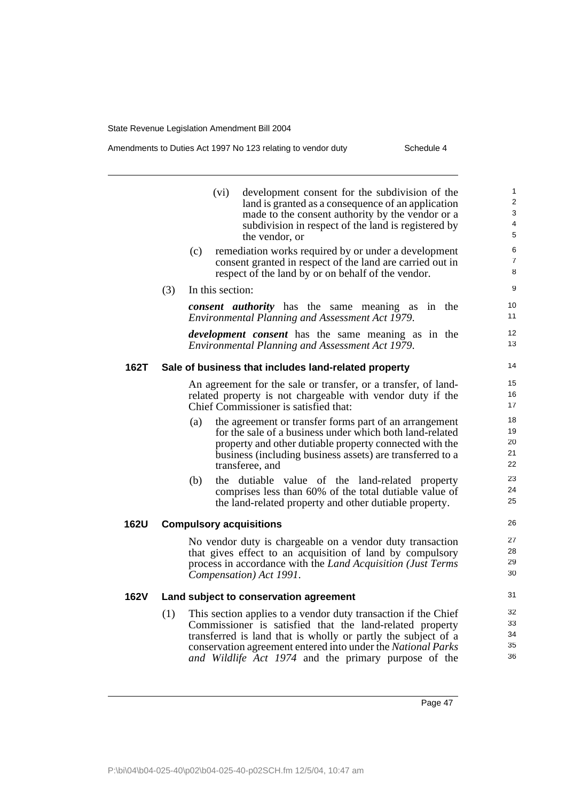| Amendments to Duties Act 1997 No 123 relating to vendor duty |  |
|--------------------------------------------------------------|--|
|                                                              |  |

|             |     | (vi)                           | development consent for the subdivision of the<br>land is granted as a consequence of an application<br>made to the consent authority by the vendor or a<br>subdivision in respect of the land is registered by<br>the vendor, or                                                                                   | 1<br>2<br>3<br>4<br>5      |
|-------------|-----|--------------------------------|---------------------------------------------------------------------------------------------------------------------------------------------------------------------------------------------------------------------------------------------------------------------------------------------------------------------|----------------------------|
|             |     | (c)                            | remediation works required by or under a development<br>consent granted in respect of the land are carried out in<br>respect of the land by or on behalf of the vendor.                                                                                                                                             | 6<br>$\overline{7}$<br>8   |
|             | (3) | In this section:               |                                                                                                                                                                                                                                                                                                                     | 9                          |
|             |     |                                | <b><i>consent authority</i></b> has the same meaning as in the<br>Environmental Planning and Assessment Act 1979.                                                                                                                                                                                                   | 10<br>11                   |
|             |     |                                | <i>development consent</i> has the same meaning as in the<br>Environmental Planning and Assessment Act 1979.                                                                                                                                                                                                        | 12<br>13                   |
| 162T        |     |                                | Sale of business that includes land-related property                                                                                                                                                                                                                                                                | 14                         |
|             |     |                                | An agreement for the sale or transfer, or a transfer, of land-<br>related property is not chargeable with vendor duty if the<br>Chief Commissioner is satisfied that:                                                                                                                                               | 15<br>16<br>17             |
|             |     | (a)<br>transferee, and         | the agreement or transfer forms part of an arrangement<br>for the sale of a business under which both land-related<br>property and other dutiable property connected with the<br>business (including business assets) are transferred to a                                                                          | 18<br>19<br>20<br>21<br>22 |
|             |     | (b)                            | the dutiable value of the land-related property<br>comprises less than 60% of the total dutiable value of<br>the land-related property and other dutiable property.                                                                                                                                                 | 23<br>24<br>25             |
| <b>162U</b> |     | <b>Compulsory acquisitions</b> |                                                                                                                                                                                                                                                                                                                     | 26                         |
|             |     | Compensation) Act 1991.        | No vendor duty is chargeable on a vendor duty transaction<br>that gives effect to an acquisition of land by compulsory<br>process in accordance with the <i>Land Acquisition (Just Terms</i> )                                                                                                                      | 27<br>28<br>29<br>30       |
| <b>162V</b> |     |                                | Land subject to conservation agreement                                                                                                                                                                                                                                                                              | 31                         |
|             | (1) |                                | This section applies to a vendor duty transaction if the Chief<br>Commissioner is satisfied that the land-related property<br>transferred is land that is wholly or partly the subject of a<br>conservation agreement entered into under the National Parks<br>and Wildlife Act 1974 and the primary purpose of the | 32<br>33<br>34<br>35<br>36 |
|             |     |                                |                                                                                                                                                                                                                                                                                                                     |                            |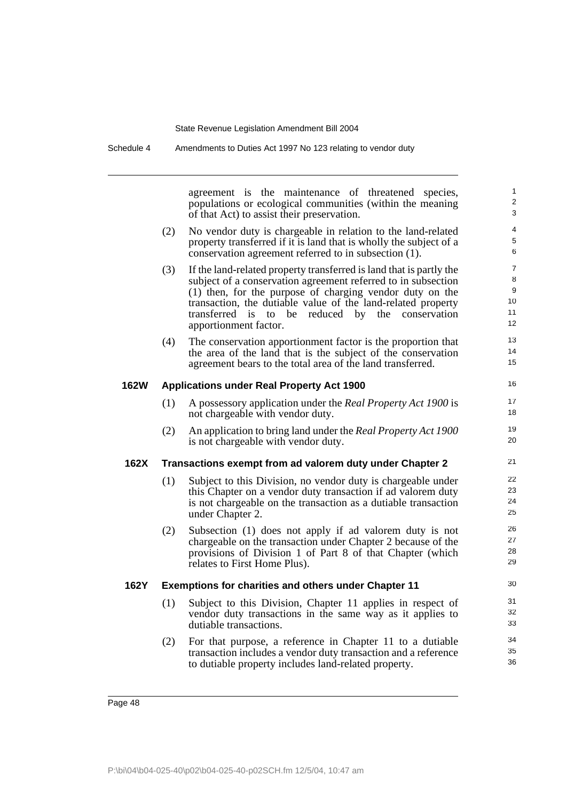agreement is the maintenance of threatened species, populations or ecological communities (within the meaning of that Act) to assist their preservation. (2) No vendor duty is chargeable in relation to the land-related property transferred if it is land that is wholly the subject of a conservation agreement referred to in subsection (1). (3) If the land-related property transferred is land that is partly the subject of a conservation agreement referred to in subsection (1) then, for the purpose of charging vendor duty on the transaction, the dutiable value of the land-related property transferred is to be reduced by the conservation apportionment factor. (4) The conservation apportionment factor is the proportion that the area of the land that is the subject of the conservation agreement bears to the total area of the land transferred. **162W Applications under Real Property Act 1900** (1) A possessory application under the *Real Property Act 1900* is not chargeable with vendor duty. (2) An application to bring land under the *Real Property Act 1900* is not chargeable with vendor duty. **162X Transactions exempt from ad valorem duty under Chapter 2** (1) Subject to this Division, no vendor duty is chargeable under this Chapter on a vendor duty transaction if ad valorem duty is not chargeable on the transaction as a dutiable transaction under Chapter 2. (2) Subsection (1) does not apply if ad valorem duty is not chargeable on the transaction under Chapter 2 because of the provisions of Division 1 of Part 8 of that Chapter (which relates to First Home Plus). **162Y Exemptions for charities and others under Chapter 11** (1) Subject to this Division, Chapter 11 applies in respect of vendor duty transactions in the same way as it applies to dutiable transactions. (2) For that purpose, a reference in Chapter 11 to a dutiable transaction includes a vendor duty transaction and a reference to dutiable property includes land-related property. 1  $\overline{2}$ 3 4 5 6 7 8 9 10 11 12 13 14 15 16 17 18 19 20 21 22 23 24 25 26 27 28 29 30 31 32 33 34 35 36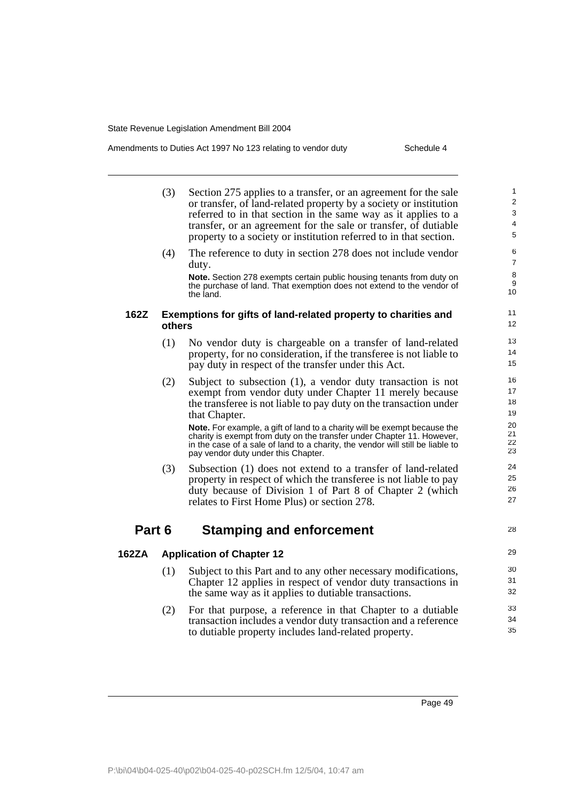### Amendments to Duties Act 1997 No 123 relating to vendor duty Schedule 4

|        | (3)                              | Section 275 applies to a transfer, or an agreement for the sale<br>or transfer, of land-related property by a society or institution<br>referred to in that section in the same way as it applies to a<br>transfer, or an agreement for the sale or transfer, of dutiable<br>property to a society or institution referred to in that section. | 1<br>$\overline{2}$<br>3<br>$\overline{\mathbf{4}}$<br>5 |
|--------|----------------------------------|------------------------------------------------------------------------------------------------------------------------------------------------------------------------------------------------------------------------------------------------------------------------------------------------------------------------------------------------|----------------------------------------------------------|
|        | (4)                              | The reference to duty in section 278 does not include vendor<br>duty.<br>Note. Section 278 exempts certain public housing tenants from duty on<br>the purchase of land. That exemption does not extend to the vendor of<br>the land.                                                                                                           | 6<br>$\overline{7}$<br>8<br>9<br>10                      |
| 162Z   | others                           | Exemptions for gifts of land-related property to charities and                                                                                                                                                                                                                                                                                 | 11<br>12                                                 |
|        | (1)                              | No vendor duty is chargeable on a transfer of land-related<br>property, for no consideration, if the transferee is not liable to<br>pay duty in respect of the transfer under this Act.                                                                                                                                                        | 13<br>14<br>15                                           |
|        | (2)                              | Subject to subsection (1), a vendor duty transaction is not<br>exempt from vendor duty under Chapter 11 merely because<br>the transferee is not liable to pay duty on the transaction under<br>that Chapter.                                                                                                                                   | 16<br>17<br>18<br>19                                     |
|        |                                  | <b>Note.</b> For example, a gift of land to a charity will be exempt because the<br>charity is exempt from duty on the transfer under Chapter 11. However,<br>in the case of a sale of land to a charity, the vendor will still be liable to<br>pay vendor duty under this Chapter.                                                            | 20<br>21<br>22<br>23                                     |
|        | (3)                              | Subsection (1) does not extend to a transfer of land-related<br>property in respect of which the transferee is not liable to pay<br>duty because of Division 1 of Part 8 of Chapter 2 (which<br>relates to First Home Plus) or section 278.                                                                                                    | 24<br>25<br>26<br>27                                     |
| Part 6 |                                  | <b>Stamping and enforcement</b>                                                                                                                                                                                                                                                                                                                | 28                                                       |
| 162ZA  | <b>Application of Chapter 12</b> |                                                                                                                                                                                                                                                                                                                                                |                                                          |
|        | (1)                              | Subject to this Part and to any other necessary modifications,<br>Chapter 12 applies in respect of vendor duty transactions in<br>the same way as it applies to dutiable transactions.                                                                                                                                                         | 30<br>31<br>32                                           |
|        | (2)                              | For that purpose, a reference in that Chapter to a dutiable<br>transaction includes a vendor duty transaction and a reference<br>to dutiable property includes land-related property.                                                                                                                                                          | 33<br>34<br>35                                           |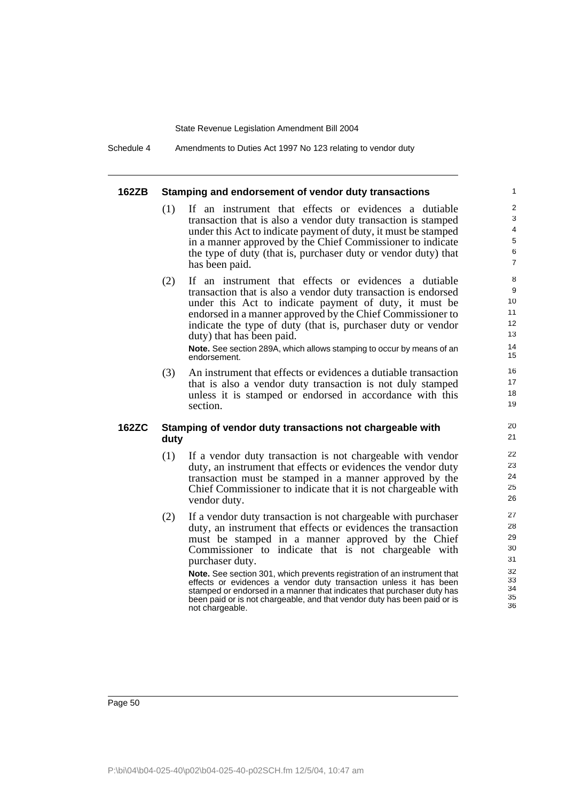Schedule 4 Amendments to Duties Act 1997 No 123 relating to vendor duty

#### **162ZB Stamping and endorsement of vendor duty transactions**

(1) If an instrument that effects or evidences a dutiable transaction that is also a vendor duty transaction is stamped under this Act to indicate payment of duty, it must be stamped in a manner approved by the Chief Commissioner to indicate the type of duty (that is, purchaser duty or vendor duty) that has been paid.

(2) If an instrument that effects or evidences a dutiable transaction that is also a vendor duty transaction is endorsed under this Act to indicate payment of duty, it must be endorsed in a manner approved by the Chief Commissioner to indicate the type of duty (that is, purchaser duty or vendor duty) that has been paid.

**Note.** See section 289A, which allows stamping to occur by means of an endorsement.

(3) An instrument that effects or evidences a dutiable transaction that is also a vendor duty transaction is not duly stamped unless it is stamped or endorsed in accordance with this section.

#### **162ZC Stamping of vendor duty transactions not chargeable with duty**

- (1) If a vendor duty transaction is not chargeable with vendor duty, an instrument that effects or evidences the vendor duty transaction must be stamped in a manner approved by the Chief Commissioner to indicate that it is not chargeable with vendor duty.
- (2) If a vendor duty transaction is not chargeable with purchaser duty, an instrument that effects or evidences the transaction must be stamped in a manner approved by the Chief Commissioner to indicate that is not chargeable with purchaser duty.

**Note.** See section 301, which prevents registration of an instrument that effects or evidences a vendor duty transaction unless it has been stamped or endorsed in a manner that indicates that purchaser duty has been paid or is not chargeable, and that vendor duty has been paid or is not chargeable.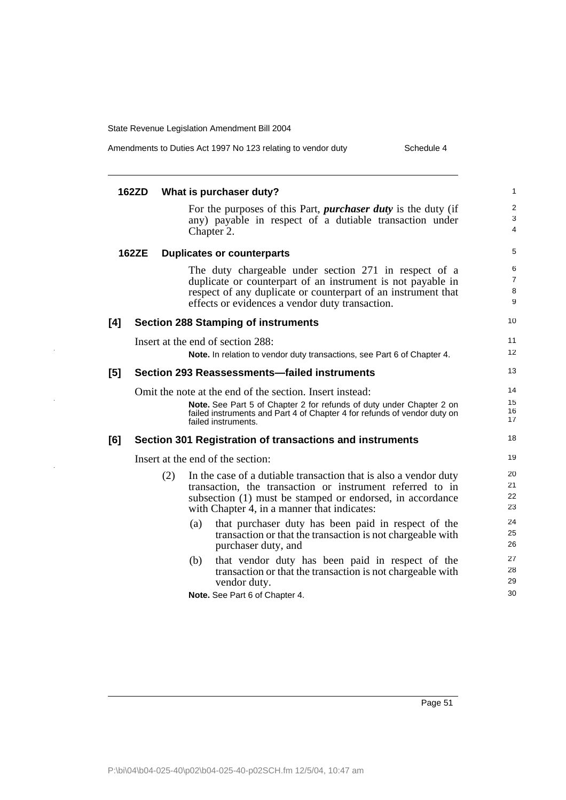$\hat{\boldsymbol{\beta}}$ 

 $\hat{\mathcal{A}}$ 

 $\mathcal{A}$ 

| Amendments to Duties Act 1997 No 123 relating to vendor duty | Schedule 4 |
|--------------------------------------------------------------|------------|
|--------------------------------------------------------------|------------|

|     | <b>162ZD</b> |     | What is purchaser duty?                                                                                                                                                                                                                   | 1                    |
|-----|--------------|-----|-------------------------------------------------------------------------------------------------------------------------------------------------------------------------------------------------------------------------------------------|----------------------|
|     |              |     | For the purposes of this Part, <i>purchaser duty</i> is the duty (if<br>any) payable in respect of a dutiable transaction under<br>Chapter 2.                                                                                             | 2<br>3<br>4          |
|     | <b>162ZE</b> |     | <b>Duplicates or counterparts</b>                                                                                                                                                                                                         | 5                    |
|     |              |     | The duty chargeable under section 271 in respect of a<br>duplicate or counterpart of an instrument is not payable in<br>respect of any duplicate or counterpart of an instrument that<br>effects or evidences a vendor duty transaction.  | 6<br>7<br>8<br>9     |
| [4] |              |     | <b>Section 288 Stamping of instruments</b>                                                                                                                                                                                                | 10                   |
|     |              |     | Insert at the end of section 288:<br>Note. In relation to vendor duty transactions, see Part 6 of Chapter 4.                                                                                                                              | 11<br>12             |
| [5] |              |     | Section 293 Reassessments-failed instruments                                                                                                                                                                                              | 13                   |
|     |              |     | Omit the note at the end of the section. Insert instead:<br>Note. See Part 5 of Chapter 2 for refunds of duty under Chapter 2 on<br>failed instruments and Part 4 of Chapter 4 for refunds of vendor duty on<br>failed instruments.       | 14<br>15<br>16<br>17 |
| [6] |              |     | Section 301 Registration of transactions and instruments                                                                                                                                                                                  | 18                   |
|     |              |     | Insert at the end of the section:                                                                                                                                                                                                         | 19                   |
|     |              | (2) | In the case of a dutiable transaction that is also a vendor duty<br>transaction, the transaction or instrument referred to in<br>subsection (1) must be stamped or endorsed, in accordance<br>with Chapter 4, in a manner that indicates: | 20<br>21<br>22<br>23 |
|     |              |     | that purchaser duty has been paid in respect of the<br>(a)<br>transaction or that the transaction is not chargeable with<br>purchaser duty, and                                                                                           | 24<br>25<br>26       |
|     |              |     | that vendor duty has been paid in respect of the<br>(b)<br>transaction or that the transaction is not chargeable with<br>vendor duty.                                                                                                     | 27<br>28<br>29       |
|     |              |     | Note. See Part 6 of Chapter 4.                                                                                                                                                                                                            | 30                   |
|     |              |     |                                                                                                                                                                                                                                           |                      |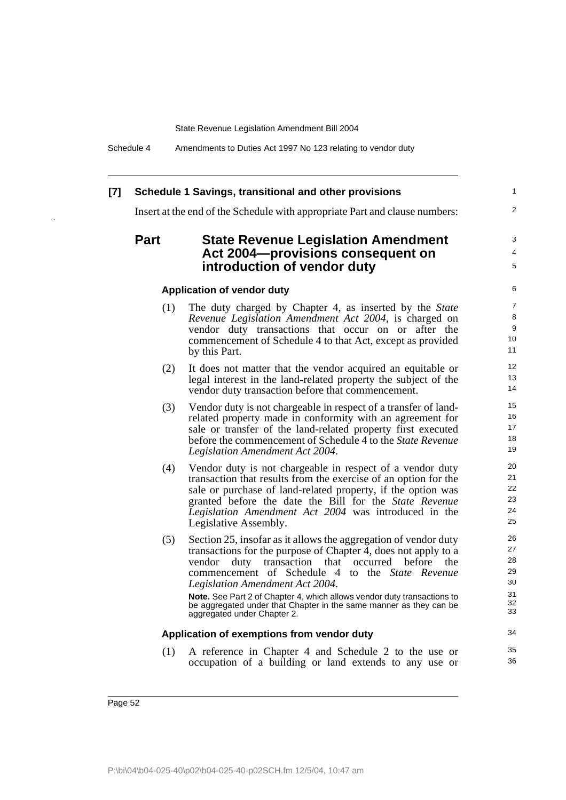Schedule 4 Amendments to Duties Act 1997 No 123 relating to vendor duty

#### **[7] Schedule 1 Savings, transitional and other provisions**

Insert at the end of the Schedule with appropriate Part and clause numbers:

1  $\mathfrak{p}$ 

3 4 5

34 35 36

## **Part State Revenue Legislation Amendment Act 2004—provisions consequent on introduction of vendor duty**

#### **Application of vendor duty**

- (1) The duty charged by Chapter 4, as inserted by the *State Revenue Legislation Amendment Act 2004*, is charged on vendor duty transactions that occur on or after the commencement of Schedule 4 to that Act, except as provided by this Part.
- (2) It does not matter that the vendor acquired an equitable or legal interest in the land-related property the subject of the vendor duty transaction before that commencement.
- (3) Vendor duty is not chargeable in respect of a transfer of landrelated property made in conformity with an agreement for sale or transfer of the land-related property first executed before the commencement of Schedule 4 to the *State Revenue Legislation Amendment Act 2004*.
- (4) Vendor duty is not chargeable in respect of a vendor duty transaction that results from the exercise of an option for the sale or purchase of land-related property, if the option was granted before the date the Bill for the *State Revenue Legislation Amendment Act 2004* was introduced in the Legislative Assembly.
- (5) Section 25, insofar as it allows the aggregation of vendor duty transactions for the purpose of Chapter 4, does not apply to a vendor duty transaction that occurred before the commencement of Schedule 4 to the *State Revenue Legislation Amendment Act 2004*. **Note.** See Part 2 of Chapter 4, which allows vendor duty transactions to

be aggregated under that Chapter in the same manner as they can be aggregated under Chapter 2.

#### **Application of exemptions from vendor duty**

(1) A reference in Chapter 4 and Schedule 2 to the use or occupation of a building or land extends to any use or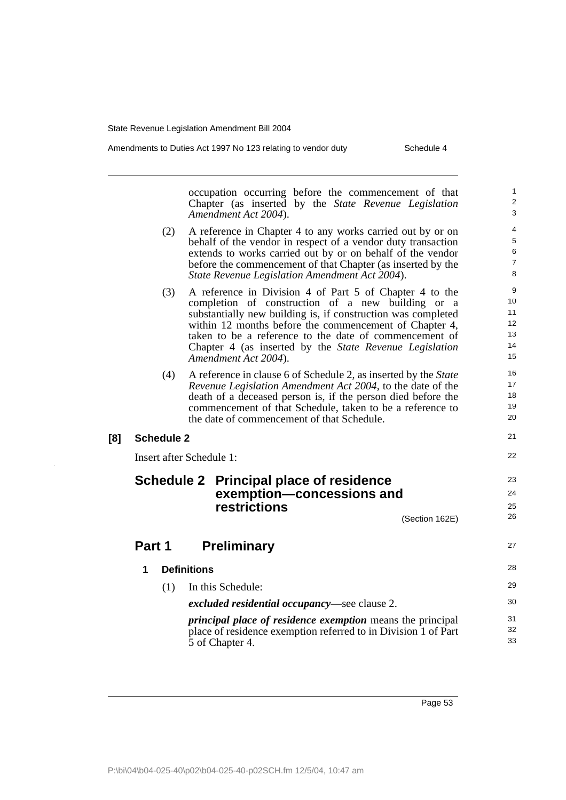occupation occurring before the commencement of that Chapter (as inserted by the *State Revenue Legislation Amendment Act 2004*). (2) A reference in Chapter 4 to any works carried out by or on behalf of the vendor in respect of a vendor duty transaction extends to works carried out by or on behalf of the vendor before the commencement of that Chapter (as inserted by the *State Revenue Legislation Amendment Act 2004*). (3) A reference in Division 4 of Part 5 of Chapter 4 to the completion of construction of a new building or a substantially new building is, if construction was completed within 12 months before the commencement of Chapter 4, taken to be a reference to the date of commencement of Chapter 4 (as inserted by the *State Revenue Legislation Amendment Act 2004*). (4) A reference in clause 6 of Schedule 2, as inserted by the *State Revenue Legislation Amendment Act 2004*, to the date of the death of a deceased person is, if the person died before the commencement of that Schedule, taken to be a reference to the date of commencement of that Schedule. **[8] Schedule 2** Insert after Schedule 1: **Schedule 2 Principal place of residence exemption—concessions and restrictions** (Section 162E) **Part 1 Preliminary 1 Definitions** (1) In this Schedule: *excluded residential occupancy*—see clause 2. *principal place of residence exemption* means the principal place of residence exemption referred to in Division 1 of Part 5 of Chapter 4. 1  $\overline{2}$ 3 4 5 6 7 8  $\alpha$ 10 11 12 13 14 15 16 17 18 19 20 21 22 23 24 25 26 27 28 29 30 31 32 33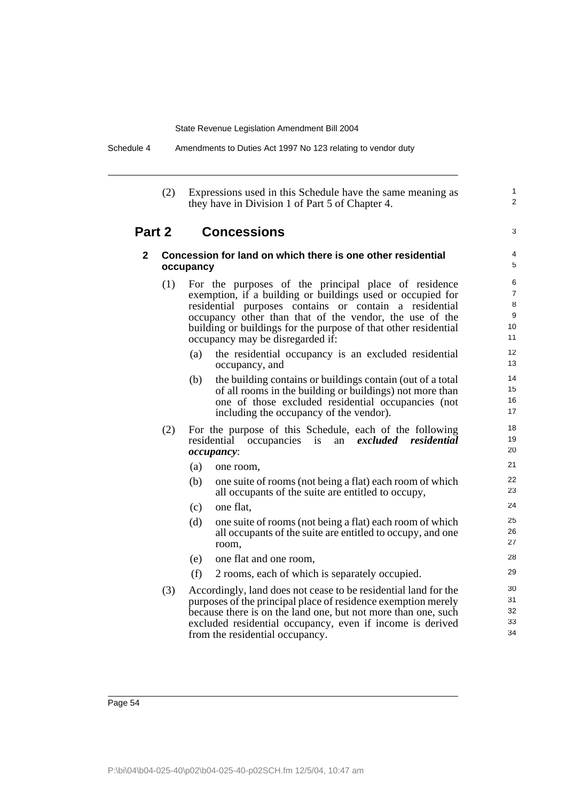(2) Expressions used in this Schedule have the same meaning as they have in Division 1 of Part 5 of Chapter 4.

## **Part 2 Concessions**

3

1  $\overline{2}$ 

#### **2 Concession for land on which there is one other residential occupancy**

- (1) For the purposes of the principal place of residence exemption, if a building or buildings used or occupied for residential purposes contains or contain a residential occupancy other than that of the vendor, the use of the building or buildings for the purpose of that other residential occupancy may be disregarded if:
	- (a) the residential occupancy is an excluded residential occupancy, and
	- (b) the building contains or buildings contain (out of a total of all rooms in the building or buildings) not more than one of those excluded residential occupancies (not including the occupancy of the vendor).
- (2) For the purpose of this Schedule, each of the following residential occupancies is an *excluded residential occupancy*:
	- (a) one room,
	- (b) one suite of rooms (not being a flat) each room of which all occupants of the suite are entitled to occupy,
	- (c) one flat,
	- (d) one suite of rooms (not being a flat) each room of which all occupants of the suite are entitled to occupy, and one room,
	- (e) one flat and one room,
	- (f) 2 rooms, each of which is separately occupied.
- (3) Accordingly, land does not cease to be residential land for the purposes of the principal place of residence exemption merely because there is on the land one, but not more than one, such excluded residential occupancy, even if income is derived from the residential occupancy.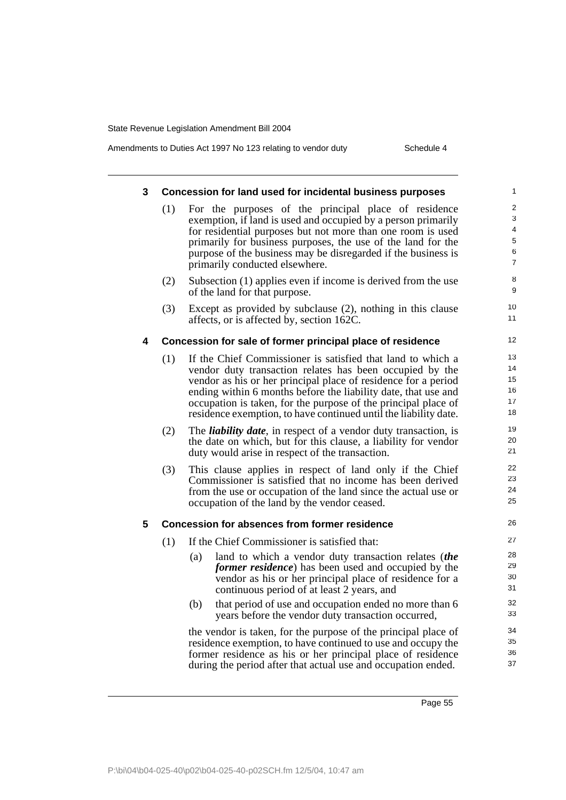Amendments to Duties Act 1997 No 123 relating to vendor duty Schedule 4

| 3 |     | Concession for land used for incidental business purposes                                                                                                                                                                                                                                                                                                                                         | 1                                                          |
|---|-----|---------------------------------------------------------------------------------------------------------------------------------------------------------------------------------------------------------------------------------------------------------------------------------------------------------------------------------------------------------------------------------------------------|------------------------------------------------------------|
|   | (1) | For the purposes of the principal place of residence<br>exemption, if land is used and occupied by a person primarily<br>for residential purposes but not more than one room is used<br>primarily for business purposes, the use of the land for the<br>purpose of the business may be disregarded if the business is<br>primarily conducted elsewhere.                                           | $\overline{2}$<br>3<br>4<br>5<br>$\,6\,$<br>$\overline{7}$ |
|   | (2) | Subsection (1) applies even if income is derived from the use<br>of the land for that purpose.                                                                                                                                                                                                                                                                                                    | 8<br>9                                                     |
|   | (3) | Except as provided by subclause (2), nothing in this clause<br>affects, or is affected by, section 162C.                                                                                                                                                                                                                                                                                          | 10<br>11                                                   |
| 4 |     | Concession for sale of former principal place of residence                                                                                                                                                                                                                                                                                                                                        | 12                                                         |
|   | (1) | If the Chief Commissioner is satisfied that land to which a<br>vendor duty transaction relates has been occupied by the<br>vendor as his or her principal place of residence for a period<br>ending within 6 months before the liability date, that use and<br>occupation is taken, for the purpose of the principal place of<br>residence exemption, to have continued until the liability date. | 13<br>14<br>15<br>16<br>17<br>18                           |
|   | (2) | The <i>liability date</i> , in respect of a vendor duty transaction, is<br>the date on which, but for this clause, a liability for vendor<br>duty would arise in respect of the transaction.                                                                                                                                                                                                      | 19<br>20<br>21                                             |
|   | (3) | This clause applies in respect of land only if the Chief<br>Commissioner is satisfied that no income has been derived<br>from the use or occupation of the land since the actual use or<br>occupation of the land by the vendor ceased.                                                                                                                                                           | 22<br>23<br>24<br>25                                       |
| 5 |     | <b>Concession for absences from former residence</b>                                                                                                                                                                                                                                                                                                                                              | 26                                                         |
|   | (1) | If the Chief Commissioner is satisfied that:<br>land to which a vendor duty transaction relates (the<br>(a)<br><i>former residence</i> ) has been used and occupied by the<br>vendor as his or her principal place of residence for a<br>continuous period of at least 2 years, and                                                                                                               | 27<br>28<br>29<br>30<br>31                                 |
|   |     | (b)<br>that period of use and occupation ended no more than 6<br>years before the vendor duty transaction occurred,                                                                                                                                                                                                                                                                               | 32<br>33                                                   |
|   |     | the vendor is taken, for the purpose of the principal place of<br>residence exemption, to have continued to use and occupy the<br>former residence as his or her principal place of residence<br>during the period after that actual use and occupation ended.                                                                                                                                    | 34<br>35<br>36<br>37                                       |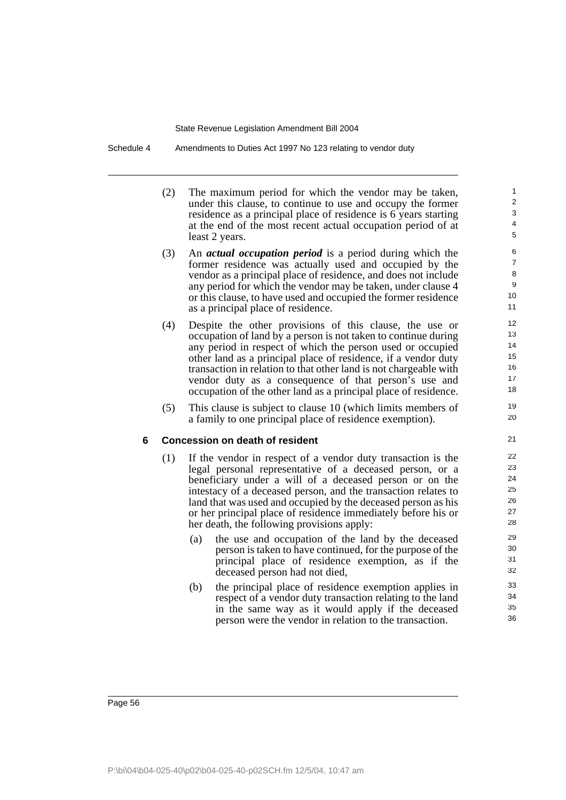Schedule 4 Amendments to Duties Act 1997 No 123 relating to vendor duty

(2) The maximum period for which the vendor may be taken, under this clause, to continue to use and occupy the former residence as a principal place of residence is 6 years starting at the end of the most recent actual occupation period of at least 2 years.

- (3) An *actual occupation period* is a period during which the former residence was actually used and occupied by the vendor as a principal place of residence, and does not include any period for which the vendor may be taken, under clause 4 or this clause, to have used and occupied the former residence as a principal place of residence.
- (4) Despite the other provisions of this clause, the use or occupation of land by a person is not taken to continue during any period in respect of which the person used or occupied other land as a principal place of residence, if a vendor duty transaction in relation to that other land is not chargeable with vendor duty as a consequence of that person's use and occupation of the other land as a principal place of residence.
- (5) This clause is subject to clause 10 (which limits members of a family to one principal place of residence exemption).

#### **6 Concession on death of resident**

- (1) If the vendor in respect of a vendor duty transaction is the legal personal representative of a deceased person, or a beneficiary under a will of a deceased person or on the intestacy of a deceased person, and the transaction relates to land that was used and occupied by the deceased person as his or her principal place of residence immediately before his or her death, the following provisions apply:
	- (a) the use and occupation of the land by the deceased person is taken to have continued, for the purpose of the principal place of residence exemption, as if the deceased person had not died,
	- (b) the principal place of residence exemption applies in respect of a vendor duty transaction relating to the land in the same way as it would apply if the deceased person were the vendor in relation to the transaction.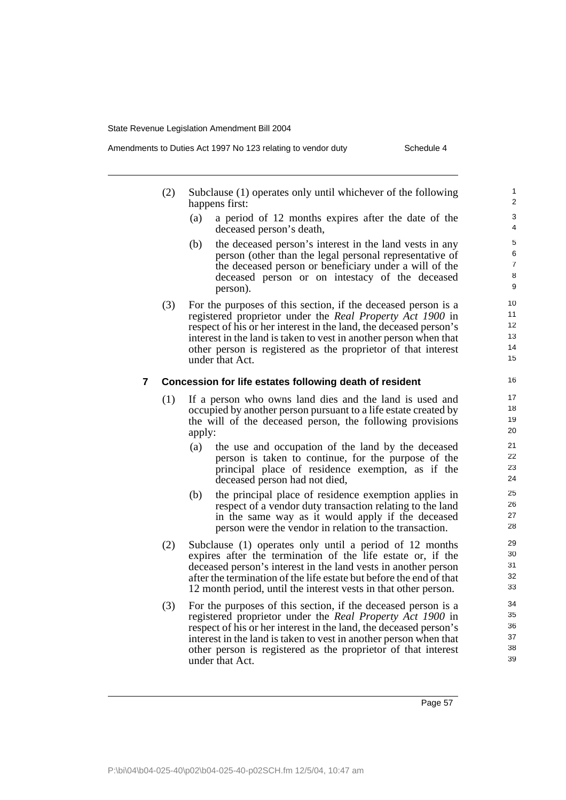- (2) Subclause (1) operates only until whichever of the following happens first:
	- (a) a period of 12 months expires after the date of the deceased person's death,
	- (b) the deceased person's interest in the land vests in any person (other than the legal personal representative of the deceased person or beneficiary under a will of the deceased person or on intestacy of the deceased person).
- (3) For the purposes of this section, if the deceased person is a registered proprietor under the *Real Property Act 1900* in respect of his or her interest in the land, the deceased person's interest in the land is taken to vest in another person when that other person is registered as the proprietor of that interest under that Act.

#### **7 Concession for life estates following death of resident**

- (1) If a person who owns land dies and the land is used and occupied by another person pursuant to a life estate created by the will of the deceased person, the following provisions apply:
	- (a) the use and occupation of the land by the deceased person is taken to continue, for the purpose of the principal place of residence exemption, as if the deceased person had not died,
	- (b) the principal place of residence exemption applies in respect of a vendor duty transaction relating to the land in the same way as it would apply if the deceased person were the vendor in relation to the transaction.
- (2) Subclause (1) operates only until a period of 12 months expires after the termination of the life estate or, if the deceased person's interest in the land vests in another person after the termination of the life estate but before the end of that 12 month period, until the interest vests in that other person.
- (3) For the purposes of this section, if the deceased person is a registered proprietor under the *Real Property Act 1900* in respect of his or her interest in the land, the deceased person's interest in the land is taken to vest in another person when that other person is registered as the proprietor of that interest under that Act.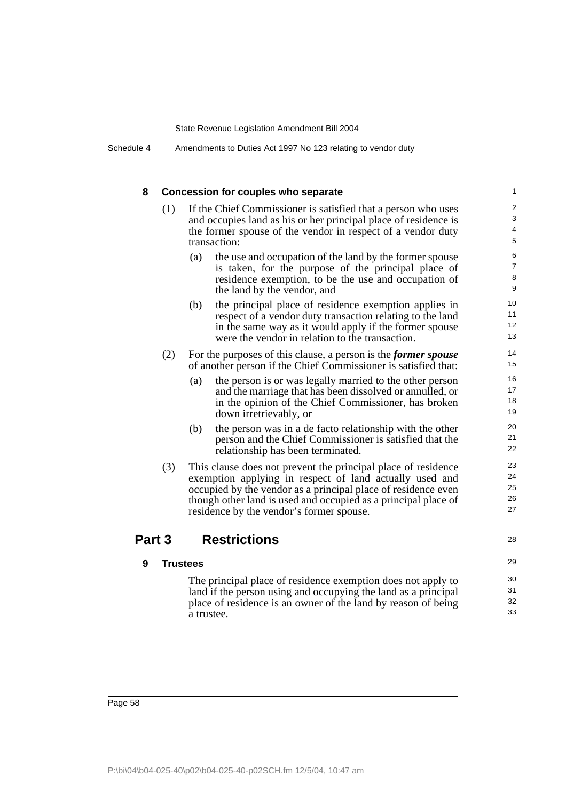Schedule 4 Amendments to Duties Act 1997 No 123 relating to vendor duty

#### **8 Concession for couples who separate** (1) If the Chief Commissioner is satisfied that a person who uses and occupies land as his or her principal place of residence is the former spouse of the vendor in respect of a vendor duty transaction: (a) the use and occupation of the land by the former spouse is taken, for the purpose of the principal place of residence exemption, to be the use and occupation of the land by the vendor, and (b) the principal place of residence exemption applies in respect of a vendor duty transaction relating to the land in the same way as it would apply if the former spouse were the vendor in relation to the transaction. (2) For the purposes of this clause, a person is the *former spouse* of another person if the Chief Commissioner is satisfied that: (a) the person is or was legally married to the other person and the marriage that has been dissolved or annulled, or in the opinion of the Chief Commissioner, has broken down irretrievably, or (b) the person was in a de facto relationship with the other person and the Chief Commissioner is satisfied that the relationship has been terminated. (3) This clause does not prevent the principal place of residence exemption applying in respect of land actually used and occupied by the vendor as a principal place of residence even though other land is used and occupied as a principal place of residence by the vendor's former spouse. **Part 3 Restrictions 9 Trustees** The principal place of residence exemption does not apply to land if the person using and occupying the land as a principal place of residence is an owner of the land by reason of being a trustee. 1  $\overline{2}$ 3 4 5 6 7 8  $\mathsf{o}$ 10 11 12 13 14 15 16 17 18 19 20 21 22 23 24 25 26 27 28 29 30 31 32 33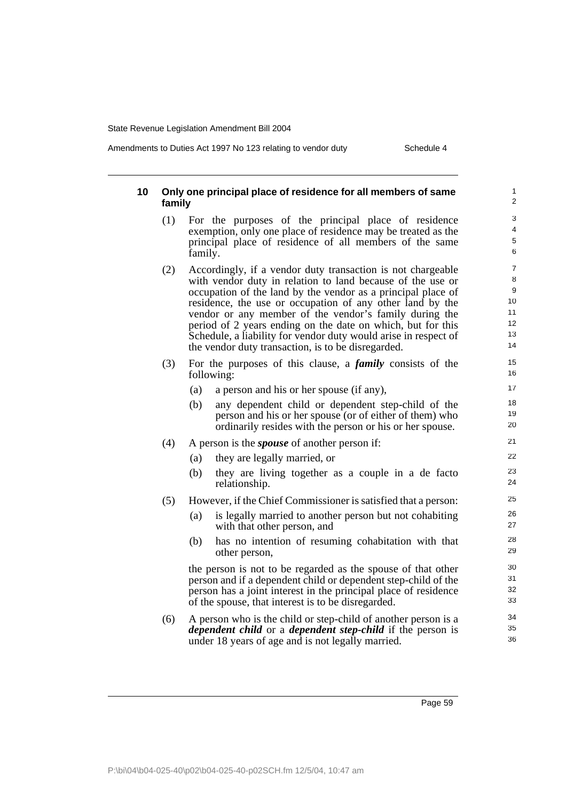Amendments to Duties Act 1997 No 123 relating to vendor duty Schedule 4

#### **10 Only one principal place of residence for all members of same family**

- (1) For the purposes of the principal place of residence exemption, only one place of residence may be treated as the principal place of residence of all members of the same family.
- (2) Accordingly, if a vendor duty transaction is not chargeable with vendor duty in relation to land because of the use or occupation of the land by the vendor as a principal place of residence, the use or occupation of any other land by the vendor or any member of the vendor's family during the period of 2 years ending on the date on which, but for this Schedule, a liability for vendor duty would arise in respect of the vendor duty transaction, is to be disregarded.
- (3) For the purposes of this clause, a *family* consists of the following:
	- (a) a person and his or her spouse (if any),
	- (b) any dependent child or dependent step-child of the person and his or her spouse (or of either of them) who ordinarily resides with the person or his or her spouse.
- (4) A person is the *spouse* of another person if:
	- (a) they are legally married, or
	- (b) they are living together as a couple in a de facto relationship.
- (5) However, if the Chief Commissioner is satisfied that a person:
	- (a) is legally married to another person but not cohabiting with that other person, and
	- (b) has no intention of resuming cohabitation with that other person,

the person is not to be regarded as the spouse of that other person and if a dependent child or dependent step-child of the person has a joint interest in the principal place of residence of the spouse, that interest is to be disregarded.

(6) A person who is the child or step-child of another person is a *dependent child* or a *dependent step-child* if the person is under 18 years of age and is not legally married.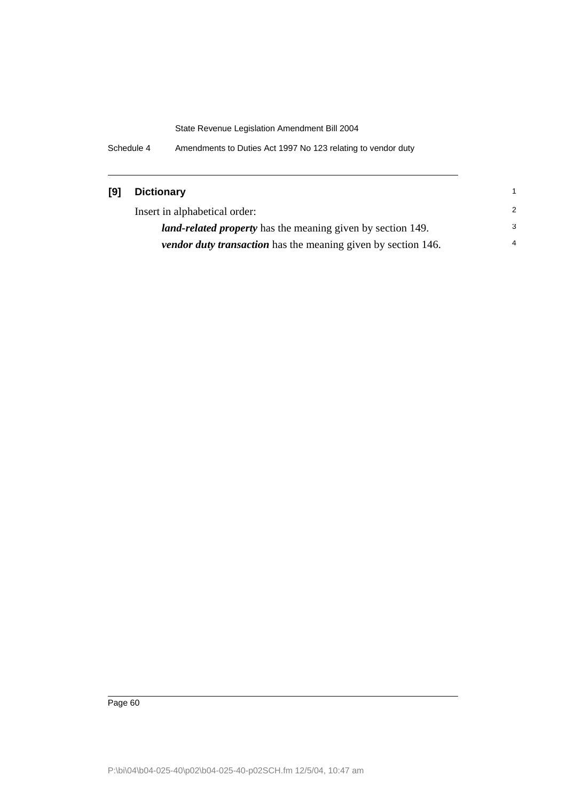Schedule 4 Amendments to Duties Act 1997 No 123 relating to vendor duty

## **[9] Dictionary** Insert in alphabetical order: *land-related property* has the meaning given by section 149.

| <i>land-related property</i> has the meaning given by section 149.   |
|----------------------------------------------------------------------|
| <i>vendor duty transaction</i> has the meaning given by section 146. |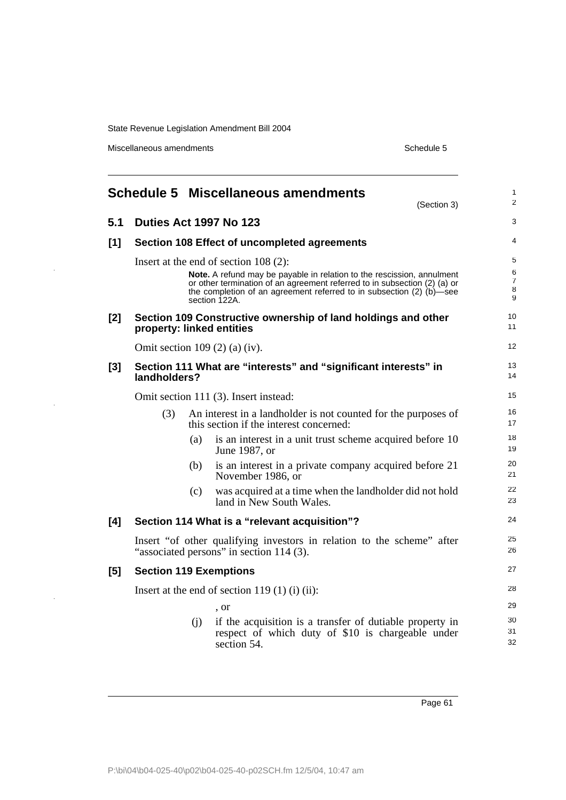Miscellaneous amendments and the state of the Schedule 5 Schedule 5

 $\mathbb{R}^2$ 

 $\bar{z}$ 

<span id="page-62-0"></span>

|       |                                                                                                                  |     | <b>Schedule 5 Miscellaneous amendments</b><br>(Section 3)                                                                                                                                                                                                                                    | 1<br>2                             |
|-------|------------------------------------------------------------------------------------------------------------------|-----|----------------------------------------------------------------------------------------------------------------------------------------------------------------------------------------------------------------------------------------------------------------------------------------------|------------------------------------|
| 5.1   |                                                                                                                  |     | Duties Act 1997 No 123                                                                                                                                                                                                                                                                       | 3                                  |
| [1]   |                                                                                                                  |     | Section 108 Effect of uncompleted agreements                                                                                                                                                                                                                                                 | 4                                  |
|       |                                                                                                                  |     | Insert at the end of section $108(2)$ :<br>Note. A refund may be payable in relation to the rescission, annulment<br>or other termination of an agreement referred to in subsection (2) (a) or<br>the completion of an agreement referred to in subsection $(2)$ $(b)$ —see<br>section 122A. | 5<br>6<br>$\overline{7}$<br>8<br>9 |
| [2]   | property: linked entities                                                                                        |     | Section 109 Constructive ownership of land holdings and other                                                                                                                                                                                                                                | 10<br>11                           |
|       |                                                                                                                  |     | Omit section $109(2)$ (a) (iv).                                                                                                                                                                                                                                                              | 12                                 |
| $[3]$ | landholders?                                                                                                     |     | Section 111 What are "interests" and "significant interests" in                                                                                                                                                                                                                              | 13<br>14                           |
|       |                                                                                                                  |     | Omit section 111 (3). Insert instead:                                                                                                                                                                                                                                                        | 15                                 |
|       | (3)<br>An interest in a landholder is not counted for the purposes of<br>this section if the interest concerned: |     |                                                                                                                                                                                                                                                                                              | 16<br>17                           |
|       |                                                                                                                  | (a) | is an interest in a unit trust scheme acquired before 10<br>June 1987, or                                                                                                                                                                                                                    | 18<br>19                           |
|       |                                                                                                                  | (b) | is an interest in a private company acquired before 21<br>November 1986, or                                                                                                                                                                                                                  | 20<br>21                           |
|       |                                                                                                                  | (c) | was acquired at a time when the landholder did not hold<br>land in New South Wales.                                                                                                                                                                                                          | 22<br>23                           |
| [4]   |                                                                                                                  |     | Section 114 What is a "relevant acquisition"?                                                                                                                                                                                                                                                | 24                                 |
|       |                                                                                                                  |     | Insert "of other qualifying investors in relation to the scheme" after<br>"associated persons" in section 114 (3).                                                                                                                                                                           | 25<br>26                           |
| [5]   | <b>Section 119 Exemptions</b>                                                                                    |     |                                                                                                                                                                                                                                                                                              | 27                                 |
|       | Insert at the end of section 119 $(1)$ $(i)$ $(ii)$ :                                                            |     |                                                                                                                                                                                                                                                                                              | 28                                 |
|       |                                                                                                                  |     | , or                                                                                                                                                                                                                                                                                         | 29                                 |
|       |                                                                                                                  | (i) | if the acquisition is a transfer of dutiable property in<br>respect of which duty of \$10 is chargeable under<br>section 54.                                                                                                                                                                 | 30<br>31<br>32                     |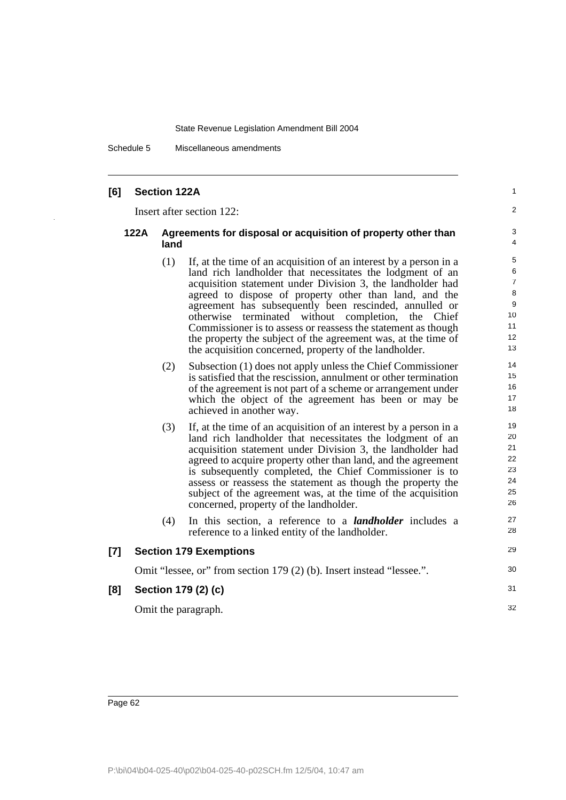Schedule 5 Miscellaneous amendments

#### **[6] Section 122A** Insert after section 122: **122A Agreements for disposal or acquisition of property other than land** (1) If, at the time of an acquisition of an interest by a person in a land rich landholder that necessitates the lodgment of an acquisition statement under Division 3, the landholder had agreed to dispose of property other than land, and the agreement has subsequently been rescinded, annulled or otherwise terminated without completion, the Chief Commissioner is to assess or reassess the statement as though the property the subject of the agreement was, at the time of the acquisition concerned, property of the landholder. (2) Subsection (1) does not apply unless the Chief Commissioner is satisfied that the rescission, annulment or other termination of the agreement is not part of a scheme or arrangement under which the object of the agreement has been or may be achieved in another way. (3) If, at the time of an acquisition of an interest by a person in a land rich landholder that necessitates the lodgment of an acquisition statement under Division 3, the landholder had agreed to acquire property other than land, and the agreement is subsequently completed, the Chief Commissioner is to assess or reassess the statement as though the property the subject of the agreement was, at the time of the acquisition concerned, property of the landholder. (4) In this section, a reference to a *landholder* includes a reference to a linked entity of the landholder. **[7] Section 179 Exemptions** Omit "lessee, or" from section 179 (2) (b). Insert instead "lessee.". **[8] Section 179 (2) (c)** Omit the paragraph. 1  $\overline{2}$ 3 4 5 6 7 8 9 10 11 12 13 14 15 16 17 18 19 20 21 22 23 24 25 26 27 28 29 30 31 32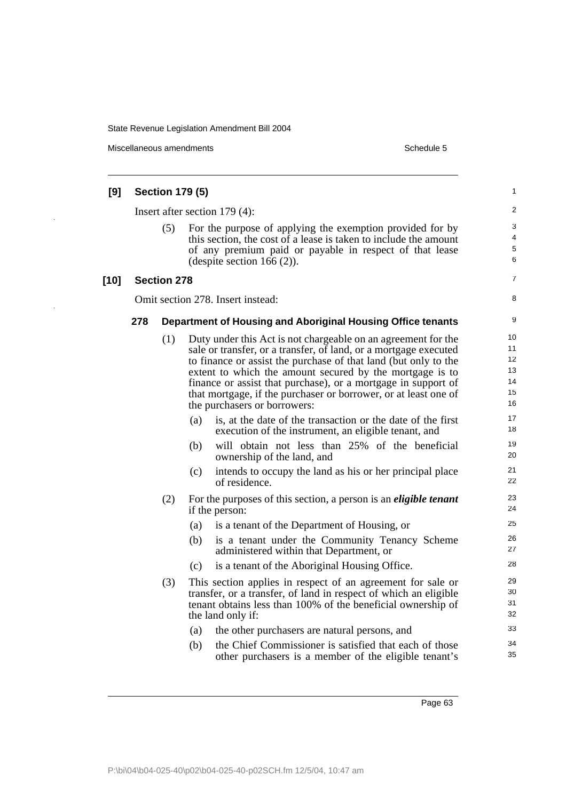Miscellaneous amendments **Schedule 5** and the set of the set of the set of the set of the set of the set of the set of the set of the set of the set of the set of the set of the set of the set of the set of the set of the

#### **[9] Section 179 (5)** Insert after section 179 (4): (5) For the purpose of applying the exemption provided for by this section, the cost of a lease is taken to include the amount of any premium paid or payable in respect of that lease  $(despite section 166 (2)).$ **[10] Section 278** Omit section 278. Insert instead: **278 Department of Housing and Aboriginal Housing Office tenants** (1) Duty under this Act is not chargeable on an agreement for the sale or transfer, or a transfer, of land, or a mortgage executed to finance or assist the purchase of that land (but only to the extent to which the amount secured by the mortgage is to finance or assist that purchase), or a mortgage in support of that mortgage, if the purchaser or borrower, or at least one of the purchasers or borrowers: (a) is, at the date of the transaction or the date of the first execution of the instrument, an eligible tenant, and (b) will obtain not less than 25% of the beneficial ownership of the land, and (c) intends to occupy the land as his or her principal place of residence. (2) For the purposes of this section, a person is an *eligible tenant* if the person: (a) is a tenant of the Department of Housing, or (b) is a tenant under the Community Tenancy Scheme administered within that Department, or (c) is a tenant of the Aboriginal Housing Office. (3) This section applies in respect of an agreement for sale or transfer, or a transfer, of land in respect of which an eligible tenant obtains less than 100% of the beneficial ownership of the land only if: (a) the other purchasers are natural persons, and (b) the Chief Commissioner is satisfied that each of those other purchasers is a member of the eligible tenant's 1  $\mathfrak{p}$ 3 4 5 6 7 8 9 10 11 12 13 14 15 16 17 18 19 20 21 22 23 24 25 26 27 28 29 30 31 32 33 34 35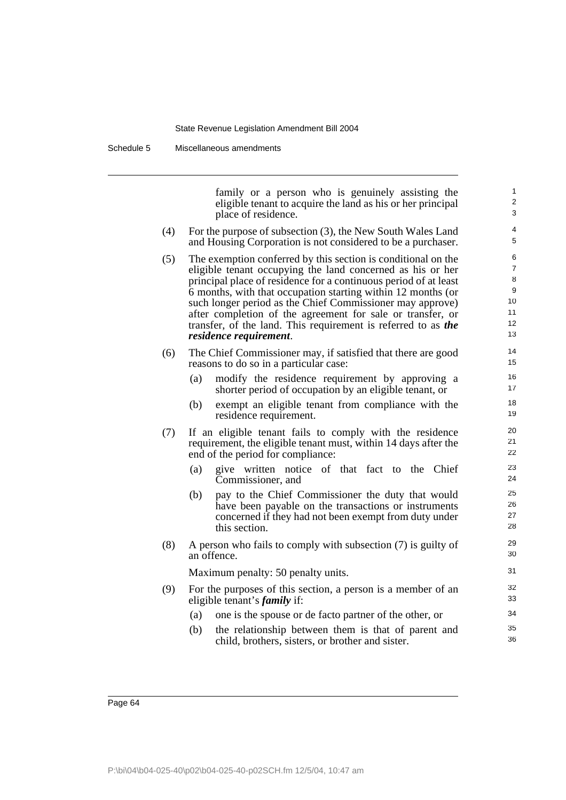Schedule 5 Miscellaneous amendments

family or a person who is genuinely assisting the eligible tenant to acquire the land as his or her principal place of residence.

- (4) For the purpose of subsection (3), the New South Wales Land and Housing Corporation is not considered to be a purchaser.
- (5) The exemption conferred by this section is conditional on the eligible tenant occupying the land concerned as his or her principal place of residence for a continuous period of at least 6 months, with that occupation starting within 12 months (or such longer period as the Chief Commissioner may approve) after completion of the agreement for sale or transfer, or transfer, of the land. This requirement is referred to as *the residence requirement*.
- (6) The Chief Commissioner may, if satisfied that there are good reasons to do so in a particular case:
	- (a) modify the residence requirement by approving a shorter period of occupation by an eligible tenant, or
	- (b) exempt an eligible tenant from compliance with the residence requirement.
- (7) If an eligible tenant fails to comply with the residence requirement, the eligible tenant must, within 14 days after the end of the period for compliance:
	- (a) give written notice of that fact to the Chief Commissioner, and
	- (b) pay to the Chief Commissioner the duty that would have been payable on the transactions or instruments concerned if they had not been exempt from duty under this section.
- (8) A person who fails to comply with subsection (7) is guilty of an offence.

Maximum penalty: 50 penalty units.

- (9) For the purposes of this section, a person is a member of an eligible tenant's *family* if:
	- (a) one is the spouse or de facto partner of the other, or
	- (b) the relationship between them is that of parent and child, brothers, sisters, or brother and sister.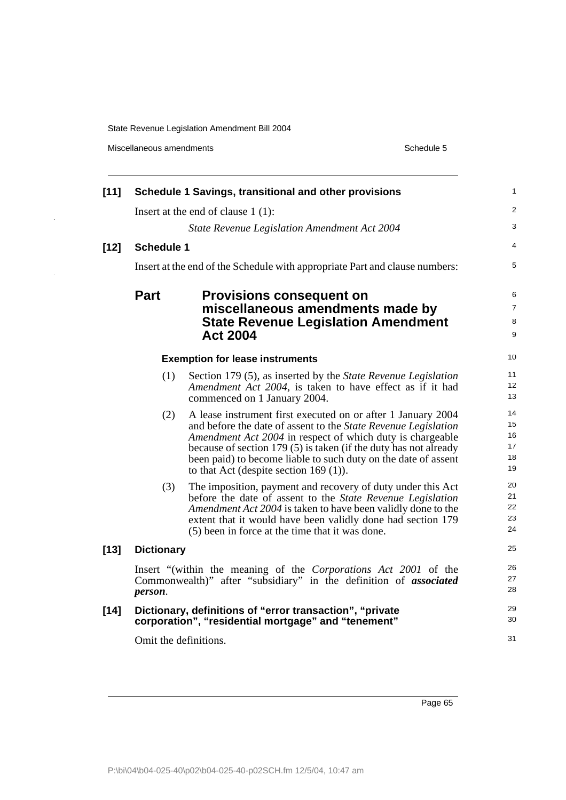Miscellaneous amendments and the state of the Schedule 5 Schedule 5

 $\bar{z}$ 

| $[11]$ |                   | Schedule 1 Savings, transitional and other provisions                                                                                                                                                                                                                                                                                                                                | 1                                |
|--------|-------------------|--------------------------------------------------------------------------------------------------------------------------------------------------------------------------------------------------------------------------------------------------------------------------------------------------------------------------------------------------------------------------------------|----------------------------------|
|        |                   | Insert at the end of clause $1(1)$ :                                                                                                                                                                                                                                                                                                                                                 | $\overline{\mathbf{c}}$          |
|        |                   | State Revenue Legislation Amendment Act 2004                                                                                                                                                                                                                                                                                                                                         | 3                                |
| $[12]$ | <b>Schedule 1</b> |                                                                                                                                                                                                                                                                                                                                                                                      | 4                                |
|        |                   | Insert at the end of the Schedule with appropriate Part and clause numbers:                                                                                                                                                                                                                                                                                                          | 5                                |
|        | <b>Part</b>       | <b>Provisions consequent on</b>                                                                                                                                                                                                                                                                                                                                                      | 6                                |
|        |                   | miscellaneous amendments made by                                                                                                                                                                                                                                                                                                                                                     | $\overline{7}$                   |
|        |                   | <b>State Revenue Legislation Amendment</b><br><b>Act 2004</b>                                                                                                                                                                                                                                                                                                                        | 8<br>9                           |
|        |                   | <b>Exemption for lease instruments</b>                                                                                                                                                                                                                                                                                                                                               | 10                               |
|        | (1)               | Section 179 (5), as inserted by the <i>State Revenue Legislation</i><br>Amendment Act 2004, is taken to have effect as if it had<br>commenced on 1 January 2004.                                                                                                                                                                                                                     | 11<br>12<br>13                   |
|        | (2)               | A lease instrument first executed on or after 1 January 2004<br>and before the date of assent to the <i>State Revenue Legislation</i><br>Amendment Act 2004 in respect of which duty is chargeable<br>because of section 179 (5) is taken (if the duty has not already<br>been paid) to become liable to such duty on the date of assent<br>to that Act (despite section $169(1)$ ). | 14<br>15<br>16<br>17<br>18<br>19 |
|        | (3)               | The imposition, payment and recovery of duty under this Act<br>before the date of assent to the <i>State Revenue Legislation</i><br>Amendment Act 2004 is taken to have been validly done to the<br>extent that it would have been validly done had section 179<br>(5) been in force at the time that it was done.                                                                   | 20<br>21<br>22<br>23<br>24       |
| $[13]$ | <b>Dictionary</b> |                                                                                                                                                                                                                                                                                                                                                                                      | 25                               |
|        | person.           | Insert "(within the meaning of the Corporations Act 2001 of the<br>Commonwealth)" after "subsidiary" in the definition of <i>associated</i>                                                                                                                                                                                                                                          | 26<br>27<br>28                   |
| $[14]$ |                   | Dictionary, definitions of "error transaction", "private<br>corporation", "residential mortgage" and "tenement"                                                                                                                                                                                                                                                                      | 29<br>30                         |
|        |                   | Omit the definitions.                                                                                                                                                                                                                                                                                                                                                                | 31                               |
|        |                   |                                                                                                                                                                                                                                                                                                                                                                                      |                                  |